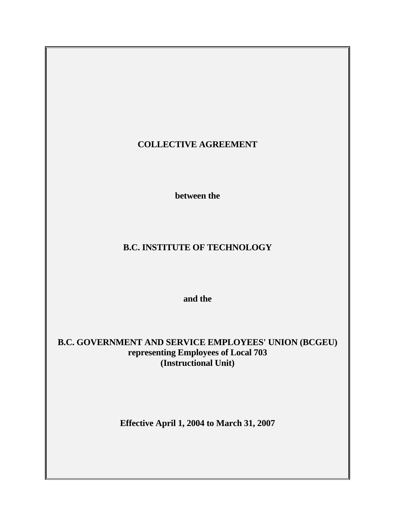# **COLLECTIVE AGREEMENT**

 **between the** 

# **B.C. INSTITUTE OF TECHNOLOGY**

 **and the** 

# **B.C. GOVERNMENT AND SERVICE EMPLOYEES' UNION (BCGEU) representing Employees of Local 703 (Instructional Unit)**

**Effective April 1, 2004 to March 31, 2007**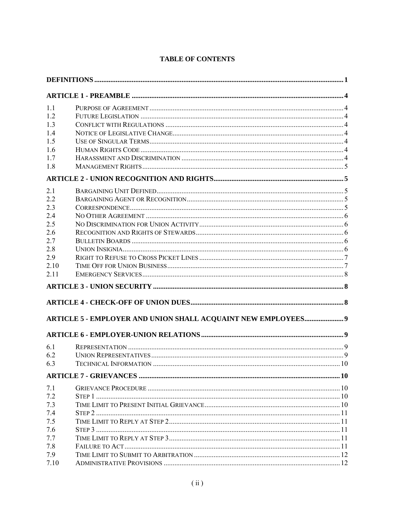| 1.1  |                                                               |  |
|------|---------------------------------------------------------------|--|
| 1.2  |                                                               |  |
| 1.3  |                                                               |  |
| 1.4  |                                                               |  |
| 1.5  |                                                               |  |
| 1.6  |                                                               |  |
| 1.7  |                                                               |  |
| 1.8  |                                                               |  |
|      |                                                               |  |
| 2.1  |                                                               |  |
| 2.2  |                                                               |  |
| 2.3  |                                                               |  |
| 2.4  |                                                               |  |
| 2.5  |                                                               |  |
| 2.6  |                                                               |  |
| 2.7  |                                                               |  |
| 2.8  |                                                               |  |
| 2.9  |                                                               |  |
| 2.10 |                                                               |  |
| 2.11 |                                                               |  |
|      |                                                               |  |
|      |                                                               |  |
|      | ARTICLE 5 - EMPLOYER AND UNION SHALL ACQUAINT NEW EMPLOYEES 9 |  |
|      |                                                               |  |
|      |                                                               |  |
| 6.1  |                                                               |  |
| 6.2  |                                                               |  |
| 6.3  |                                                               |  |
|      |                                                               |  |
| 7.1  |                                                               |  |
| 7.2  |                                                               |  |
| 7.3  |                                                               |  |
| 7.4  |                                                               |  |
| 7.5  |                                                               |  |
| 7.6  |                                                               |  |
| 7.7  |                                                               |  |
| 7.8  |                                                               |  |
| 7.9  |                                                               |  |
| 7.10 |                                                               |  |

# **TABLE OF CONTENTS**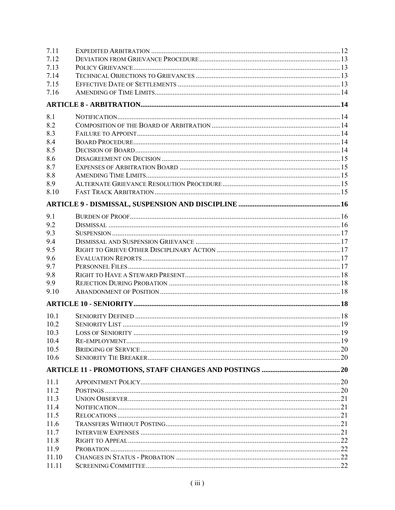| 7.11  |  |
|-------|--|
| 7.12  |  |
| 7.13  |  |
| 7.14  |  |
| 7.15  |  |
| 7.16  |  |
|       |  |
| 8.1   |  |
| 8.2   |  |
| 8.3   |  |
| 8.4   |  |
| 8.5   |  |
| 8.6   |  |
| 8.7   |  |
| 8.8   |  |
| 8.9   |  |
| 8.10  |  |
|       |  |
|       |  |
| 9.1   |  |
| 9.2   |  |
| 9.3   |  |
| 9.4   |  |
| 9.5   |  |
| 9.6   |  |
| 9.7   |  |
| 9.8   |  |
| 9.9   |  |
| 9.10  |  |
|       |  |
| 10.1  |  |
| 10.2  |  |
| 10.3  |  |
| 10.4  |  |
| 10.5  |  |
| 10.6  |  |
|       |  |
| 11.1  |  |
| 11.2  |  |
| 11.3  |  |
| 11.4  |  |
| 11.5  |  |
| 11.6  |  |
| 11.7  |  |
| 11.8  |  |
| 11.9  |  |
| 11.10 |  |
| 11.11 |  |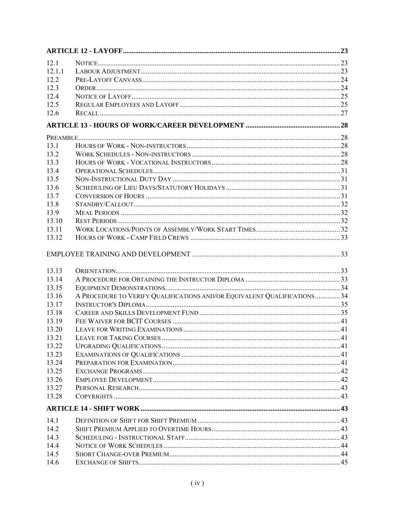| 12.1           |                                                                          |  |
|----------------|--------------------------------------------------------------------------|--|
| 12.1.1         |                                                                          |  |
| 12.2           |                                                                          |  |
| 12.3           |                                                                          |  |
| 12.4           |                                                                          |  |
| 12.5           |                                                                          |  |
| 12.6           |                                                                          |  |
|                |                                                                          |  |
|                |                                                                          |  |
| 13.1           |                                                                          |  |
| 13.2           |                                                                          |  |
| 13.3           |                                                                          |  |
| 13.4           |                                                                          |  |
| 13.5           |                                                                          |  |
| 13.6           |                                                                          |  |
| 13.7           |                                                                          |  |
| 13.8           |                                                                          |  |
| 13.9           |                                                                          |  |
| 13.10          |                                                                          |  |
| 13.11          |                                                                          |  |
| 13.12          |                                                                          |  |
|                |                                                                          |  |
| 13.13<br>13.14 |                                                                          |  |
| 13.15          |                                                                          |  |
| 13.16          | A PROCEDURE TO VERIFY QUALIFICATIONS AND/OR EQUIVALENT QUALIFICATIONS 34 |  |
| 13.17          |                                                                          |  |
| 13.18          |                                                                          |  |
| 13.19          |                                                                          |  |
| 13.20          |                                                                          |  |
| 13.21          |                                                                          |  |
| 13.22          |                                                                          |  |
| 13.23          |                                                                          |  |
| 13.24          |                                                                          |  |
| 13.25          |                                                                          |  |
| 13.26          |                                                                          |  |
| 13.27          |                                                                          |  |
| 13.28          |                                                                          |  |
|                |                                                                          |  |
| 14.1           |                                                                          |  |
| 14.2           |                                                                          |  |
| 14.3           |                                                                          |  |
|                |                                                                          |  |
| 14.4           |                                                                          |  |
| 14.5           |                                                                          |  |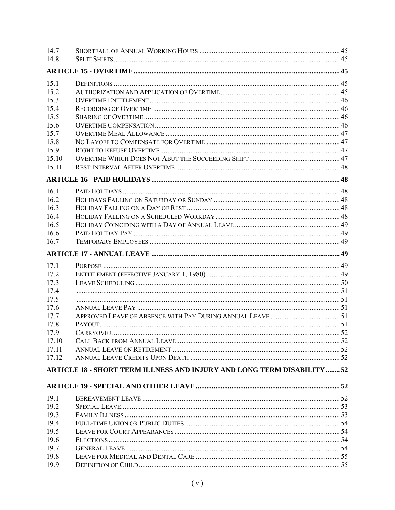| 14.7          |                                                                         |  |
|---------------|-------------------------------------------------------------------------|--|
| 14.8          |                                                                         |  |
|               |                                                                         |  |
| 15.1          |                                                                         |  |
| 15.2          |                                                                         |  |
| 15.3          |                                                                         |  |
| 15.4          |                                                                         |  |
| 15.5          |                                                                         |  |
| 15.6          |                                                                         |  |
| 15.7          |                                                                         |  |
| 15.8          |                                                                         |  |
| 15.9          |                                                                         |  |
| 15.10         |                                                                         |  |
| 15.11         |                                                                         |  |
|               |                                                                         |  |
| 16.1          |                                                                         |  |
| 16.2          |                                                                         |  |
| 16.3          |                                                                         |  |
| 16.4          |                                                                         |  |
| 16.5          |                                                                         |  |
| 16.6          |                                                                         |  |
| 16.7          |                                                                         |  |
|               |                                                                         |  |
| 17.1          |                                                                         |  |
| 17.2          |                                                                         |  |
|               |                                                                         |  |
|               |                                                                         |  |
| 17.3          |                                                                         |  |
| 17.4          |                                                                         |  |
| 17.5          |                                                                         |  |
| 17.6          |                                                                         |  |
| 17.7          |                                                                         |  |
| 17.8          |                                                                         |  |
| 17.9<br>17.10 |                                                                         |  |
| 17.11         |                                                                         |  |
| 17.12         |                                                                         |  |
|               | ARTICLE 18 - SHORT TERM ILLNESS AND INJURY AND LONG TERM DISABILITY  52 |  |
|               |                                                                         |  |
|               |                                                                         |  |
| 19.1          |                                                                         |  |
| 19.2          |                                                                         |  |
| 19.3          |                                                                         |  |
| 19.4          |                                                                         |  |
| 19.5          |                                                                         |  |
| 19.6          |                                                                         |  |
| 19.7          |                                                                         |  |
| 19.8<br>19.9  |                                                                         |  |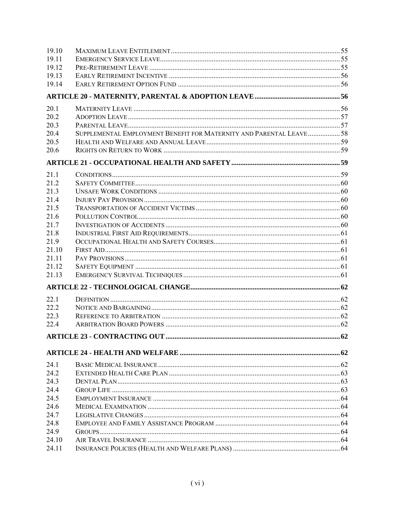| 19.10 |                                                                     |  |
|-------|---------------------------------------------------------------------|--|
| 19.11 |                                                                     |  |
| 19.12 |                                                                     |  |
| 19.13 |                                                                     |  |
| 19.14 |                                                                     |  |
|       |                                                                     |  |
| 20.1  |                                                                     |  |
| 20.2  |                                                                     |  |
| 20.3  |                                                                     |  |
| 20.4  | SUPPLEMENTAL EMPLOYMENT BENEFIT FOR MATERNITY AND PARENTAL LEAVE 58 |  |
| 20.5  |                                                                     |  |
| 20.6  |                                                                     |  |
|       |                                                                     |  |
| 21.1  |                                                                     |  |
| 21.2  |                                                                     |  |
| 21.3  |                                                                     |  |
| 21.4  |                                                                     |  |
| 21.5  |                                                                     |  |
| 21.6  |                                                                     |  |
| 21.7  |                                                                     |  |
| 21.8  |                                                                     |  |
| 21.9  |                                                                     |  |
| 21.10 |                                                                     |  |
| 21.11 |                                                                     |  |
| 21.12 |                                                                     |  |
| 21.13 |                                                                     |  |
|       |                                                                     |  |
| 22.1  |                                                                     |  |
| 22.2  |                                                                     |  |
| 22.3  |                                                                     |  |
| 22.4  |                                                                     |  |
|       |                                                                     |  |
|       |                                                                     |  |
| 24.1  |                                                                     |  |
| 24.2  |                                                                     |  |
| 24.3  |                                                                     |  |
| 24.4  |                                                                     |  |
| 24.5  |                                                                     |  |
| 24.6  |                                                                     |  |
| 24.7  |                                                                     |  |
| 24.8  |                                                                     |  |
| 24.9  |                                                                     |  |
| 24.10 |                                                                     |  |
| 24.11 |                                                                     |  |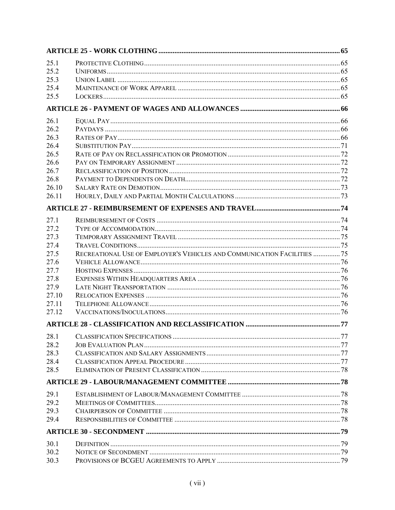| 25.1  |                                                                          |  |
|-------|--------------------------------------------------------------------------|--|
| 25.2  |                                                                          |  |
| 25.3  |                                                                          |  |
| 25.4  |                                                                          |  |
| 25.5  |                                                                          |  |
|       |                                                                          |  |
| 26.1  |                                                                          |  |
| 26.2  |                                                                          |  |
| 26.3  |                                                                          |  |
| 26.4  |                                                                          |  |
| 26.5  |                                                                          |  |
| 26.6  |                                                                          |  |
| 26.7  |                                                                          |  |
| 26.8  |                                                                          |  |
| 26.10 |                                                                          |  |
| 26.11 |                                                                          |  |
|       |                                                                          |  |
| 27.1  |                                                                          |  |
| 27.2  |                                                                          |  |
| 27.3  |                                                                          |  |
| 27.4  |                                                                          |  |
| 27.5  | RECREATIONAL USE OF EMPLOYER'S VEHICLES AND COMMUNICATION FACILITIES  75 |  |
| 27.6  |                                                                          |  |
| 27.7  |                                                                          |  |
| 27.8  |                                                                          |  |
| 27.9  |                                                                          |  |
| 27.10 |                                                                          |  |
| 27.11 |                                                                          |  |
| 27.12 |                                                                          |  |
|       |                                                                          |  |
| 28.1  |                                                                          |  |
| 28.2  |                                                                          |  |
| 28.3  |                                                                          |  |
| 28.4  |                                                                          |  |
| 28.5  |                                                                          |  |
|       |                                                                          |  |
| 29.1  |                                                                          |  |
| 29.2  |                                                                          |  |
| 29.3  |                                                                          |  |
| 29.4  |                                                                          |  |
|       |                                                                          |  |
| 30.1  |                                                                          |  |
| 30.2  |                                                                          |  |
| 30.3  |                                                                          |  |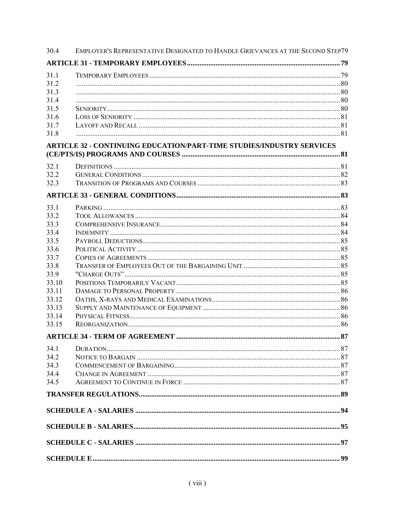| 30.4  | EMPLOYER'S REPRESENTATIVE DESIGNATED TO HANDLE GRIEVANCES AT THE SECOND STEP79 |  |
|-------|--------------------------------------------------------------------------------|--|
|       |                                                                                |  |
| 31.1  |                                                                                |  |
| 31.2  |                                                                                |  |
| 31.3  |                                                                                |  |
| 31.4  |                                                                                |  |
| 31.5  |                                                                                |  |
| 31.6  |                                                                                |  |
| 31.7  |                                                                                |  |
| 31.8  |                                                                                |  |
|       | <b>ARTICLE 32 - CONTINUING EDUCATION/PART-TIME STUDIES/INDUSTRY SERVICES</b>   |  |
| 32.1  |                                                                                |  |
| 32.2  |                                                                                |  |
| 32.3  |                                                                                |  |
|       |                                                                                |  |
|       |                                                                                |  |
| 33.1  |                                                                                |  |
| 33.2  |                                                                                |  |
| 33.3  |                                                                                |  |
| 33.4  |                                                                                |  |
| 33.5  |                                                                                |  |
| 33.6  |                                                                                |  |
| 33.7  |                                                                                |  |
| 33.8  |                                                                                |  |
| 33.9  |                                                                                |  |
| 33.10 |                                                                                |  |
| 33.11 |                                                                                |  |
| 33.12 |                                                                                |  |
| 33.13 |                                                                                |  |
| 33.14 |                                                                                |  |
| 33.15 |                                                                                |  |
|       |                                                                                |  |
| 34.1  |                                                                                |  |
| 34.2  |                                                                                |  |
| 34.3  |                                                                                |  |
| 34.4  |                                                                                |  |
| 34.5  |                                                                                |  |
|       |                                                                                |  |
|       |                                                                                |  |
|       |                                                                                |  |
|       |                                                                                |  |
|       |                                                                                |  |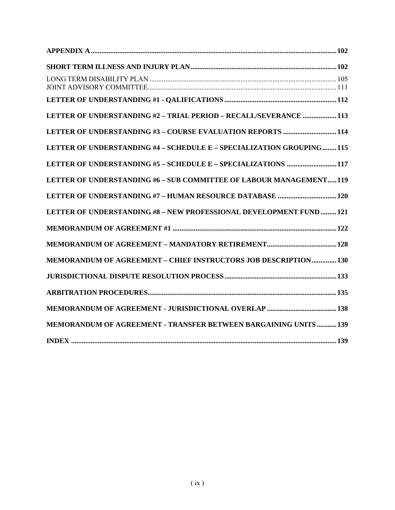| LETTER OF UNDERSTANDING #2 - TRIAL PERIOD - RECALL/SEVERANCE  113    |  |
|----------------------------------------------------------------------|--|
|                                                                      |  |
| LETTER OF UNDERSTANDING #4 - SCHEDULE E - SPECIALIZATION GROUPING115 |  |
| LETTER OF UNDERSTANDING #5 - SCHEDULE E - SPECIALIZATIONS  117       |  |
| LETTER OF UNDERSTANDING #6 - SUB COMMITTEE OF LABOUR MANAGEMENT119   |  |
|                                                                      |  |
| LETTER OF UNDERSTANDING #8 - NEW PROFESSIONAL DEVELOPMENT FUND  121  |  |
|                                                                      |  |
|                                                                      |  |
| MEMORANDUM OF AGREEMENT - CHIEF INSTRUCTORS JOB DESCRIPTION 130      |  |
|                                                                      |  |
|                                                                      |  |
|                                                                      |  |
| MEMORANDUM OF AGREEMENT - TRANSFER BETWEEN BARGAINING UNITS  139     |  |
|                                                                      |  |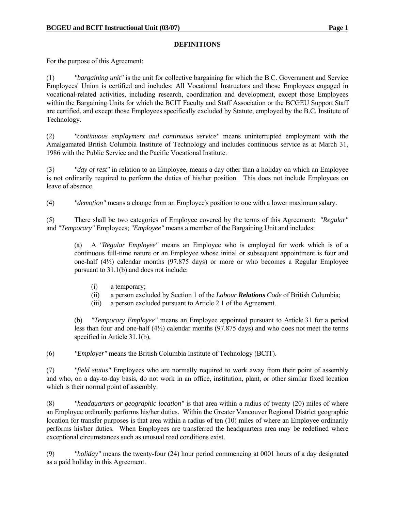#### **DEFINITIONS**

For the purpose of this Agreement:

(1) *"bargaining unit"* is the unit for collective bargaining for which the B.C. Government and Service Employees' Union is certified and includes: All Vocational Instructors and those Employees engaged in vocational-related activities, including research, coordination and development, except those Employees within the Bargaining Units for which the BCIT Faculty and Staff Association or the BCGEU Support Staff are certified, and except those Employees specifically excluded by Statute, employed by the B.C. Institute of Technology.

(2) *"continuous employment and continuous service"* means uninterrupted employment with the Amalgamated British Columbia Institute of Technology and includes continuous service as at March 31, 1986 with the Public Service and the Pacific Vocational Institute.

(3) *"day of rest"* in relation to an Employee, means a day other than a holiday on which an Employee is not ordinarily required to perform the duties of his/her position. This does not include Employees on leave of absence.

(4) *"demotion"* means a change from an Employee's position to one with a lower maximum salary.

(5) There shall be two categories of Employee covered by the terms of this Agreement: *"Regular"* and *"Temporary"* Employees; *"Employee"* means a member of the Bargaining Unit and includes:

 (a) A *"Regular Employee"* means an Employee who is employed for work which is of a continuous full-time nature or an Employee whose initial or subsequent appointment is four and one-half (4½) calendar months (97.875 days) or more or who becomes a Regular Employee pursuant to 31.1(b) and does not include:

- (i) a temporary;
- (ii) a person excluded by Section 1 of the *Labour Relations Code* of British Columbia;
- (iii) a person excluded pursuant to Article 2.1 of the Agreement.

 (b) *"Temporary Employee"* means an Employee appointed pursuant to Article 31 for a period less than four and one-half (4½) calendar months (97.875 days) and who does not meet the terms specified in Article 31.1(b).

(6) *"Employer"* means the British Columbia Institute of Technology (BCIT).

(7) *"field status"* Employees who are normally required to work away from their point of assembly and who, on a day-to-day basis, do not work in an office, institution, plant, or other similar fixed location which is their normal point of assembly.

(8) *"headquarters or geographic location"* is that area within a radius of twenty (20) miles of where an Employee ordinarily performs his/her duties. Within the Greater Vancouver Regional District geographic location for transfer purposes is that area within a radius of ten (10) miles of where an Employee ordinarily performs his/her duties. When Employees are transferred the headquarters area may be redefined where exceptional circumstances such as unusual road conditions exist.

(9) *"holiday"* means the twenty-four (24) hour period commencing at 0001 hours of a day designated as a paid holiday in this Agreement.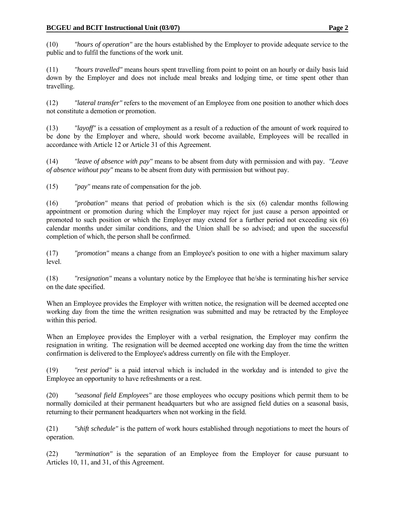(10) *"hours of operation"* are the hours established by the Employer to provide adequate service to the public and to fulfil the functions of the work unit.

(11) *"hours travelled"* means hours spent travelling from point to point on an hourly or daily basis laid down by the Employer and does not include meal breaks and lodging time, or time spent other than travelling.

(12) *"lateral transfer"* refers to the movement of an Employee from one position to another which does not constitute a demotion or promotion.

(13) *"layoff"* is a cessation of employment as a result of a reduction of the amount of work required to be done by the Employer and where, should work become available, Employees will be recalled in accordance with Article 12 or Article 31 of this Agreement.

(14) *"leave of absence with pay"* means to be absent from duty with permission and with pay. *"Leave of absence without pay"* means to be absent from duty with permission but without pay.

(15) *"pay"* means rate of compensation for the job.

(16) *"probation"* means that period of probation which is the six (6) calendar months following appointment or promotion during which the Employer may reject for just cause a person appointed or promoted to such position or which the Employer may extend for a further period not exceeding six (6) calendar months under similar conditions, and the Union shall be so advised; and upon the successful completion of which, the person shall be confirmed.

(17) *"promotion"* means a change from an Employee's position to one with a higher maximum salary level.

(18) *"resignation"* means a voluntary notice by the Employee that he/she is terminating his/her service on the date specified.

When an Employee provides the Employer with written notice, the resignation will be deemed accepted one working day from the time the written resignation was submitted and may be retracted by the Employee within this period.

When an Employee provides the Employer with a verbal resignation, the Employer may confirm the resignation in writing. The resignation will be deemed accepted one working day from the time the written confirmation is delivered to the Employee's address currently on file with the Employer.

(19) *"rest period"* is a paid interval which is included in the workday and is intended to give the Employee an opportunity to have refreshments or a rest.

(20) *"seasonal field Employees"* are those employees who occupy positions which permit them to be normally domiciled at their permanent headquarters but who are assigned field duties on a seasonal basis, returning to their permanent headquarters when not working in the field.

(21) *"shift schedule"* is the pattern of work hours established through negotiations to meet the hours of operation.

(22) *"termination"* is the separation of an Employee from the Employer for cause pursuant to Articles 10, 11, and 31, of this Agreement.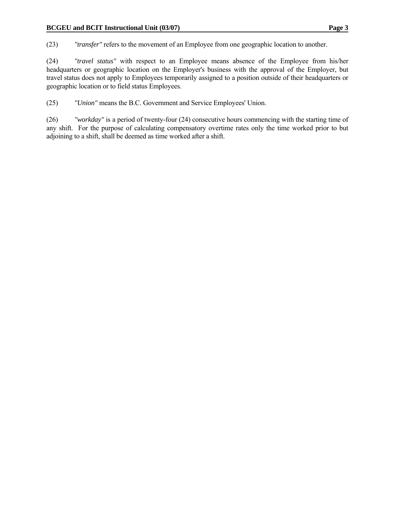(23) *"transfer"* refers to the movement of an Employee from one geographic location to another.

(24) *"travel status"* with respect to an Employee means absence of the Employee from his/her headquarters or geographic location on the Employer's business with the approval of the Employer, but travel status does not apply to Employees temporarily assigned to a position outside of their headquarters or geographic location or to field status Employees.

(25) *"Union"* means the B.C. Government and Service Employees' Union.

(26) *"workday"* is a period of twenty-four (24) consecutive hours commencing with the starting time of any shift. For the purpose of calculating compensatory overtime rates only the time worked prior to but adjoining to a shift, shall be deemed as time worked after a shift.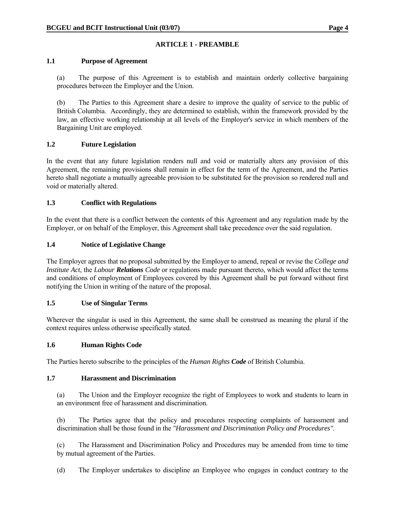# **ARTICLE 1 - PREAMBLE**

### **1.1 Purpose of Agreement**

 (a) The purpose of this Agreement is to establish and maintain orderly collective bargaining procedures between the Employer and the Union.

 (b) The Parties to this Agreement share a desire to improve the quality of service to the public of British Columbia. Accordingly, they are determined to establish, within the framework provided by the law, an effective working relationship at all levels of the Employer's service in which members of the Bargaining Unit are employed.

### **1.2 Future Legislation**

In the event that any future legislation renders null and void or materially alters any provision of this Agreement, the remaining provisions shall remain in effect for the term of the Agreement, and the Parties hereto shall negotiate a mutually agreeable provision to be substituted for the provision so rendered null and void or materially altered.

### **1.3 Conflict with Regulations**

In the event that there is a conflict between the contents of this Agreement and any regulation made by the Employer, or on behalf of the Employer, this Agreement shall take precedence over the said regulation.

### **1.4 Notice of Legislative Change**

The Employer agrees that no proposal submitted by the Employer to amend, repeal or revise the *College and Institute Act*, the *Labour Relations Code* or regulations made pursuant thereto, which would affect the terms and conditions of employment of Employees covered by this Agreement shall be put forward without first notifying the Union in writing of the nature of the proposal.

#### **1.5 Use of Singular Terms**

Wherever the singular is used in this Agreement, the same shall be construed as meaning the plural if the context requires unless otherwise specifically stated.

#### **1.6 Human Rights Code**

The Parties hereto subscribe to the principles of the *Human Rights Code* of British Columbia.

#### **1.7 Harassment and Discrimination**

(a) The Union and the Employer recognize the right of Employees to work and students to learn in an environment free of harassment and discrimination.

 (b) The Parties agree that the policy and procedures respecting complaints of harassment and discrimination shall be those found in the *"Harassment and Discrimination Policy and Procedures"*.

 (c) The Harassment and Discrimination Policy and Procedures may be amended from time to time by mutual agreement of the Parties.

(d) The Employer undertakes to discipline an Employee who engages in conduct contrary to the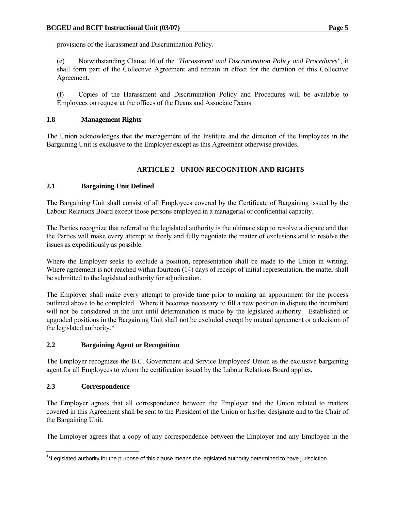provisions of the Harassment and Discrimination Policy.

 (e) Notwithstanding Clause 16 of the *"Harassment and Discrimination Policy and Procedures"*, it shall form part of the Collective Agreement and remain in effect for the duration of this Collective Agreement.

 (f) Copies of the Harassment and Discrimination Policy and Procedures will be available to Employees on request at the offices of the Deans and Associate Deans.

### **1.8 Management Rights**

The Union acknowledges that the management of the Institute and the direction of the Employees in the Bargaining Unit is exclusive to the Employer except as this Agreement otherwise provides.

# **ARTICLE 2 - UNION RECOGNITION AND RIGHTS**

# **2.1 Bargaining Unit Defined**

The Bargaining Unit shall consist of all Employees covered by the Certificate of Bargaining issued by the Labour Relations Board except those persons employed in a managerial or confidential capacity.

The Parties recognize that referral to the legislated authority is the ultimate step to resolve a dispute and that the Parties will make every attempt to freely and fully negotiate the matter of exclusions and to resolve the issues as expeditiously as possible.

Where the Employer seeks to exclude a position, representation shall be made to the Union in writing. Where agreement is not reached within fourteen (14) days of receipt of initial representation, the matter shall be submitted to the legislated authority for adjudication.

The Employer shall make every attempt to provide time prior to making an appointment for the process outlined above to be completed. Where it becomes necessary to fill a new position in dispute the incumbent will not be considered in the unit until determination is made by the legislated authority. Established or upgraded positions in the Bargaining Unit shall not be excluded except by mutual agreement or a decision of the legislated authority.\*1

# **2.2 Bargaining Agent or Recognition**

The Employer recognizes the B.C. Government and Service Employees' Union as the exclusive bargaining agent for all Employees to whom the certification issued by the Labour Relations Board applies.

# **2.3 Correspondence**

 $\overline{a}$ 

The Employer agrees that all correspondence between the Employer and the Union related to matters covered in this Agreement shall be sent to the President of the Union or his/her designate and to the Chair of the Bargaining Unit.

The Employer agrees that a copy of any correspondence between the Employer and any Employee in the

<sup>&</sup>lt;sup>1\*</sup>Legislated authority for the purpose of this clause means the legislated authority determined to have jurisdiction.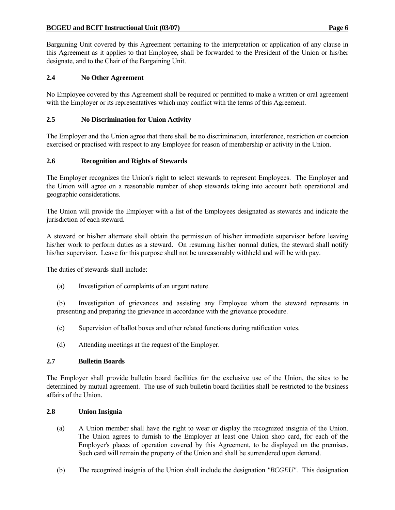Bargaining Unit covered by this Agreement pertaining to the interpretation or application of any clause in this Agreement as it applies to that Employee, shall be forwarded to the President of the Union or his/her designate, and to the Chair of the Bargaining Unit.

# **2.4 No Other Agreement**

No Employee covered by this Agreement shall be required or permitted to make a written or oral agreement with the Employer or its representatives which may conflict with the terms of this Agreement.

# **2.5 No Discrimination for Union Activity**

The Employer and the Union agree that there shall be no discrimination, interference, restriction or coercion exercised or practised with respect to any Employee for reason of membership or activity in the Union.

# **2.6 Recognition and Rights of Stewards**

The Employer recognizes the Union's right to select stewards to represent Employees. The Employer and the Union will agree on a reasonable number of shop stewards taking into account both operational and geographic considerations.

The Union will provide the Employer with a list of the Employees designated as stewards and indicate the jurisdiction of each steward.

A steward or his/her alternate shall obtain the permission of his/her immediate supervisor before leaving his/her work to perform duties as a steward. On resuming his/her normal duties, the steward shall notify his/her supervisor. Leave for this purpose shall not be unreasonably withheld and will be with pay.

The duties of stewards shall include:

(a) Investigation of complaints of an urgent nature.

 (b) Investigation of grievances and assisting any Employee whom the steward represents in presenting and preparing the grievance in accordance with the grievance procedure.

- (c) Supervision of ballot boxes and other related functions during ratification votes.
- (d) Attending meetings at the request of the Employer.

# **2.7 Bulletin Boards**

The Employer shall provide bulletin board facilities for the exclusive use of the Union, the sites to be determined by mutual agreement. The use of such bulletin board facilities shall be restricted to the business affairs of the Union.

# **2.8 Union Insignia**

- (a) A Union member shall have the right to wear or display the recognized insignia of the Union. The Union agrees to furnish to the Employer at least one Union shop card, for each of the Employer's places of operation covered by this Agreement, to be displayed on the premises. Such card will remain the property of the Union and shall be surrendered upon demand.
- (b) The recognized insignia of the Union shall include the designation *"BCGEU"*. This designation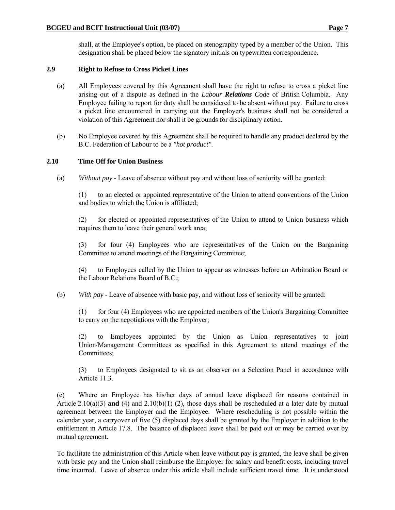shall, at the Employee's option, be placed on stenography typed by a member of the Union. This designation shall be placed below the signatory initials on typewritten correspondence.

# **2.9 Right to Refuse to Cross Picket Lines**

- (a) All Employees covered by this Agreement shall have the right to refuse to cross a picket line arising out of a dispute as defined in the *Labour Relations Code* of British Columbia. Any Employee failing to report for duty shall be considered to be absent without pay. Failure to cross a picket line encountered in carrying out the Employer's business shall not be considered a violation of this Agreement nor shall it be grounds for disciplinary action.
- (b) No Employee covered by this Agreement shall be required to handle any product declared by the B.C. Federation of Labour to be a *"hot product"*.

# **2.10 Time Off for Union Business**

(a) *Without pay* - Leave of absence without pay and without loss of seniority will be granted:

 (1) to an elected or appointed representative of the Union to attend conventions of the Union and bodies to which the Union is affiliated;

 (2) for elected or appointed representatives of the Union to attend to Union business which requires them to leave their general work area;

 (3) for four (4) Employees who are representatives of the Union on the Bargaining Committee to attend meetings of the Bargaining Committee;

 (4) to Employees called by the Union to appear as witnesses before an Arbitration Board or the Labour Relations Board of B.C.;

# (b) *With pay* - Leave of absence with basic pay, and without loss of seniority will be granted:

 (1) for four (4) Employees who are appointed members of the Union's Bargaining Committee to carry on the negotiations with the Employer;

 (2) to Employees appointed by the Union as Union representatives to joint Union/Management Committees as specified in this Agreement to attend meetings of the Committees;

 (3) to Employees designated to sit as an observer on a Selection Panel in accordance with Article 11.3.

 (c) Where an Employee has his/her days of annual leave displaced for reasons contained in Article 2.10(a)(3) **and** (4) and 2.10(b)(1) (2), those days shall be rescheduled at a later date by mutual agreement between the Employer and the Employee. Where rescheduling is not possible within the calendar year, a carryover of five (5) displaced days shall be granted by the Employer in addition to the entitlement in Article 17.8. The balance of displaced leave shall be paid out or may be carried over by mutual agreement.

 To facilitate the administration of this Article when leave without pay is granted, the leave shall be given with basic pay and the Union shall reimburse the Employer for salary and benefit costs, including travel time incurred. Leave of absence under this article shall include sufficient travel time. It is understood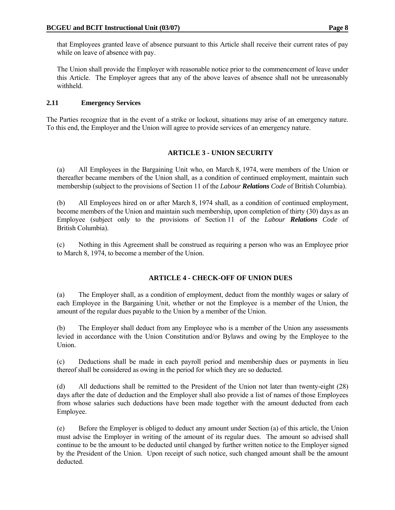that Employees granted leave of absence pursuant to this Article shall receive their current rates of pay while on leave of absence with pay.

 The Union shall provide the Employer with reasonable notice prior to the commencement of leave under this Article. The Employer agrees that any of the above leaves of absence shall not be unreasonably withheld.

# **2.11 Emergency Services**

The Parties recognize that in the event of a strike or lockout, situations may arise of an emergency nature. To this end, the Employer and the Union will agree to provide services of an emergency nature.

# **ARTICLE 3 - UNION SECURITY**

 (a) All Employees in the Bargaining Unit who, on March 8, 1974, were members of the Union or thereafter became members of the Union shall, as a condition of continued employment, maintain such membership (subject to the provisions of Section 11 of the *Labour Relations Code* of British Columbia).

 (b) All Employees hired on or after March 8, 1974 shall, as a condition of continued employment, become members of the Union and maintain such membership, upon completion of thirty (30) days as an Employee (subject only to the provisions of Section 11 of the *Labour Relations Code* of British Columbia).

 (c) Nothing in this Agreement shall be construed as requiring a person who was an Employee prior to March 8, 1974, to become a member of the Union.

# **ARTICLE 4 - CHECK-OFF OF UNION DUES**

 (a) The Employer shall, as a condition of employment, deduct from the monthly wages or salary of each Employee in the Bargaining Unit, whether or not the Employee is a member of the Union, the amount of the regular dues payable to the Union by a member of the Union.

 (b) The Employer shall deduct from any Employee who is a member of the Union any assessments levied in accordance with the Union Constitution and/or Bylaws and owing by the Employee to the Union.

 (c) Deductions shall be made in each payroll period and membership dues or payments in lieu thereof shall be considered as owing in the period for which they are so deducted.

 (d) All deductions shall be remitted to the President of the Union not later than twenty-eight (28) days after the date of deduction and the Employer shall also provide a list of names of those Employees from whose salaries such deductions have been made together with the amount deducted from each Employee.

 (e) Before the Employer is obliged to deduct any amount under Section (a) of this article, the Union must advise the Employer in writing of the amount of its regular dues. The amount so advised shall continue to be the amount to be deducted until changed by further written notice to the Employer signed by the President of the Union. Upon receipt of such notice, such changed amount shall be the amount deducted.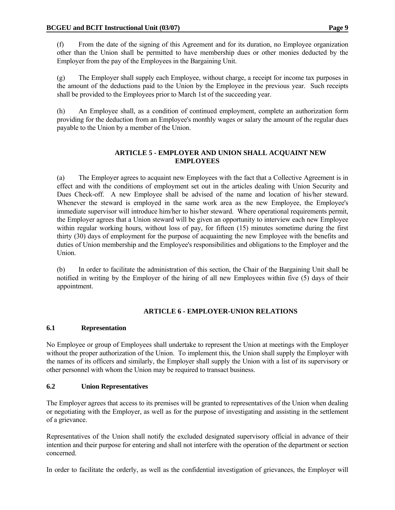(f) From the date of the signing of this Agreement and for its duration, no Employee organization other than the Union shall be permitted to have membership dues or other monies deducted by the Employer from the pay of the Employees in the Bargaining Unit.

 (g) The Employer shall supply each Employee, without charge, a receipt for income tax purposes in the amount of the deductions paid to the Union by the Employee in the previous year. Such receipts shall be provided to the Employees prior to March 1st of the succeeding year.

 (h) An Employee shall, as a condition of continued employment, complete an authorization form providing for the deduction from an Employee's monthly wages or salary the amount of the regular dues payable to the Union by a member of the Union.

# **ARTICLE 5 - EMPLOYER AND UNION SHALL ACQUAINT NEW EMPLOYEES**

 (a) The Employer agrees to acquaint new Employees with the fact that a Collective Agreement is in effect and with the conditions of employment set out in the articles dealing with Union Security and Dues Check-off. A new Employee shall be advised of the name and location of his/her steward. Whenever the steward is employed in the same work area as the new Employee, the Employee's immediate supervisor will introduce him/her to his/her steward. Where operational requirements permit, the Employer agrees that a Union steward will be given an opportunity to interview each new Employee within regular working hours, without loss of pay, for fifteen (15) minutes sometime during the first thirty (30) days of employment for the purpose of acquainting the new Employee with the benefits and duties of Union membership and the Employee's responsibilities and obligations to the Employer and the Union.

 (b) In order to facilitate the administration of this section, the Chair of the Bargaining Unit shall be notified in writing by the Employer of the hiring of all new Employees within five (5) days of their appointment.

# **ARTICLE 6 - EMPLOYER-UNION RELATIONS**

# **6.1 Representation**

No Employee or group of Employees shall undertake to represent the Union at meetings with the Employer without the proper authorization of the Union. To implement this, the Union shall supply the Employer with the names of its officers and similarly, the Employer shall supply the Union with a list of its supervisory or other personnel with whom the Union may be required to transact business.

# **6.2 Union Representatives**

The Employer agrees that access to its premises will be granted to representatives of the Union when dealing or negotiating with the Employer, as well as for the purpose of investigating and assisting in the settlement of a grievance.

Representatives of the Union shall notify the excluded designated supervisory official in advance of their intention and their purpose for entering and shall not interfere with the operation of the department or section concerned.

In order to facilitate the orderly, as well as the confidential investigation of grievances, the Employer will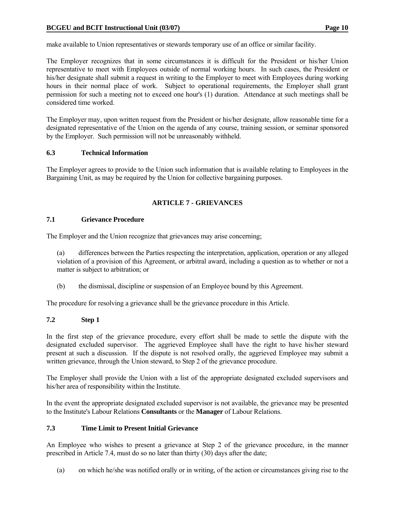make available to Union representatives or stewards temporary use of an office or similar facility.

The Employer recognizes that in some circumstances it is difficult for the President or his/her Union representative to meet with Employees outside of normal working hours. In such cases, the President or his/her designate shall submit a request in writing to the Employer to meet with Employees during working hours in their normal place of work. Subject to operational requirements, the Employer shall grant permission for such a meeting not to exceed one hour's (1) duration. Attendance at such meetings shall be considered time worked.

The Employer may, upon written request from the President or his/her designate, allow reasonable time for a designated representative of the Union on the agenda of any course, training session, or seminar sponsored by the Employer. Such permission will not be unreasonably withheld.

#### **6.3 Technical Information**

The Employer agrees to provide to the Union such information that is available relating to Employees in the Bargaining Unit, as may be required by the Union for collective bargaining purposes.

### **ARTICLE 7 - GRIEVANCES**

### **7.1 Grievance Procedure**

The Employer and the Union recognize that grievances may arise concerning;

 (a) differences between the Parties respecting the interpretation, application, operation or any alleged violation of a provision of this Agreement, or arbitral award, including a question as to whether or not a matter is subject to arbitration; or

(b) the dismissal, discipline or suspension of an Employee bound by this Agreement.

The procedure for resolving a grievance shall be the grievance procedure in this Article.

# **7.2 Step 1**

In the first step of the grievance procedure, every effort shall be made to settle the dispute with the designated excluded supervisor. The aggrieved Employee shall have the right to have his/her steward present at such a discussion. If the dispute is not resolved orally, the aggrieved Employee may submit a written grievance, through the Union steward, to Step 2 of the grievance procedure.

The Employer shall provide the Union with a list of the appropriate designated excluded supervisors and his/her area of responsibility within the Institute.

In the event the appropriate designated excluded supervisor is not available, the grievance may be presented to the Institute's Labour Relations **Consultants** or the **Manager** of Labour Relations.

# **7.3 Time Limit to Present Initial Grievance**

An Employee who wishes to present a grievance at Step 2 of the grievance procedure, in the manner prescribed in Article 7.4, must do so no later than thirty (30) days after the date;

(a) on which he/she was notified orally or in writing, of the action or circumstances giving rise to the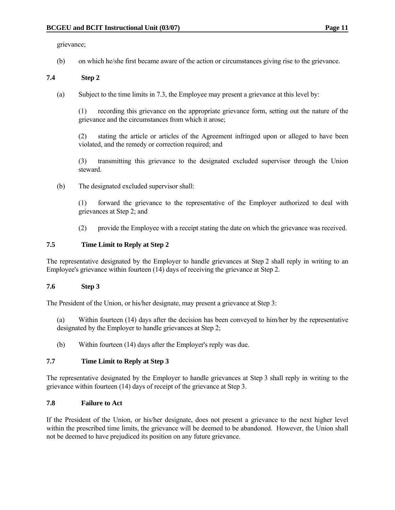grievance;

(b) on which he/she first became aware of the action or circumstances giving rise to the grievance.

### **7.4 Step 2**

(a) Subject to the time limits in 7.3, the Employee may present a grievance at this level by:

 (1) recording this grievance on the appropriate grievance form, setting out the nature of the grievance and the circumstances from which it arose;

 (2) stating the article or articles of the Agreement infringed upon or alleged to have been violated, and the remedy or correction required; and

 (3) transmitting this grievance to the designated excluded supervisor through the Union steward.

(b) The designated excluded supervisor shall:

 (1) forward the grievance to the representative of the Employer authorized to deal with grievances at Step 2; and

(2) provide the Employee with a receipt stating the date on which the grievance was received.

# **7.5 Time Limit to Reply at Step 2**

The representative designated by the Employer to handle grievances at Step 2 shall reply in writing to an Employee's grievance within fourteen (14) days of receiving the grievance at Step 2.

#### **7.6 Step 3**

The President of the Union, or his/her designate, may present a grievance at Step 3:

 (a) Within fourteen (14) days after the decision has been conveyed to him/her by the representative designated by the Employer to handle grievances at Step 2;

(b) Within fourteen (14) days after the Employer's reply was due.

#### **7.7 Time Limit to Reply at Step 3**

The representative designated by the Employer to handle grievances at Step 3 shall reply in writing to the grievance within fourteen (14) days of receipt of the grievance at Step 3.

### **7.8 Failure to Act**

If the President of the Union, or his/her designate, does not present a grievance to the next higher level within the prescribed time limits, the grievance will be deemed to be abandoned. However, the Union shall not be deemed to have prejudiced its position on any future grievance.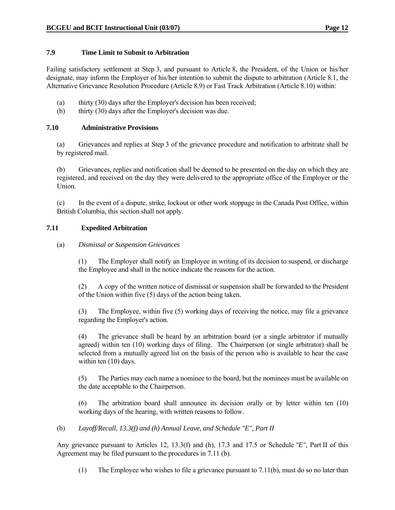#### **7.9 Time Limit to Submit to Arbitration**

Failing satisfactory settlement at Step 3, and pursuant to Article 8, the President, of the Union or his/her designate, may inform the Employer of his/her intention to submit the dispute to arbitration (Article 8.1, the Alternative Grievance Resolution Procedure (Article 8.9) or Fast Track Arbitration (Article 8.10) within:

- (a) thirty (30) days after the Employer's decision has been received;
- (b) thirty (30) days after the Employer's decision was due.

#### **7.10 Administrative Provisions**

 (a) Grievances and replies at Step 3 of the grievance procedure and notification to arbitrate shall be by registered mail.

 (b) Grievances, replies and notification shall be deemed to be presented on the day on which they are registered, and received on the day they were delivered to the appropriate office of the Employer or the Union.

 (c) In the event of a dispute, strike, lockout or other work stoppage in the Canada Post Office, within British Columbia, this section shall not apply.

### **7.11 Expedited Arbitration**

(a) *Dismissal or Suspension Grievances*

 (1) The Employer shall notify an Employee in writing of its decision to suspend, or discharge the Employee and shall in the notice indicate the reasons for the action.

 (2) A copy of the written notice of dismissal or suspension shall be forwarded to the President of the Union within five (5) days of the action being taken.

 (3) The Employee, within five (5) working days of receiving the notice, may file a grievance regarding the Employer's action.

 (4) The grievance shall be heard by an arbitration board (or a single arbitrator if mutually agreed) within ten (10) working days of filing. The Chairperson (or single arbitrator) shall be selected from a mutually agreed list on the basis of the person who is available to hear the case within ten (10) days.

 (5) The Parties may each name a nominee to the board, but the nominees must be available on the date acceptable to the Chairperson.

 (6) The arbitration board shall announce its decision orally or by letter within ten (10) working days of the hearing, with written reasons to follow.

(b) *Layoff/Recall, 13.3(f) and (h) Annual Leave, and Schedule "E", Part II*

 Any grievance pursuant to Articles 12, 13.3(f) and (h), 17.3 and 17.5 or Schedule *"E"*, Part II of this Agreement may be filed pursuant to the procedures in 7.11 (b).

(1) The Employee who wishes to file a grievance pursuant to 7.11(b), must do so no later than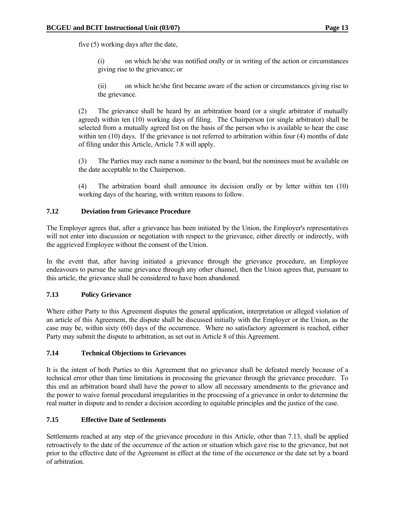five (5) working days after the date,

 (i) on which he/she was notified orally or in writing of the action or circumstances giving rise to the grievance; or

 (ii) on which he/she first became aware of the action or circumstances giving rise to the grievance.

 (2) The grievance shall be heard by an arbitration board (or a single arbitrator if mutually agreed) within ten (10) working days of filing. The Chairperson (or single arbitrator) shall be selected from a mutually agreed list on the basis of the person who is available to hear the case within ten (10) days. If the grievance is not referred to arbitration within four (4) months of date of filing under this Article, Article 7.8 will apply.

 (3) The Parties may each name a nominee to the board, but the nominees must be available on the date acceptable to the Chairperson.

 (4) The arbitration board shall announce its decision orally or by letter within ten (10) working days of the hearing, with written reasons to follow.

### **7.12 Deviation from Grievance Procedure**

The Employer agrees that, after a grievance has been initiated by the Union, the Employer's representatives will not enter into discussion or negotiation with respect to the grievance, either directly or indirectly, with the aggrieved Employee without the consent of the Union.

In the event that, after having initiated a grievance through the grievance procedure, an Employee endeavours to pursue the same grievance through any other channel, then the Union agrees that, pursuant to this article, the grievance shall be considered to have been abandoned.

#### **7.13 Policy Grievance**

Where either Party to this Agreement disputes the general application, interpretation or alleged violation of an article of this Agreement, the dispute shall be discussed initially with the Employer or the Union, as the case may be, within sixty (60) days of the occurrence. Where no satisfactory agreement is reached, either Party may submit the dispute to arbitration, as set out in Article 8 of this Agreement.

#### **7.14 Technical Objections to Grievances**

It is the intent of both Parties to this Agreement that no grievance shall be defeated merely because of a technical error other than time limitations in processing the grievance through the grievance procedure. To this end an arbitration board shall have the power to allow all necessary amendments to the grievance and the power to waive formal procedural irregularities in the processing of a grievance in order to determine the real matter in dispute and to render a decision according to equitable principles and the justice of the case.

# **7.15 Effective Date of Settlements**

Settlements reached at any step of the grievance procedure in this Article, other than 7.13, shall be applied retroactively to the date of the occurrence of the action or situation which gave rise to the grievance, but not prior to the effective date of the Agreement in effect at the time of the occurrence or the date set by a board of arbitration.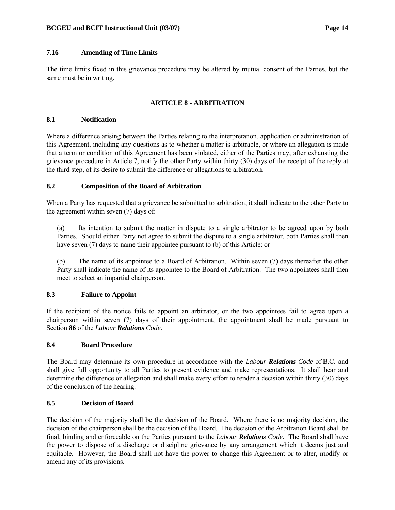#### **7.16 Amending of Time Limits**

The time limits fixed in this grievance procedure may be altered by mutual consent of the Parties, but the same must be in writing.

# **ARTICLE 8 - ARBITRATION**

#### **8.1 Notification**

Where a difference arising between the Parties relating to the interpretation, application or administration of this Agreement, including any questions as to whether a matter is arbitrable, or where an allegation is made that a term or condition of this Agreement has been violated, either of the Parties may, after exhausting the grievance procedure in Article 7, notify the other Party within thirty (30) days of the receipt of the reply at the third step, of its desire to submit the difference or allegations to arbitration.

### **8.2 Composition of the Board of Arbitration**

When a Party has requested that a grievance be submitted to arbitration, it shall indicate to the other Party to the agreement within seven (7) days of:

 (a) Its intention to submit the matter in dispute to a single arbitrator to be agreed upon by both Parties. Should either Party not agree to submit the dispute to a single arbitrator, both Parties shall then have seven (7) days to name their appointee pursuant to (b) of this Article; or

 (b) The name of its appointee to a Board of Arbitration. Within seven (7) days thereafter the other Party shall indicate the name of its appointee to the Board of Arbitration. The two appointees shall then meet to select an impartial chairperson.

#### **8.3 Failure to Appoint**

If the recipient of the notice fails to appoint an arbitrator, or the two appointees fail to agree upon a chairperson within seven (7) days of their appointment, the appointment shall be made pursuant to Section **86** of the *Labour Relations Code*.

#### **8.4 Board Procedure**

The Board may determine its own procedure in accordance with the *Labour Relations Code* of B.C. and shall give full opportunity to all Parties to present evidence and make representations. It shall hear and determine the difference or allegation and shall make every effort to render a decision within thirty (30) days of the conclusion of the hearing.

# **8.5 Decision of Board**

The decision of the majority shall be the decision of the Board. Where there is no majority decision, the decision of the chairperson shall be the decision of the Board. The decision of the Arbitration Board shall be final, binding and enforceable on the Parties pursuant to the *Labour Relations Code*. The Board shall have the power to dispose of a discharge or discipline grievance by any arrangement which it deems just and equitable. However, the Board shall not have the power to change this Agreement or to alter, modify or amend any of its provisions.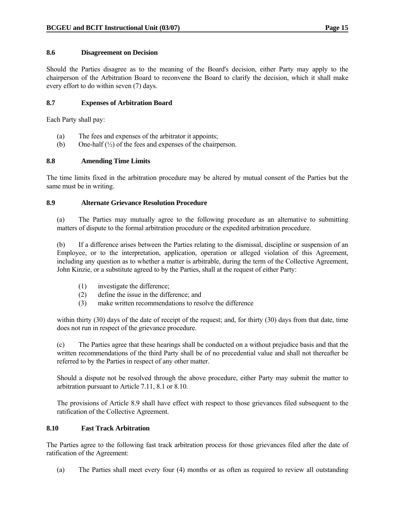#### **8.6 Disagreement on Decision**

Should the Parties disagree as to the meaning of the Board's decision, either Party may apply to the chairperson of the Arbitration Board to reconvene the Board to clarify the decision, which it shall make every effort to do within seven (7) days.

#### **8.7 Expenses of Arbitration Board**

Each Party shall pay:

- (a) The fees and expenses of the arbitrator it appoints;
- (b) One-half  $\binom{1}{2}$  of the fees and expenses of the chairperson.

#### **8.8 Amending Time Limits**

The time limits fixed in the arbitration procedure may be altered by mutual consent of the Parties but the same must be in writing.

#### **8.9 Alternate Grievance Resolution Procedure**

 (a) The Parties may mutually agree to the following procedure as an alternative to submitting matters of dispute to the formal arbitration procedure or the expedited arbitration procedure.

 (b) If a difference arises between the Parties relating to the dismissal, discipline or suspension of an Employee, or to the interpretation, application, operation or alleged violation of this Agreement, including any question as to whether a matter is arbitrable, during the term of the Collective Agreement, John Kinzie, or a substitute agreed to by the Parties, shall at the request of either Party:

- (1) investigate the difference;
- (2) define the issue in the difference; and
- (3) make written recommendations to resolve the difference

 within thirty (30) days of the date of receipt of the request; and, for thirty (30) days from that date, time does not run in respect of the grievance procedure.

 (c) The Parties agree that these hearings shall be conducted on a without prejudice basis and that the written recommendations of the third Party shall be of no precedential value and shall not thereafter be referred to by the Parties in respect of any other matter.

 Should a dispute not be resolved through the above procedure, either Party may submit the matter to arbitration pursuant to Article 7.11, 8.1 or 8.10.

 The provisions of Article 8.9 shall have effect with respect to those grievances filed subsequent to the ratification of the Collective Agreement.

#### **8.10 Fast Track Arbitration**

The Parties agree to the following fast track arbitration process for those grievances filed after the date of ratification of the Agreement:

(a) The Parties shall meet every four (4) months or as often as required to review all outstanding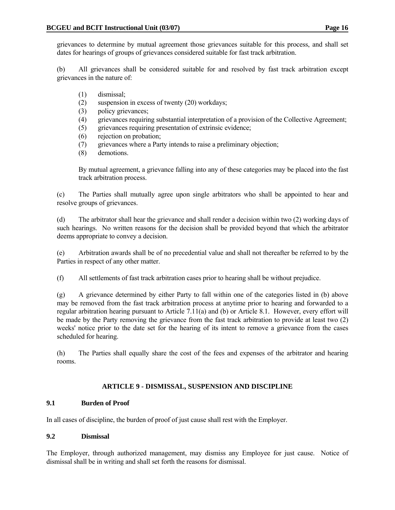grievances to determine by mutual agreement those grievances suitable for this process, and shall set dates for hearings of groups of grievances considered suitable for fast track arbitration.

 (b) All grievances shall be considered suitable for and resolved by fast track arbitration except grievances in the nature of:

- (1) dismissal;
- (2) suspension in excess of twenty (20) workdays;
- (3) policy grievances;
- (4) grievances requiring substantial interpretation of a provision of the Collective Agreement;
- (5) grievances requiring presentation of extrinsic evidence;
- (6) rejection on probation;
- (7) grievances where a Party intends to raise a preliminary objection;
- (8) demotions.

 By mutual agreement, a grievance falling into any of these categories may be placed into the fast track arbitration process.

 (c) The Parties shall mutually agree upon single arbitrators who shall be appointed to hear and resolve groups of grievances.

 (d) The arbitrator shall hear the grievance and shall render a decision within two (2) working days of such hearings. No written reasons for the decision shall be provided beyond that which the arbitrator deems appropriate to convey a decision.

 (e) Arbitration awards shall be of no precedential value and shall not thereafter be referred to by the Parties in respect of any other matter.

(f) All settlements of fast track arbitration cases prior to hearing shall be without prejudice.

 (g) A grievance determined by either Party to fall within one of the categories listed in (b) above may be removed from the fast track arbitration process at anytime prior to hearing and forwarded to a regular arbitration hearing pursuant to Article 7.11(a) and (b) or Article 8.1. However, every effort will be made by the Party removing the grievance from the fast track arbitration to provide at least two (2) weeks' notice prior to the date set for the hearing of its intent to remove a grievance from the cases scheduled for hearing.

 (h) The Parties shall equally share the cost of the fees and expenses of the arbitrator and hearing rooms.

# **ARTICLE 9 - DISMISSAL, SUSPENSION AND DISCIPLINE**

# **9.1 Burden of Proof**

In all cases of discipline, the burden of proof of just cause shall rest with the Employer.

#### **9.2 Dismissal**

The Employer, through authorized management, may dismiss any Employee for just cause. Notice of dismissal shall be in writing and shall set forth the reasons for dismissal.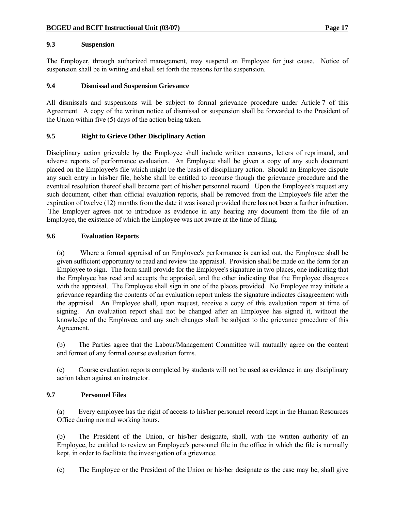#### **9.3 Suspension**

The Employer, through authorized management, may suspend an Employee for just cause. Notice of suspension shall be in writing and shall set forth the reasons for the suspension.

#### **9.4 Dismissal and Suspension Grievance**

All dismissals and suspensions will be subject to formal grievance procedure under Article 7 of this Agreement. A copy of the written notice of dismissal or suspension shall be forwarded to the President of the Union within five (5) days of the action being taken.

### **9.5 Right to Grieve Other Disciplinary Action**

Disciplinary action grievable by the Employee shall include written censures, letters of reprimand, and adverse reports of performance evaluation. An Employee shall be given a copy of any such document placed on the Employee's file which might be the basis of disciplinary action. Should an Employee dispute any such entry in his/her file, he/she shall be entitled to recourse though the grievance procedure and the eventual resolution thereof shall become part of his/her personnel record. Upon the Employee's request any such document, other than official evaluation reports, shall be removed from the Employee's file after the expiration of twelve (12) months from the date it was issued provided there has not been a further infraction. The Employer agrees not to introduce as evidence in any hearing any document from the file of an Employee, the existence of which the Employee was not aware at the time of filing.

#### **9.6 Evaluation Reports**

 (a) Where a formal appraisal of an Employee's performance is carried out, the Employee shall be given sufficient opportunity to read and review the appraisal. Provision shall be made on the form for an Employee to sign. The form shall provide for the Employee's signature in two places, one indicating that the Employee has read and accepts the appraisal, and the other indicating that the Employee disagrees with the appraisal. The Employee shall sign in one of the places provided. No Employee may initiate a grievance regarding the contents of an evaluation report unless the signature indicates disagreement with the appraisal. An Employee shall, upon request, receive a copy of this evaluation report at time of signing. An evaluation report shall not be changed after an Employee has signed it, without the knowledge of the Employee, and any such changes shall be subject to the grievance procedure of this Agreement.

 (b) The Parties agree that the Labour/Management Committee will mutually agree on the content and format of any formal course evaluation forms.

 (c) Course evaluation reports completed by students will not be used as evidence in any disciplinary action taken against an instructor.

#### **9.7 Personnel Files**

 (a) Every employee has the right of access to his/her personnel record kept in the Human Resources Office during normal working hours.

 (b) The President of the Union, or his/her designate, shall, with the written authority of an Employee, be entitled to review an Employee's personnel file in the office in which the file is normally kept, in order to facilitate the investigation of a grievance.

(c) The Employee or the President of the Union or his/her designate as the case may be, shall give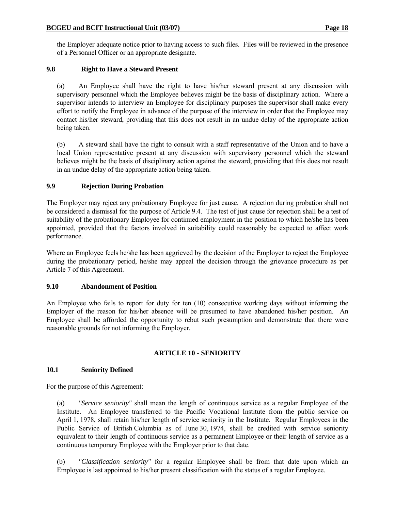the Employer adequate notice prior to having access to such files. Files will be reviewed in the presence of a Personnel Officer or an appropriate designate.

# **9.8 Right to Have a Steward Present**

 (a) An Employee shall have the right to have his/her steward present at any discussion with supervisory personnel which the Employee believes might be the basis of disciplinary action. Where a supervisor intends to interview an Employee for disciplinary purposes the supervisor shall make every effort to notify the Employee in advance of the purpose of the interview in order that the Employee may contact his/her steward, providing that this does not result in an undue delay of the appropriate action being taken.

 (b) A steward shall have the right to consult with a staff representative of the Union and to have a local Union representative present at any discussion with supervisory personnel which the steward believes might be the basis of disciplinary action against the steward; providing that this does not result in an undue delay of the appropriate action being taken.

# **9.9 Rejection During Probation**

The Employer may reject any probationary Employee for just cause. A rejection during probation shall not be considered a dismissal for the purpose of Article 9.4. The test of just cause for rejection shall be a test of suitability of the probationary Employee for continued employment in the position to which he/she has been appointed, provided that the factors involved in suitability could reasonably be expected to affect work performance.

Where an Employee feels he/she has been aggrieved by the decision of the Employer to reject the Employee during the probationary period, he/she may appeal the decision through the grievance procedure as per Article 7 of this Agreement.

# **9.10 Abandonment of Position**

An Employee who fails to report for duty for ten (10) consecutive working days without informing the Employer of the reason for his/her absence will be presumed to have abandoned his/her position. An Employee shall be afforded the opportunity to rebut such presumption and demonstrate that there were reasonable grounds for not informing the Employer.

# **ARTICLE 10 - SENIORITY**

# **10.1 Seniority Defined**

For the purpose of this Agreement:

 (a) *"Service seniority"* shall mean the length of continuous service as a regular Employee of the Institute. An Employee transferred to the Pacific Vocational Institute from the public service on April 1, 1978, shall retain his/her length of service seniority in the Institute. Regular Employees in the Public Service of British Columbia as of June 30, 1974, shall be credited with service seniority equivalent to their length of continuous service as a permanent Employee or their length of service as a continuous temporary Employee with the Employer prior to that date.

 (b) *"Classification seniority"* for a regular Employee shall be from that date upon which an Employee is last appointed to his/her present classification with the status of a regular Employee.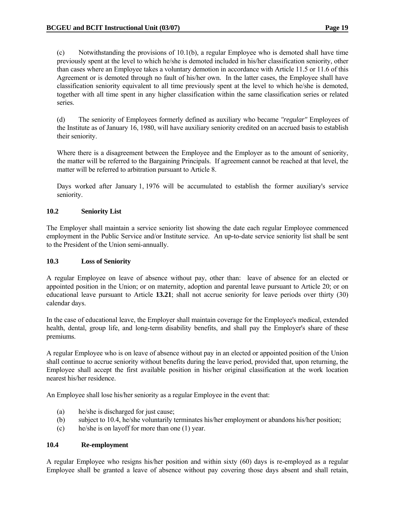(c) Notwithstanding the provisions of 10.1(b), a regular Employee who is demoted shall have time previously spent at the level to which he/she is demoted included in his/her classification seniority, other than cases where an Employee takes a voluntary demotion in accordance with Article 11.5 or 11.6 of this Agreement or is demoted through no fault of his/her own. In the latter cases, the Employee shall have classification seniority equivalent to all time previously spent at the level to which he/she is demoted, together with all time spent in any higher classification within the same classification series or related series.

 (d) The seniority of Employees formerly defined as auxiliary who became *"regular"* Employees of the Institute as of January 16, 1980, will have auxiliary seniority credited on an accrued basis to establish their seniority.

 Where there is a disagreement between the Employee and the Employer as to the amount of seniority, the matter will be referred to the Bargaining Principals. If agreement cannot be reached at that level, the matter will be referred to arbitration pursuant to Article 8.

 Days worked after January 1, 1976 will be accumulated to establish the former auxiliary's service seniority.

### **10.2 Seniority List**

The Employer shall maintain a service seniority list showing the date each regular Employee commenced employment in the Public Service and/or Institute service. An up-to-date service seniority list shall be sent to the President of the Union semi-annually.

#### **10.3 Loss of Seniority**

A regular Employee on leave of absence without pay, other than: leave of absence for an elected or appointed position in the Union; or on maternity, adoption and parental leave pursuant to Article 20; or on educational leave pursuant to Article **13.21**; shall not accrue seniority for leave periods over thirty (30) calendar days.

In the case of educational leave, the Employer shall maintain coverage for the Employee's medical, extended health, dental, group life, and long-term disability benefits, and shall pay the Employer's share of these premiums.

A regular Employee who is on leave of absence without pay in an elected or appointed position of the Union shall continue to accrue seniority without benefits during the leave period, provided that, upon returning, the Employee shall accept the first available position in his/her original classification at the work location nearest his/her residence.

An Employee shall lose his/her seniority as a regular Employee in the event that:

- (a) he/she is discharged for just cause;
- (b) subject to 10.4, he/she voluntarily terminates his/her employment or abandons his/her position;
- (c) he/she is on layoff for more than one (1) year.

#### **10.4 Re-employment**

A regular Employee who resigns his/her position and within sixty (60) days is re-employed as a regular Employee shall be granted a leave of absence without pay covering those days absent and shall retain,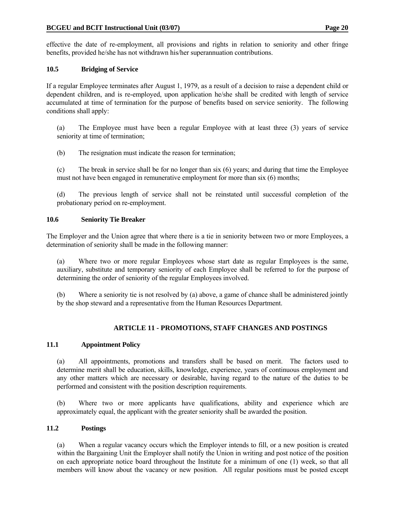effective the date of re-employment, all provisions and rights in relation to seniority and other fringe benefits, provided he/she has not withdrawn his/her superannuation contributions.

# **10.5 Bridging of Service**

If a regular Employee terminates after August 1, 1979, as a result of a decision to raise a dependent child or dependent children, and is re-employed, upon application he/she shall be credited with length of service accumulated at time of termination for the purpose of benefits based on service seniority. The following conditions shall apply:

 (a) The Employee must have been a regular Employee with at least three (3) years of service seniority at time of termination;

(b) The resignation must indicate the reason for termination;

 (c) The break in service shall be for no longer than six (6) years; and during that time the Employee must not have been engaged in remunerative employment for more than six (6) months;

 (d) The previous length of service shall not be reinstated until successful completion of the probationary period on re-employment.

# **10.6 Seniority Tie Breaker**

The Employer and the Union agree that where there is a tie in seniority between two or more Employees, a determination of seniority shall be made in the following manner:

 (a) Where two or more regular Employees whose start date as regular Employees is the same, auxiliary, substitute and temporary seniority of each Employee shall be referred to for the purpose of determining the order of seniority of the regular Employees involved.

 (b) Where a seniority tie is not resolved by (a) above, a game of chance shall be administered jointly by the shop steward and a representative from the Human Resources Department.

# **ARTICLE 11 - PROMOTIONS, STAFF CHANGES AND POSTINGS**

# **11.1 Appointment Policy**

 (a) All appointments, promotions and transfers shall be based on merit. The factors used to determine merit shall be education, skills, knowledge, experience, years of continuous employment and any other matters which are necessary or desirable, having regard to the nature of the duties to be performed and consistent with the position description requirements.

 (b) Where two or more applicants have qualifications, ability and experience which are approximately equal, the applicant with the greater seniority shall be awarded the position.

# **11.2 Postings**

 (a) When a regular vacancy occurs which the Employer intends to fill, or a new position is created within the Bargaining Unit the Employer shall notify the Union in writing and post notice of the position on each appropriate notice board throughout the Institute for a minimum of one (1) week, so that all members will know about the vacancy or new position. All regular positions must be posted except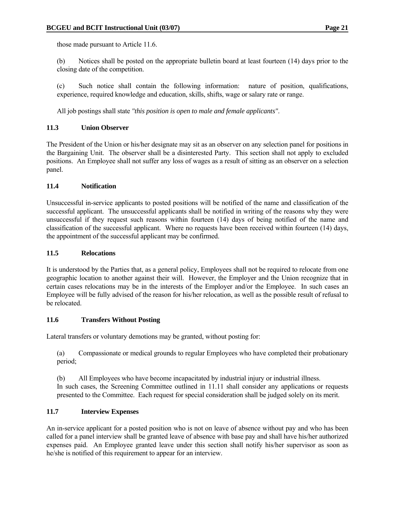those made pursuant to Article 11.6.

 (b) Notices shall be posted on the appropriate bulletin board at least fourteen (14) days prior to the closing date of the competition.

 (c) Such notice shall contain the following information: nature of position, qualifications, experience, required knowledge and education, skills, shifts, wage or salary rate or range.

All job postings shall state *"this position is open to male and female applicants"*.

### **11.3 Union Observer**

The President of the Union or his/her designate may sit as an observer on any selection panel for positions in the Bargaining Unit. The observer shall be a disinterested Party. This section shall not apply to excluded positions. An Employee shall not suffer any loss of wages as a result of sitting as an observer on a selection panel.

### **11.4 Notification**

Unsuccessful in-service applicants to posted positions will be notified of the name and classification of the successful applicant. The unsuccessful applicants shall be notified in writing of the reasons why they were unsuccessful if they request such reasons within fourteen (14) days of being notified of the name and classification of the successful applicant. Where no requests have been received within fourteen (14) days, the appointment of the successful applicant may be confirmed.

#### **11.5 Relocations**

It is understood by the Parties that, as a general policy, Employees shall not be required to relocate from one geographic location to another against their will. However, the Employer and the Union recognize that in certain cases relocations may be in the interests of the Employer and/or the Employee. In such cases an Employee will be fully advised of the reason for his/her relocation, as well as the possible result of refusal to be relocated.

#### **11.6 Transfers Without Posting**

Lateral transfers or voluntary demotions may be granted, without posting for:

 (a) Compassionate or medical grounds to regular Employees who have completed their probationary period;

 (b) All Employees who have become incapacitated by industrial injury or industrial illness. In such cases, the Screening Committee outlined in 11.11 shall consider any applications or requests presented to the Committee. Each request for special consideration shall be judged solely on its merit.

#### **11.7 Interview Expenses**

An in-service applicant for a posted position who is not on leave of absence without pay and who has been called for a panel interview shall be granted leave of absence with base pay and shall have his/her authorized expenses paid. An Employee granted leave under this section shall notify his/her supervisor as soon as he/she is notified of this requirement to appear for an interview.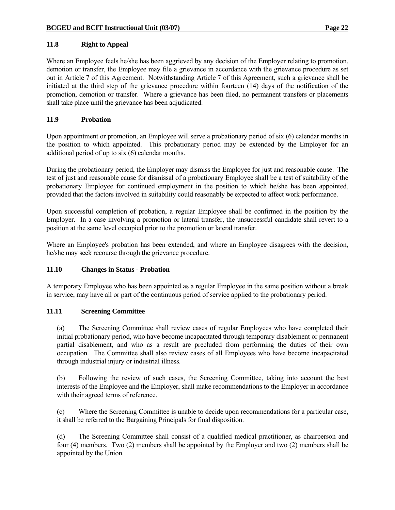### **11.8 Right to Appeal**

Where an Employee feels he/she has been aggrieved by any decision of the Employer relating to promotion, demotion or transfer, the Employee may file a grievance in accordance with the grievance procedure as set out in Article 7 of this Agreement. Notwithstanding Article 7 of this Agreement, such a grievance shall be initiated at the third step of the grievance procedure within fourteen (14) days of the notification of the promotion, demotion or transfer. Where a grievance has been filed, no permanent transfers or placements shall take place until the grievance has been adjudicated.

### **11.9 Probation**

Upon appointment or promotion, an Employee will serve a probationary period of six (6) calendar months in the position to which appointed. This probationary period may be extended by the Employer for an additional period of up to six (6) calendar months.

During the probationary period, the Employer may dismiss the Employee for just and reasonable cause. The test of just and reasonable cause for dismissal of a probationary Employee shall be a test of suitability of the probationary Employee for continued employment in the position to which he/she has been appointed, provided that the factors involved in suitability could reasonably be expected to affect work performance.

Upon successful completion of probation, a regular Employee shall be confirmed in the position by the Employer. In a case involving a promotion or lateral transfer, the unsuccessful candidate shall revert to a position at the same level occupied prior to the promotion or lateral transfer.

Where an Employee's probation has been extended, and where an Employee disagrees with the decision, he/she may seek recourse through the grievance procedure.

#### **11.10 Changes in Status - Probation**

A temporary Employee who has been appointed as a regular Employee in the same position without a break in service, may have all or part of the continuous period of service applied to the probationary period.

#### **11.11 Screening Committee**

 (a) The Screening Committee shall review cases of regular Employees who have completed their initial probationary period, who have become incapacitated through temporary disablement or permanent partial disablement, and who as a result are precluded from performing the duties of their own occupation. The Committee shall also review cases of all Employees who have become incapacitated through industrial injury or industrial illness.

 (b) Following the review of such cases, the Screening Committee, taking into account the best interests of the Employee and the Employer, shall make recommendations to the Employer in accordance with their agreed terms of reference.

 (c) Where the Screening Committee is unable to decide upon recommendations for a particular case, it shall be referred to the Bargaining Principals for final disposition.

 (d) The Screening Committee shall consist of a qualified medical practitioner, as chairperson and four (4) members. Two (2) members shall be appointed by the Employer and two (2) members shall be appointed by the Union.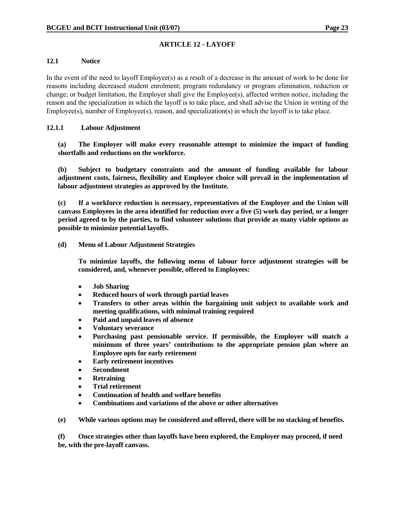# **ARTICLE 12 - LAYOFF**

#### **12.1 Notice**

In the event of the need to layoff Employee(s) as a result of a decrease in the amount of work to be done for reasons including decreased student enrolment; program redundancy or program elimination, reduction or change; or budget limitation, the Employer shall give the Employee(s), affected written notice, including the reason and the specialization in which the layoff is to take place, and shall advise the Union in writing of the Employee(s), number of Employee(s), reason, and specialization(s) in which the layoff is to take place.

### **12.1.1 Labour Adjustment**

**(a) The Employer will make every reasonable attempt to minimize the impact of funding shortfalls and reductions on the workforce.** 

**(b) Subject to budgetary constraints and the amount of funding available for labour adjustment costs, fairness, flexibility and Employee choice will prevail in the implementation of labour adjustment strategies as approved by the Institute.** 

**(c) If a workforce reduction is necessary, representatives of the Employer and the Union will canvass Employees in the area identified for reduction over a five (5) work day period, or a longer period agreed to by the parties, to find volunteer solutions that provide as many viable options as possible to minimize potential layoffs.** 

**(d) Menu of Labour Adjustment Strategies** 

**To minimize layoffs, the following menu of labour force adjustment strategies will be considered, and, whenever possible, offered to Employees:** 

- **Job Sharing**
- **Reduced hours of work through partial leaves**
- **Transfers to other areas within the bargaining unit subject to available work and meeting qualifications, with minimal training required**
- **Paid and unpaid leaves of absence**
- **Voluntary severance**
- **Purchasing past pensionable service. If permissible, the Employer will match a minimum of three years' contributions to the appropriate pension plan where an Employee opts for early retirement**
- **Early retirement incentives**
- **Secondment**
- **Retraining**
- **Trial retirement**
- **Continuation of health and welfare benefits**
- **Combinations and variations of the above or other alternatives**

 **(e) While various options may be considered and offered, there will be no stacking of benefits.** 

 **(f) Once strategies other than layoffs have been explored, the Employer may proceed, if need be, with the pre-layoff canvass.**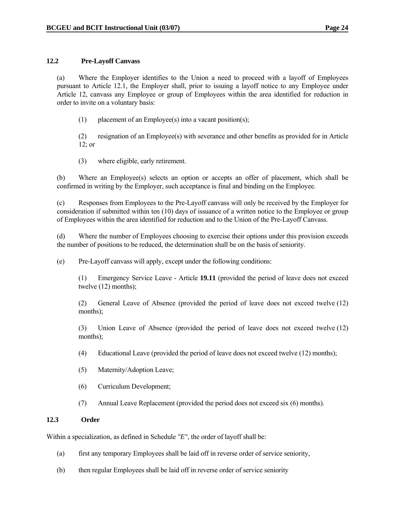# **12.2 Pre-Layoff Canvass**

 (a) Where the Employer identifies to the Union a need to proceed with a layoff of Employees pursuant to Article 12.1, the Employer shall, prior to issuing a layoff notice to any Employee under Article 12, canvass any Employee or group of Employees within the area identified for reduction in order to invite on a voluntary basis:

(1) placement of an Employee(s) into a vacant position(s);

 (2) resignation of an Employee(s) with severance and other benefits as provided for in Article 12; or

(3) where eligible, early retirement.

 (b) Where an Employee(s) selects an option or accepts an offer of placement, which shall be confirmed in writing by the Employer, such acceptance is final and binding on the Employee.

 (c) Responses from Employees to the Pre-Layoff canvass will only be received by the Employer for consideration if submitted within ten (10) days of issuance of a written notice to the Employee or group of Employees within the area identified for reduction and to the Union of the Pre-Layoff Canvass.

 (d) Where the number of Employees choosing to exercise their options under this provision exceeds the number of positions to be reduced, the determination shall be on the basis of seniority.

(e) Pre-Layoff canvass will apply, except under the following conditions:

 (1) Emergency Service Leave - Article **19.11** (provided the period of leave does not exceed twelve (12) months);

 (2) General Leave of Absence (provided the period of leave does not exceed twelve (12) months);

 (3) Union Leave of Absence (provided the period of leave does not exceed twelve (12) months);

- (4) Educational Leave (provided the period of leave does not exceed twelve (12) months);
- (5) Maternity/Adoption Leave;
- (6) Curriculum Development;
- (7) Annual Leave Replacement (provided the period does not exceed six (6) months).

#### **12.3 Order**

Within a specialization, as defined in Schedule *"E"*, the order of layoff shall be:

- (a) first any temporary Employees shall be laid off in reverse order of service seniority,
- (b) then regular Employees shall be laid off in reverse order of service seniority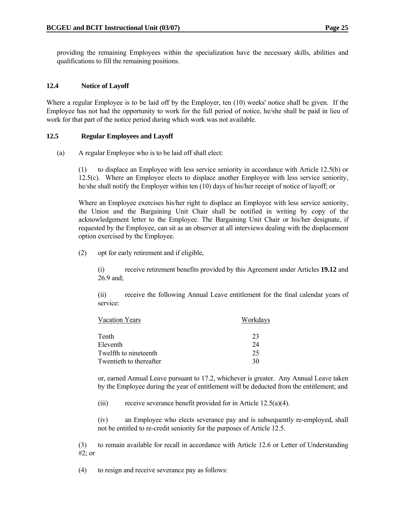providing the remaining Employees within the specialization have the necessary skills, abilities and qualifications to fill the remaining positions.

### **12.4 Notice of Layoff**

Where a regular Employee is to be laid off by the Employer, ten (10) weeks' notice shall be given. If the Employee has not had the opportunity to work for the full period of notice, he/she shall be paid in lieu of work for that part of the notice period during which work was not available.

### **12.5 Regular Employees and Layoff**

(a) A regular Employee who is to be laid off shall elect:

 (1) to displace an Employee with less service seniority in accordance with Article 12.5(b) or 12.5(c). Where an Employee elects to displace another Employee with less service seniority, he/she shall notify the Employer within ten (10) days of his/her receipt of notice of layoff; or

 Where an Employee exercises his/her right to displace an Employee with less service seniority, the Union and the Bargaining Unit Chair shall be notified in writing by copy of the acknowledgement letter to the Employee. The Bargaining Unit Chair or his/her designate, if requested by the Employee, can sit as an observer at all interviews dealing with the displacement option exercised by the Employee.

(2) opt for early retirement and if eligible,

 (i) receive retirement benefits provided by this Agreement under Articles **19.12** and 26.9 and;

 (ii) receive the following Annual Leave entitlement for the final calendar years of service:

| <b>Vacation Years</b>   | Workdays |
|-------------------------|----------|
| Tenth                   | 23       |
| Eleventh                | 24       |
| Twelfth to nineteenth   | 25       |
| Twentieth to thereafter | 30       |

 or, earned Annual Leave pursuant to 17.2, whichever is greater. Any Annual Leave taken by the Employee during the year of entitlement will be deducted from the entitlement; and

(iii) receive severance benefit provided for in Article 12.5(a)(4).

 (iv) an Employee who elects severance pay and is subsequently re-employed, shall not be entitled to re-credit seniority for the purposes of Article 12.5.

 (3) to remain available for recall in accordance with Article 12.6 or Letter of Understanding #2; or

(4) to resign and receive severance pay as follows: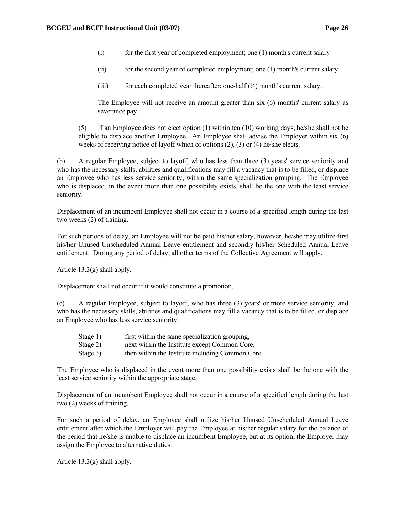- (i) for the first year of completed employment; one (1) month's current salary
- (ii) for the second year of completed employment; one (1) month's current salary
- (iii) for each completed year thereafter; one-half  $(\frac{1}{2})$  month's current salary.

 The Employee will not receive an amount greater than six (6) months' current salary as severance pay.

 (5) If an Employee does not elect option (1) within ten (10) working days, he/she shall not be eligible to displace another Employee. An Employee shall advise the Employer within six (6) weeks of receiving notice of layoff which of options (2), (3) or (4) he/she elects.

 (b) A regular Employee, subject to layoff, who has less than three (3) years' service seniority and who has the necessary skills, abilities and qualifications may fill a vacancy that is to be filled, or displace an Employee who has less service seniority, within the same specialization grouping. The Employee who is displaced, in the event more than one possibility exists, shall be the one with the least service seniority.

 Displacement of an incumbent Employee shall not occur in a course of a specified length during the last two weeks (2) of training.

 For such periods of delay, an Employee will not be paid his/her salary, however, he/she may utilize first his/her Unused Unscheduled Annual Leave entitlement and secondly his/her Scheduled Annual Leave entitlement. During any period of delay, all other terms of the Collective Agreement will apply.

Article 13.3(g) shall apply.

Displacement shall not occur if it would constitute a promotion.

 (c) A regular Employee, subject to layoff, who has three (3) years' or more service seniority, and who has the necessary skills, abilities and qualifications may fill a vacancy that is to be filled, or displace an Employee who has less service seniority:

- Stage 1) first within the same specialization grouping,
- Stage 2) next within the Institute except Common Core,
- Stage 3) then within the Institute including Common Core.

 The Employee who is displaced in the event more than one possibility exists shall be the one with the least service seniority within the appropriate stage.

 Displacement of an incumbent Employee shall not occur in a course of a specified length during the last two (2) weeks of training.

 For such a period of delay, an Employee shall utilize his/her Unused Unscheduled Annual Leave entitlement after which the Employer will pay the Employee at his/her regular salary for the balance of the period that he/she is unable to displace an incumbent Employee, but at its option, the Employer may assign the Employee to alternative duties.

Article 13.3(g) shall apply.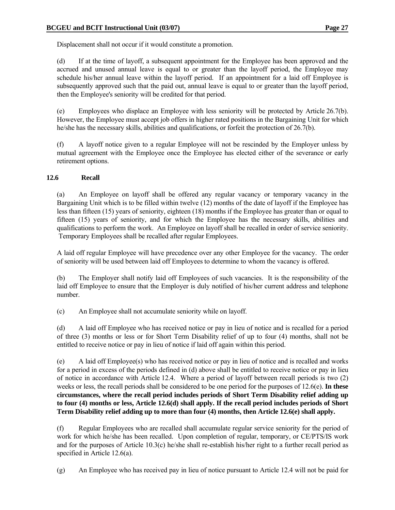Displacement shall not occur if it would constitute a promotion.

 (d) If at the time of layoff, a subsequent appointment for the Employee has been approved and the accrued and unused annual leave is equal to or greater than the layoff period, the Employee may schedule his/her annual leave within the layoff period. If an appointment for a laid off Employee is subsequently approved such that the paid out, annual leave is equal to or greater than the layoff period, then the Employee's seniority will be credited for that period.

 (e) Employees who displace an Employee with less seniority will be protected by Article 26.7(b). However, the Employee must accept job offers in higher rated positions in the Bargaining Unit for which he/she has the necessary skills, abilities and qualifications, or forfeit the protection of 26.7(b).

 (f) A layoff notice given to a regular Employee will not be rescinded by the Employer unless by mutual agreement with the Employee once the Employee has elected either of the severance or early retirement options.

# **12.6 Recall**

 (a) An Employee on layoff shall be offered any regular vacancy or temporary vacancy in the Bargaining Unit which is to be filled within twelve (12) months of the date of layoff if the Employee has less than fifteen (15) years of seniority, eighteen (18) months if the Employee has greater than or equal to fifteen (15) years of seniority, and for which the Employee has the necessary skills, abilities and qualifications to perform the work. An Employee on layoff shall be recalled in order of service seniority. Temporary Employees shall be recalled after regular Employees.

 A laid off regular Employee will have precedence over any other Employee for the vacancy. The order of seniority will be used between laid off Employees to determine to whom the vacancy is offered.

 (b) The Employer shall notify laid off Employees of such vacancies. It is the responsibility of the laid off Employee to ensure that the Employer is duly notified of his/her current address and telephone number.

(c) An Employee shall not accumulate seniority while on layoff.

 (d) A laid off Employee who has received notice or pay in lieu of notice and is recalled for a period of three (3) months or less or for Short Term Disability relief of up to four (4) months, shall not be entitled to receive notice or pay in lieu of notice if laid off again within this period.

 (e) A laid off Employee(s) who has received notice or pay in lieu of notice and is recalled and works for a period in excess of the periods defined in (d) above shall be entitled to receive notice or pay in lieu of notice in accordance with Article 12.4. Where a period of layoff between recall periods is two (2) weeks or less, the recall periods shall be considered to be one period for the purposes of 12.6(e). **In these circumstances, where the recall period includes periods of Short Term Disability relief adding up to four (4) months or less, Article 12.6(d) shall apply. If the recall period includes periods of Short Term Disability relief adding up to more than four (4) months, then Article 12.6(e) shall apply.** 

 (f) Regular Employees who are recalled shall accumulate regular service seniority for the period of work for which he/she has been recalled. Upon completion of regular, temporary, or CE/PTS/IS work and for the purposes of Article 10.3(c) he/she shall re-establish his/her right to a further recall period as specified in Article 12.6(a).

(g) An Employee who has received pay in lieu of notice pursuant to Article 12.4 will not be paid for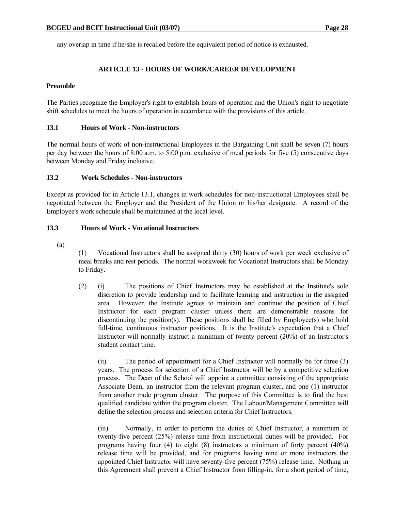any overlap in time if he/she is recalled before the equivalent period of notice is exhausted.

# **ARTICLE 13 - HOURS OF WORK/CAREER DEVELOPMENT**

#### **Preamble**

The Parties recognize the Employer's right to establish hours of operation and the Union's right to negotiate shift schedules to meet the hours of operation in accordance with the provisions of this article.

#### **13.1 Hours of Work - Non-instructors**

The normal hours of work of non-instructional Employees in the Bargaining Unit shall be seven (7) hours per day between the hours of 8:00 a.m. to 5:00 p.m. exclusive of meal periods for five (5) consecutive days between Monday and Friday inclusive.

#### **13.2 Work Schedules - Non-instructors**

Except as provided for in Article 13.1, changes in work schedules for non-instructional Employees shall be negotiated between the Employer and the President of the Union or his/her designate. A record of the Employee's work schedule shall be maintained at the local level.

#### **13.3 Hours of Work - Vocational Instructors**

(a)

 (1) Vocational Instructors shall be assigned thirty (30) hours of work per week exclusive of meal breaks and rest periods. The normal workweek for Vocational Instructors shall be Monday to Friday.

 (2) (i) The positions of Chief Instructors may be established at the Institute's sole discretion to provide leadership and to facilitate learning and instruction in the assigned area. However, the Institute agrees to maintain and continue the position of Chief Instructor for each program cluster unless there are demonstrable reasons for discontinuing the position(s). These positions shall be filled by Employee(s) who hold full-time, continuous instructor positions. It is the Institute's expectation that a Chief Instructor will normally instruct a minimum of twenty percent (20%) of an Instructor's student contact time.

 (ii) The period of appointment for a Chief Instructor will normally be for three (3) years. The process for selection of a Chief Instructor will be by a competitive selection process. The Dean of the School will appoint a committee consisting of the appropriate Associate Dean, an instructor from the relevant program cluster, and one (1) instructor from another trade program cluster. The purpose of this Committee is to find the best qualified candidate within the program cluster. The Labour/Management Committee will define the selection process and selection criteria for Chief Instructors.

 (iii) Normally, in order to perform the duties of Chief Instructor, a minimum of twenty-five percent (25%) release time from instructional duties will be provided. For programs having four (4) to eight (8) instructors a minimum of forty percent (40%) release time will be provided, and for programs having nine or more instructors the appointed Chief Instructor will have seventy-five percent (75%) release time. Nothing in this Agreement shall prevent a Chief Instructor from filling-in, for a short period of time,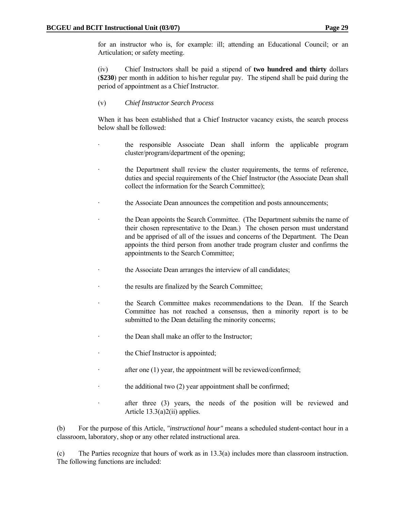for an instructor who is, for example: ill; attending an Educational Council; or an Articulation; or safety meeting.

 (iv) Chief Instructors shall be paid a stipend of **two hundred and thirty** dollars (**\$230**) per month in addition to his/her regular pay. The stipend shall be paid during the period of appointment as a Chief Instructor.

# (v) *Chief Instructor Search Process*

 When it has been established that a Chief Instructor vacancy exists, the search process below shall be followed:

- the responsible Associate Dean shall inform the applicable program cluster/program/department of the opening;
- the Department shall review the cluster requirements, the terms of reference, duties and special requirements of the Chief Instructor (the Associate Dean shall collect the information for the Search Committee);
- the Associate Dean announces the competition and posts announcements;
- the Dean appoints the Search Committee. (The Department submits the name of their chosen representative to the Dean.) The chosen person must understand and be apprised of all of the issues and concerns of the Department. The Dean appoints the third person from another trade program cluster and confirms the appointments to the Search Committee;
- the Associate Dean arranges the interview of all candidates;
- the results are finalized by the Search Committee;
- · the Search Committee makes recommendations to the Dean. If the Search Committee has not reached a consensus, then a minority report is to be submitted to the Dean detailing the minority concerns;
- the Dean shall make an offer to the Instructor;
- the Chief Instructor is appointed;
- after one  $(1)$  year, the appointment will be reviewed/confirmed;
- the additional two  $(2)$  year appointment shall be confirmed;
- · after three (3) years, the needs of the position will be reviewed and Article 13.3(a)2(ii) applies.

 (b) For the purpose of this Article, *"instructional hour"* means a scheduled student-contact hour in a classroom, laboratory, shop or any other related instructional area.

 (c) The Parties recognize that hours of work as in 13.3(a) includes more than classroom instruction. The following functions are included: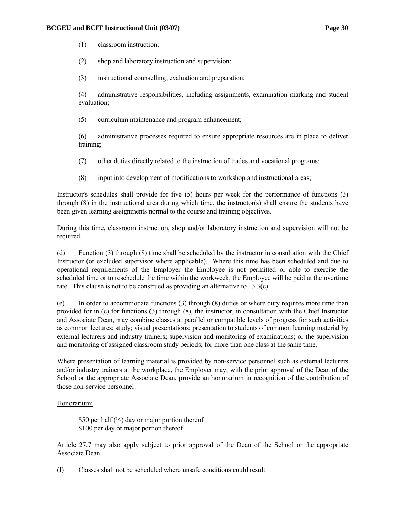(1) classroom instruction;

(2) shop and laboratory instruction and supervision;

(3) instructional counselling, evaluation and preparation;

 (4) administrative responsibilities, including assignments, examination marking and student evaluation;

(5) curriculum maintenance and program enhancement;

 (6) administrative processes required to ensure appropriate resources are in place to deliver training;

- (7) other duties directly related to the instruction of trades and vocational programs;
- (8) input into development of modifications to workshop and instructional areas;

 Instructor's schedules shall provide for five (5) hours per week for the performance of functions (3) through (8) in the instructional area during which time, the instructor(s) shall ensure the students have been given learning assignments normal to the course and training objectives.

 During this time, classroom instruction, shop and/or laboratory instruction and supervision will not be required.

 (d) Function (3) through (8) time shall be scheduled by the instructor in consultation with the Chief Instructor (or excluded supervisor where applicable). Where this time has been scheduled and due to operational requirements of the Employer the Employee is not permitted or able to exercise the scheduled time or to reschedule the time within the workweek, the Employee will be paid at the overtime rate. This clause is not to be construed as providing an alternative to 13.3(c).

 (e) In order to accommodate functions (3) through (8) duties or where duty requires more time than provided for in (c) for functions (3) through (8), the instructor, in consultation with the Chief Instructor and Associate Dean, may combine classes at parallel or compatible levels of progress for such activities as common lectures; study; visual presentations; presentation to students of common learning material by external lecturers and industry trainers; supervision and monitoring of examinations; or the supervision and monitoring of assigned classroom study periods; for more than one class at the same time.

 Where presentation of learning material is provided by non-service personnel such as external lecturers and/or industry trainers at the workplace, the Employer may, with the prior approval of the Dean of the School or the appropriate Associate Dean, provide an honorarium in recognition of the contribution of those non-service personnel.

#### Honorarium:

\$50 per half  $\left(\frac{1}{2}\right)$  day or major portion thereof \$100 per day or major portion thereof

 Article 27.7 may also apply subject to prior approval of the Dean of the School or the appropriate Associate Dean.

(f) Classes shall not be scheduled where unsafe conditions could result.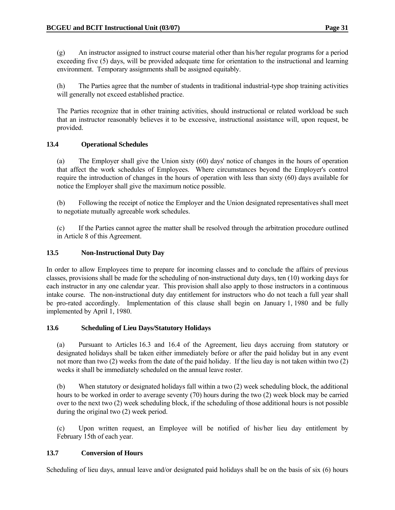(g) An instructor assigned to instruct course material other than his/her regular programs for a period exceeding five (5) days, will be provided adequate time for orientation to the instructional and learning environment. Temporary assignments shall be assigned equitably.

 (h) The Parties agree that the number of students in traditional industrial-type shop training activities will generally not exceed established practice.

 The Parties recognize that in other training activities, should instructional or related workload be such that an instructor reasonably believes it to be excessive, instructional assistance will, upon request, be provided.

### **13.4 Operational Schedules**

 (a) The Employer shall give the Union sixty (60) days' notice of changes in the hours of operation that affect the work schedules of Employees. Where circumstances beyond the Employer's control require the introduction of changes in the hours of operation with less than sixty (60) days available for notice the Employer shall give the maximum notice possible.

 (b) Following the receipt of notice the Employer and the Union designated representatives shall meet to negotiate mutually agreeable work schedules.

 (c) If the Parties cannot agree the matter shall be resolved through the arbitration procedure outlined in Article 8 of this Agreement.

# **13.5 Non-Instructional Duty Day**

In order to allow Employees time to prepare for incoming classes and to conclude the affairs of previous classes, provisions shall be made for the scheduling of non-instructional duty days, ten (10) working days for each instructor in any one calendar year. This provision shall also apply to those instructors in a continuous intake course. The non-instructional duty day entitlement for instructors who do not teach a full year shall be pro-rated accordingly. Implementation of this clause shall begin on January 1, 1980 and be fully implemented by April 1, 1980.

#### **13.6 Scheduling of Lieu Days/Statutory Holidays**

 (a) Pursuant to Articles 16.3 and 16.4 of the Agreement, lieu days accruing from statutory or designated holidays shall be taken either immediately before or after the paid holiday but in any event not more than two (2) weeks from the date of the paid holiday. If the lieu day is not taken within two (2) weeks it shall be immediately scheduled on the annual leave roster.

 (b) When statutory or designated holidays fall within a two (2) week scheduling block, the additional hours to be worked in order to average seventy (70) hours during the two (2) week block may be carried over to the next two (2) week scheduling block, if the scheduling of those additional hours is not possible during the original two (2) week period.

 (c) Upon written request, an Employee will be notified of his/her lieu day entitlement by February 15th of each year.

# **13.7 Conversion of Hours**

Scheduling of lieu days, annual leave and/or designated paid holidays shall be on the basis of six (6) hours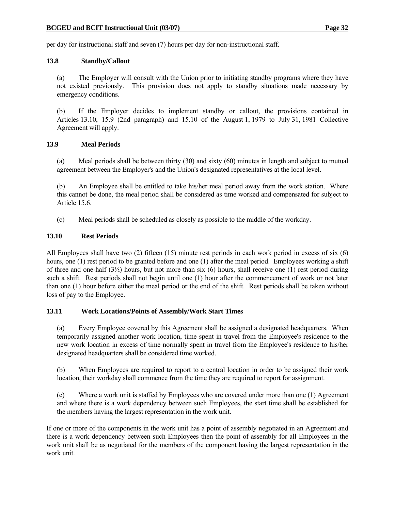per day for instructional staff and seven (7) hours per day for non-instructional staff.

#### **13.8 Standby/Callout**

 (a) The Employer will consult with the Union prior to initiating standby programs where they have not existed previously. This provision does not apply to standby situations made necessary by emergency conditions.

 (b) If the Employer decides to implement standby or callout, the provisions contained in Articles 13.10, 15.9 (2nd paragraph) and 15.10 of the August 1, 1979 to July 31, 1981 Collective Agreement will apply.

### **13.9 Meal Periods**

 (a) Meal periods shall be between thirty (30) and sixty (60) minutes in length and subject to mutual agreement between the Employer's and the Union's designated representatives at the local level.

 (b) An Employee shall be entitled to take his/her meal period away from the work station. Where this cannot be done, the meal period shall be considered as time worked and compensated for subject to Article 15.6.

(c) Meal periods shall be scheduled as closely as possible to the middle of the workday.

### **13.10 Rest Periods**

All Employees shall have two (2) fifteen (15) minute rest periods in each work period in excess of six (6) hours, one (1) rest period to be granted before and one (1) after the meal period. Employees working a shift of three and one-half  $(3\frac{1}{2})$  hours, but not more than six (6) hours, shall receive one (1) rest period during such a shift. Rest periods shall not begin until one (1) hour after the commencement of work or not later than one (1) hour before either the meal period or the end of the shift. Rest periods shall be taken without loss of pay to the Employee.

#### **13.11 Work Locations/Points of Assembly/Work Start Times**

 (a) Every Employee covered by this Agreement shall be assigned a designated headquarters. When temporarily assigned another work location, time spent in travel from the Employee's residence to the new work location in excess of time normally spent in travel from the Employee's residence to his/her designated headquarters shall be considered time worked.

 (b) When Employees are required to report to a central location in order to be assigned their work location, their workday shall commence from the time they are required to report for assignment.

 (c) Where a work unit is staffed by Employees who are covered under more than one (1) Agreement and where there is a work dependency between such Employees, the start time shall be established for the members having the largest representation in the work unit.

If one or more of the components in the work unit has a point of assembly negotiated in an Agreement and there is a work dependency between such Employees then the point of assembly for all Employees in the work unit shall be as negotiated for the members of the component having the largest representation in the work unit.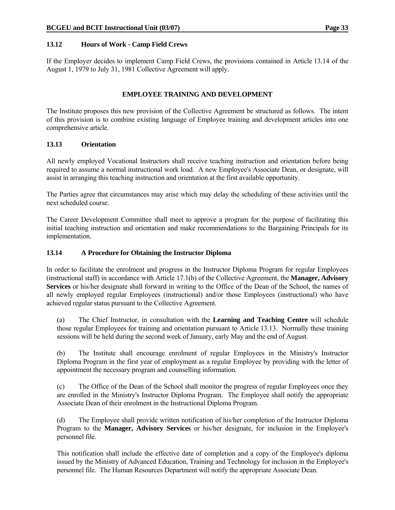### **13.12 Hours of Work - Camp Field Crews**

If the Employer decides to implement Camp Field Crews, the provisions contained in Article 13.14 of the August 1, 1979 to July 31, 1981 Collective Agreement will apply.

### **EMPLOYEE TRAINING AND DEVELOPMENT**

The Institute proposes this new provision of the Collective Agreement be structured as follows. The intent of this provision is to combine existing language of Employee training and development articles into one comprehensive article.

#### **13.13 Orientation**

All newly employed Vocational Instructors shall receive teaching instruction and orientation before being required to assume a normal instructional work load. A new Employee's Associate Dean, or designate, will assist in arranging this teaching instruction and orientation at the first available opportunity.

The Parties agree that circumstances may arise which may delay the scheduling of these activities until the next scheduled course.

The Career Development Committee shall meet to approve a program for the purpose of facilitating this initial teaching instruction and orientation and make recommendations to the Bargaining Principals for its implementation.

#### **13.14 A Procedure for Obtaining the Instructor Diploma**

In order to facilitate the enrolment and progress in the Instructor Diploma Program for regular Employees (instructional staff) in accordance with Article 17.1(b) of the Collective Agreement, the **Manager, Advisory Services** or his/her designate shall forward in writing to the Office of the Dean of the School, the names of all newly employed regular Employees (instructional) and/or those Employees (instructional) who have achieved regular status pursuant to the Collective Agreement.

 (a) The Chief Instructor, in consultation with the **Learning and Teaching Centre** will schedule those regular Employees for training and orientation pursuant to Article 13.13. Normally these training sessions will be held during the second week of January, early May and the end of August.

(b) The Institute shall encourage enrolment of regular Employees in the Ministry's Instructor Diploma Program in the first year of employment as a regular Employee by providing with the letter of appointment the necessary program and counselling information.

 (c) The Office of the Dean of the School shall monitor the progress of regular Employees once they are enrolled in the Ministry's Instructor Diploma Program. The Employee shall notify the appropriate Associate Dean of their enrolment in the Instructional Diploma Program.

 (d) The Employee shall provide written notification of his/her completion of the Instructor Diploma Program to the **Manager, Advisory Services** or his/her designate, for inclusion in the Employee's personnel file.

 This notification shall include the effective date of completion and a copy of the Employee's diploma issued by the Ministry of Advanced Education, Training and Technology for inclusion in the Employee's personnel file. The Human Resources Department will notify the appropriate Associate Dean.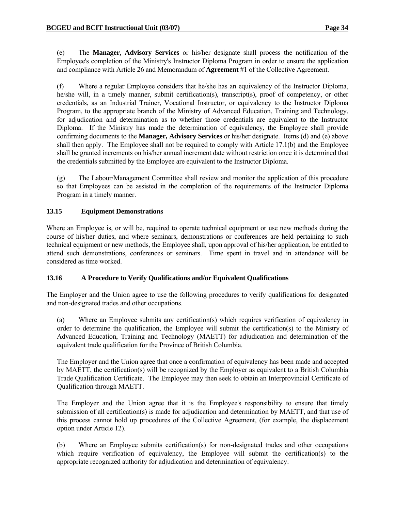(e) The **Manager, Advisory Services** or his/her designate shall process the notification of the Employee's completion of the Ministry's Instructor Diploma Program in order to ensure the application and compliance with Article 26 and Memorandum of **Agreement** #1 of the Collective Agreement.

 (f) Where a regular Employee considers that he/she has an equivalency of the Instructor Diploma, he/she will, in a timely manner, submit certification(s), transcript(s), proof of competency, or other credentials, as an Industrial Trainer, Vocational Instructor, or equivalency to the Instructor Diploma Program, to the appropriate branch of the Ministry of Advanced Education, Training and Technology, for adjudication and determination as to whether those credentials are equivalent to the Instructor Diploma. If the Ministry has made the determination of equivalency, the Employee shall provide confirming documents to the **Manager, Advisory Services** or his/her designate. Items (d) and (e) above shall then apply. The Employee shall not be required to comply with Article 17.1(b) and the Employee shall be granted increments on his/her annual increment date without restriction once it is determined that the credentials submitted by the Employee are equivalent to the Instructor Diploma.

 (g) The Labour/Management Committee shall review and monitor the application of this procedure so that Employees can be assisted in the completion of the requirements of the Instructor Diploma Program in a timely manner.

### **13.15 Equipment Demonstrations**

Where an Employee is, or will be, required to operate technical equipment or use new methods during the course of his/her duties, and where seminars, demonstrations or conferences are held pertaining to such technical equipment or new methods, the Employee shall, upon approval of his/her application, be entitled to attend such demonstrations, conferences or seminars. Time spent in travel and in attendance will be considered as time worked.

# **13.16 A Procedure to Verify Qualifications and/or Equivalent Qualifications**

The Employer and the Union agree to use the following procedures to verify qualifications for designated and non-designated trades and other occupations.

 (a) Where an Employee submits any certification(s) which requires verification of equivalency in order to determine the qualification, the Employee will submit the certification(s) to the Ministry of Advanced Education, Training and Technology (MAETT) for adjudication and determination of the equivalent trade qualification for the Province of British Columbia.

 The Employer and the Union agree that once a confirmation of equivalency has been made and accepted by MAETT, the certification(s) will be recognized by the Employer as equivalent to a British Columbia Trade Qualification Certificate. The Employee may then seek to obtain an Interprovincial Certificate of Qualification through MAETT.

 The Employer and the Union agree that it is the Employee's responsibility to ensure that timely submission of all certification(s) is made for adjudication and determination by MAETT, and that use of this process cannot hold up procedures of the Collective Agreement, (for example, the displacement option under Article 12).

(b) Where an Employee submits certification(s) for non-designated trades and other occupations which require verification of equivalency, the Employee will submit the certification(s) to the appropriate recognized authority for adjudication and determination of equivalency.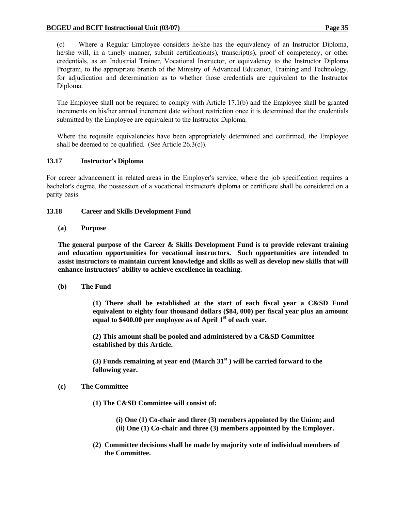(c) Where a Regular Employee considers he/she has the equivalency of an Instructor Diploma, he/she will, in a timely manner, submit certification(s), transcript(s), proof of competency, or other credentials, as an Industrial Trainer, Vocational Instructor, or equivalency to the Instructor Diploma Program, to the appropriate branch of the Ministry of Advanced Education, Training and Technology, for adjudication and determination as to whether those credentials are equivalent to the Instructor Diploma.

 The Employee shall not be required to comply with Article 17.1(b) and the Employee shall be granted increments on his/her annual increment date without restriction once it is determined that the credentials submitted by the Employee are equivalent to the Instructor Diploma.

 Where the requisite equivalencies have been appropriately determined and confirmed, the Employee shall be deemed to be qualified. (See Article  $26.3(c)$ ).

# **13.17 Instructor's Diploma**

For career advancement in related areas in the Employer's service, where the job specification requires a bachelor's degree, the possession of a vocational instructor's diploma or certificate shall be considered on a parity basis.

# **13.18 Career and Skills Development Fund**

### **(a) Purpose**

**The general purpose of the Career & Skills Development Fund is to provide relevant training and education opportunities for vocational instructors. Such opportunities are intended to assist instructors to maintain current knowledge and skills as well as develop new skills that will enhance instructors' ability to achieve excellence in teaching.** 

**(b) The Fund** 

**(1) There shall be established at the start of each fiscal year a C&SD Fund equivalent to eighty four thousand dollars (\$84, 000) per fiscal year plus an amount equal to \$400.00 per employee as of April 1st of each year.** 

**(2) This amount shall be pooled and administered by a C&SD Committee established by this Article.** 

**(3) Funds remaining at year end (March 31st ) will be carried forward to the following year.** 

# **(c) The Committee**

- **(1) The C&SD Committee will consist of:** 
	- **(i) One (1) Co-chair and three (3) members appointed by the Union; and (ii) One (1) Co-chair and three (3) members appointed by the Employer.**
- **(2) Committee decisions shall be made by majority vote of individual members of the Committee.**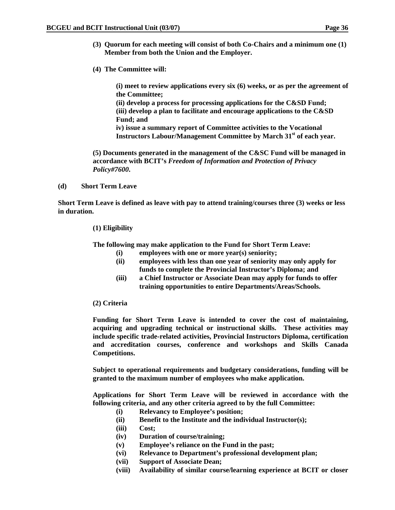- **(3) Quorum for each meeting will consist of both Co-Chairs and a minimum one (1) Member from both the Union and the Employer.**
- **(4) The Committee will:**

**(i) meet to review applications every six (6) weeks, or as per the agreement of the Committee;** 

**(ii) develop a process for processing applications for the C&SD Fund; (iii) develop a plan to facilitate and encourage applications to the C&SD Fund; and** 

**iv) issue a summary report of Committee activities to the Vocational Instructors Labour/Management Committee by March 31st of each year.** 

 **(5) Documents generated in the management of the C&SC Fund will be managed in accordance with BCIT's** *Freedom of Information and Protection of Privacy Policy#7600***.** 

 **(d) Short Term Leave** 

**Short Term Leave is defined as leave with pay to attend training/courses three (3) weeks or less in duration.** 

#### **(1) Eligibility**

**The following may make application to the Fund for Short Term Leave:** 

- **(i) employees with one or more year(s) seniority;**
- **(ii) employees with less than one year of seniority may only apply for funds to complete the Provincial Instructor's Diploma; and**
- **(iii) a Chief Instructor or Associate Dean may apply for funds to offer training opportunities to entire Departments/Areas/Schools.**

#### **(2) Criteria**

**Funding for Short Term Leave is intended to cover the cost of maintaining, acquiring and upgrading technical or instructional skills. These activities may include specific trade-related activities, Provincial Instructors Diploma, certification and accreditation courses, conference and workshops and Skills Canada Competitions.** 

**Subject to operational requirements and budgetary considerations, funding will be granted to the maximum number of employees who make application.** 

**Applications for Short Term Leave will be reviewed in accordance with the following criteria, and any other criteria agreed to by the full Committee:** 

- **(i) Relevancy to Employee's position;**
- **(ii) Benefit to the Institute and the individual Instructor(s);**
- **(iii) Cost;**
- **(iv) Duration of course/training;**
- **(v) Employee's reliance on the Fund in the past;**
- **(vi) Relevance to Department's professional development plan;**
- **(vii) Support of Associate Dean;**
- **(viii) Availability of similar course/learning experience at BCIT or closer**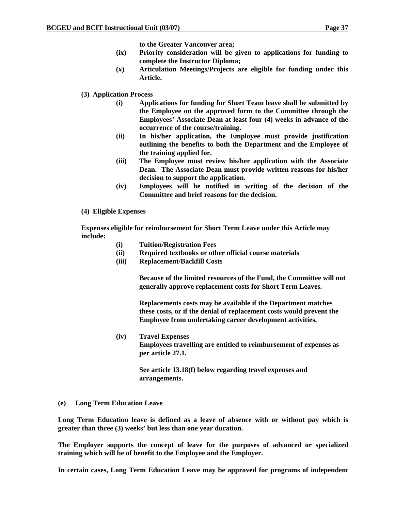**to the Greater Vancouver area;** 

- **(ix) Priority consideration will be given to applications for funding to complete the Instructor Diploma;**
- **(x) Articulation Meetings/Projects are eligible for funding under this Article.**
- **(3) Application Process** 
	- **(i) Applications for funding for Short Team leave shall be submitted by the Employee on the approved form to the Committee through the Employees' Associate Dean at least four (4) weeks in advance of the occurrence of the course/training.**
	- **(ii) In his/her application, the Employee must provide justification outlining the benefits to both the Department and the Employee of the training applied for.**
	- **(iii) The Employee must review his/her application with the Associate Dean. The Associate Dean must provide written reasons for his/her decision to support the application.**
	- **(iv) Employees will be notified in writing of the decision of the Committee and brief reasons for the decision.**
- **(4) Eligible Expenses**

**Expenses eligible for reimbursement for Short Term Leave under this Article may include:** 

- **(i) Tuition/Registration Fees**
- **(ii) Required textbooks or other official course materials**
- **(iii) Replacement/Backfill Costs**

**Because of the limited resources of the Fund, the Committee will not generally approve replacement costs for Short Term Leaves.** 

**Replacements costs may be available if the Department matches these costs, or if the denial of replacement costs would prevent the Employee from undertaking career development activities.** 

**(iv) Travel Expenses Employees travelling are entitled to reimbursement of expenses as per article 27.1.** 

> **See article 13.18(f) below regarding travel expenses and arrangements.**

**(e) Long Term Education Leave** 

**Long Term Education leave is defined as a leave of absence with or without pay which is greater than three (3) weeks' but less than one year duration.** 

**The Employer supports the concept of leave for the purposes of advanced or specialized training which will be of benefit to the Employee and the Employer.** 

**In certain cases, Long Term Education Leave may be approved for programs of independent**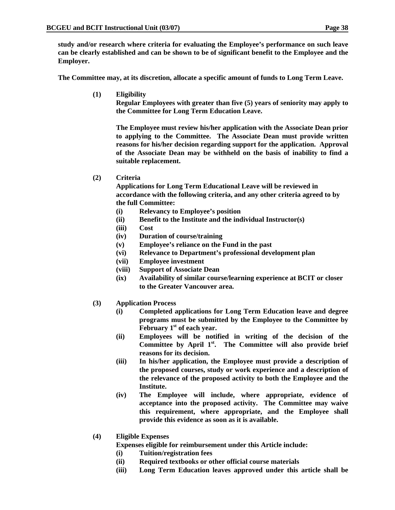**study and/or research where criteria for evaluating the Employee's performance on such leave can be clearly established and can be shown to be of significant benefit to the Employee and the Employer.** 

**The Committee may, at its discretion, allocate a specific amount of funds to Long Term Leave.** 

**(1) Eligibility** 

**Regular Employees with greater than five (5) years of seniority may apply to the Committee for Long Term Education Leave.** 

**The Employee must review his/her application with the Associate Dean prior to applying to the Committee. The Associate Dean must provide written reasons for his/her decision regarding support for the application. Approval of the Associate Dean may be withheld on the basis of inability to find a suitable replacement.** 

**(2) Criteria** 

**Applications for Long Term Educational Leave will be reviewed in accordance with the following criteria, and any other criteria agreed to by the full Committee:** 

- **(i) Relevancy to Employee's position**
- **(ii) Benefit to the Institute and the individual Instructor(s)**
- **(iii) Cost**
- **(iv) Duration of course/training**
- **(v) Employee's reliance on the Fund in the past**
- **(vi) Relevance to Department's professional development plan**
- **(vii) Employee investment**
- **(viii) Support of Associate Dean**
- **(ix) Availability of similar course/learning experience at BCIT or closer to the Greater Vancouver area.**
- **(3) Application Process** 
	- **(i) Completed applications for Long Term Education leave and degree programs must be submitted by the Employee to the Committee by February 1st of each year.**
	- **(ii) Employees will be notified in writing of the decision of the Committee by April 1st. The Committee will also provide brief reasons for its decision.**
	- **(iii) In his/her application, the Employee must provide a description of the proposed courses, study or work experience and a description of the relevance of the proposed activity to both the Employee and the Institute.**
	- **(iv) The Employee will include, where appropriate, evidence of acceptance into the proposed activity. The Committee may waive this requirement, where appropriate, and the Employee shall provide this evidence as soon as it is available.**
- **(4) Eligible Expenses**

**Expenses eligible for reimbursement under this Article include:** 

- **(i) Tuition/registration fees**
- **(ii) Required textbooks or other official course materials**
- **(iii) Long Term Education leaves approved under this article shall be**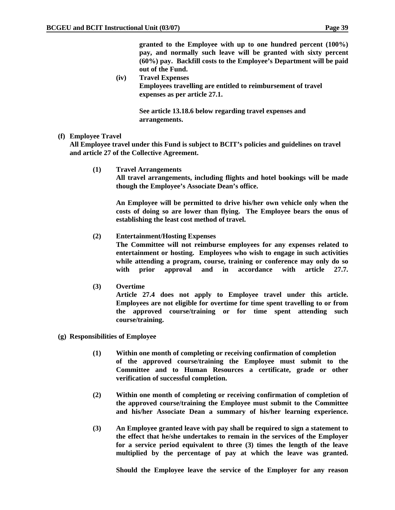**granted to the Employee with up to one hundred percent (100%) pay, and normally such leave will be granted with sixty percent (60%) pay. Backfill costs to the Employee's Department will be paid out of the Fund.** 

**(iv) Travel Expenses Employees travelling are entitled to reimbursement of travel expenses as per article 27.1.** 

> **See article 13.18.6 below regarding travel expenses and arrangements.**

 **(f) Employee Travel** 

**All Employee travel under this Fund is subject to BCIT's policies and guidelines on travel and article 27 of the Collective Agreement.** 

**(1) Travel Arrangements** 

 **All travel arrangements, including flights and hotel bookings will be made though the Employee's Associate Dean's office.** 

**An Employee will be permitted to drive his/her own vehicle only when the costs of doing so are lower than flying. The Employee bears the onus of establishing the least cost method of travel.** 

**(2) Entertainment/Hosting Expenses** 

 **The Committee will not reimburse employees for any expenses related to entertainment or hosting. Employees who wish to engage in such activities while attending a program, course, training or conference may only do so with prior approval and in accordance with article 27.7.** 

**(3) Overtime** 

 **Article 27.4 does not apply to Employee travel under this article. Employees are not eligible for overtime for time spent travelling to or from the approved course/training or for time spent attending such course/training.** 

- **(g) Responsibilities of Employee** 
	- **(1) Within one month of completing or receiving confirmation of completion of the approved course/training the Employee must submit to the Committee and to Human Resources a certificate, grade or other verification of successful completion.**
	- **(2) Within one month of completing or receiving confirmation of completion of the approved course/training the Employee must submit to the Committee and his/her Associate Dean a summary of his/her learning experience.**
	- **(3) An Employee granted leave with pay shall be required to sign a statement to the effect that he/she undertakes to remain in the services of the Employer for a service period equivalent to three (3) times the length of the leave multiplied by the percentage of pay at which the leave was granted.**

**Should the Employee leave the service of the Employer for any reason**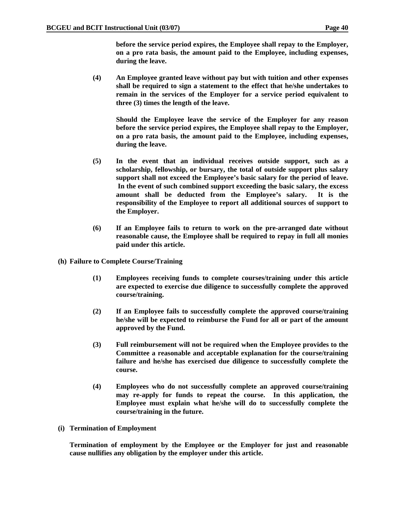**before the service period expires, the Employee shall repay to the Employer, on a pro rata basis, the amount paid to the Employee, including expenses, during the leave.** 

**(4) An Employee granted leave without pay but with tuition and other expenses shall be required to sign a statement to the effect that he/she undertakes to remain in the services of the Employer for a service period equivalent to three (3) times the length of the leave.** 

**Should the Employee leave the service of the Employer for any reason before the service period expires, the Employee shall repay to the Employer, on a pro rata basis, the amount paid to the Employee, including expenses, during the leave.** 

- **(5) In the event that an individual receives outside support, such as a scholarship, fellowship, or bursary, the total of outside support plus salary support shall not exceed the Employee's basic salary for the period of leave. In the event of such combined support exceeding the basic salary, the excess amount shall be deducted from the Employee's salary. It is the responsibility of the Employee to report all additional sources of support to the Employer.**
- **(6) If an Employee fails to return to work on the pre-arranged date without reasonable cause, the Employee shall be required to repay in full all monies paid under this article.**
- **(h) Failure to Complete Course/Training** 
	- **(1) Employees receiving funds to complete courses/training under this article are expected to exercise due diligence to successfully complete the approved course/training.**
	- **(2) If an Employee fails to successfully complete the approved course/training he/she will be expected to reimburse the Fund for all or part of the amount approved by the Fund.**
	- **(3) Full reimbursement will not be required when the Employee provides to the Committee a reasonable and acceptable explanation for the course/training failure and he/she has exercised due diligence to successfully complete the course.**
	- **(4) Employees who do not successfully complete an approved course/training may re-apply for funds to repeat the course. In this application, the Employee must explain what he/she will do to successfully complete the course/training in the future.**
- **(i) Termination of Employment**

**Termination of employment by the Employee or the Employer for just and reasonable cause nullifies any obligation by the employer under this article.**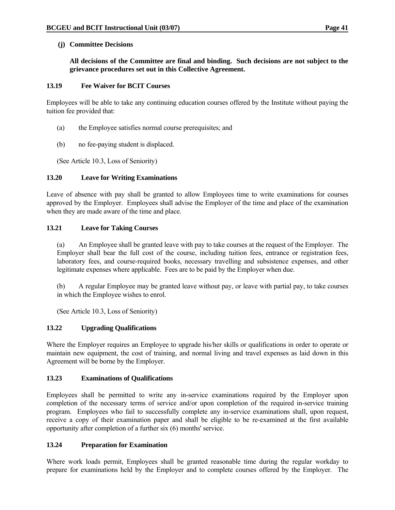### **(j) Committee Decisions**

**All decisions of the Committee are final and binding. Such decisions are not subject to the grievance procedures set out in this Collective Agreement.** 

### **13.19 Fee Waiver for BCIT Courses**

Employees will be able to take any continuing education courses offered by the Institute without paying the tuition fee provided that:

- (a) the Employee satisfies normal course prerequisites; and
- (b) no fee-paying student is displaced.

(See Article 10.3, Loss of Seniority)

# **13.20 Leave for Writing Examinations**

Leave of absence with pay shall be granted to allow Employees time to write examinations for courses approved by the Employer. Employees shall advise the Employer of the time and place of the examination when they are made aware of the time and place.

# **13.21 Leave for Taking Courses**

 (a) An Employee shall be granted leave with pay to take courses at the request of the Employer. The Employer shall bear the full cost of the course, including tuition fees, entrance or registration fees, laboratory fees, and course-required books, necessary travelling and subsistence expenses, and other legitimate expenses where applicable. Fees are to be paid by the Employer when due.

 (b) A regular Employee may be granted leave without pay, or leave with partial pay, to take courses in which the Employee wishes to enrol.

(See Article 10.3, Loss of Seniority)

# **13.22 Upgrading Qualifications**

Where the Employer requires an Employee to upgrade his/her skills or qualifications in order to operate or maintain new equipment, the cost of training, and normal living and travel expenses as laid down in this Agreement will be borne by the Employer.

# **13.23 Examinations of Qualifications**

Employees shall be permitted to write any in-service examinations required by the Employer upon completion of the necessary terms of service and/or upon completion of the required in-service training program. Employees who fail to successfully complete any in-service examinations shall, upon request, receive a copy of their examination paper and shall be eligible to be re-examined at the first available opportunity after completion of a further six (6) months' service.

# **13.24 Preparation for Examination**

Where work loads permit, Employees shall be granted reasonable time during the regular workday to prepare for examinations held by the Employer and to complete courses offered by the Employer. The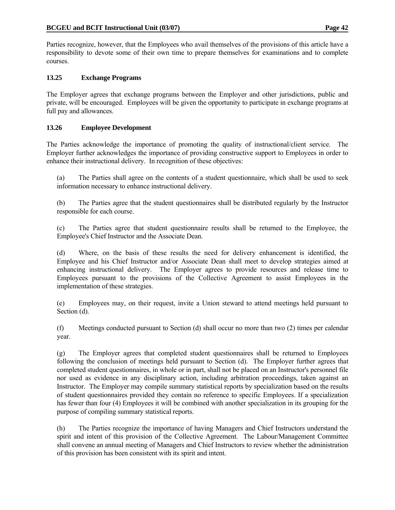Parties recognize, however, that the Employees who avail themselves of the provisions of this article have a responsibility to devote some of their own time to prepare themselves for examinations and to complete courses.

# **13.25 Exchange Programs**

The Employer agrees that exchange programs between the Employer and other jurisdictions, public and private, will be encouraged. Employees will be given the opportunity to participate in exchange programs at full pay and allowances.

# **13.26 Employee Development**

The Parties acknowledge the importance of promoting the quality of instructional/client service. The Employer further acknowledges the importance of providing constructive support to Employees in order to enhance their instructional delivery. In recognition of these objectives:

 (a) The Parties shall agree on the contents of a student questionnaire, which shall be used to seek information necessary to enhance instructional delivery.

 (b) The Parties agree that the student questionnaires shall be distributed regularly by the Instructor responsible for each course.

 (c) The Parties agree that student questionnaire results shall be returned to the Employee, the Employee's Chief Instructor and the Associate Dean.

 (d) Where, on the basis of these results the need for delivery enhancement is identified, the Employee and his Chief Instructor and/or Associate Dean shall meet to develop strategies aimed at enhancing instructional delivery. The Employer agrees to provide resources and release time to Employees pursuant to the provisions of the Collective Agreement to assist Employees in the implementation of these strategies.

 (e) Employees may, on their request, invite a Union steward to attend meetings held pursuant to Section (d).

 (f) Meetings conducted pursuant to Section (d) shall occur no more than two (2) times per calendar year.

 (g) The Employer agrees that completed student questionnaires shall be returned to Employees following the conclusion of meetings held pursuant to Section (d). The Employer further agrees that completed student questionnaires, in whole or in part, shall not be placed on an Instructor's personnel file nor used as evidence in any disciplinary action, including arbitration proceedings, taken against an Instructor. The Employer may compile summary statistical reports by specialization based on the results of student questionnaires provided they contain no reference to specific Employees. If a specialization has fewer than four (4) Employees it will be combined with another specialization in its grouping for the purpose of compiling summary statistical reports.

 (h) The Parties recognize the importance of having Managers and Chief Instructors understand the spirit and intent of this provision of the Collective Agreement. The Labour/Management Committee shall convene an annual meeting of Managers and Chief Instructors to review whether the administration of this provision has been consistent with its spirit and intent.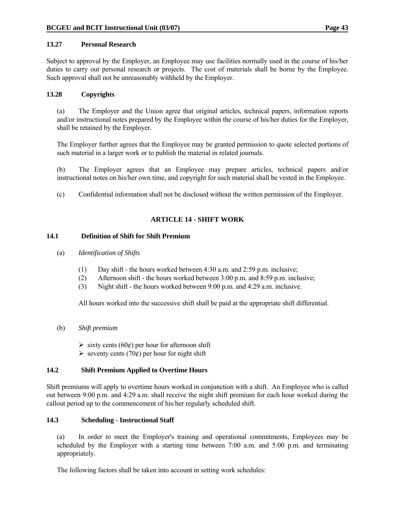### **13.27 Personal Research**

Subject to approval by the Employer, an Employee may use facilities normally used in the course of his/her duties to carry out personal research or projects. The cost of materials shall be borne by the Employee. Such approval shall not be unreasonably withheld by the Employer.

### **13.28 Copyrights**

 (a) The Employer and the Union agree that original articles, technical papers, information reports and/or instructional notes prepared by the Employee within the course of his/her duties for the Employer, shall be retained by the Employer.

 The Employer further agrees that the Employee may be granted permission to quote selected portions of such material in a larger work or to publish the material in related journals.

 (b) The Employer agrees that an Employee may prepare articles, technical papers and/or instructional notes on his/her own time, and copyright for such material shall be vested in the Employee.

(c) Confidential information shall not be disclosed without the written permission of the Employer.

# **ARTICLE 14 - SHIFT WORK**

#### **14.1 Definition of Shift for Shift Premium**

- (a) *Identification of Shifts*
	- (1) Day shift the hours worked between 4:30 a.m. and 2:59 p.m. inclusive;
	- (2) Afternoon shift the hours worked between 3:00 p.m. and 8:59 p.m. inclusive;
	- (3) Night shift the hours worked between 9:00 p.m. and 4:29 a.m. inclusive.

All hours worked into the successive shift shall be paid at the appropriate shift differential.

- (b) *Shift premium* 
	- $\triangleright$  sixty cents (60¢) per hour for afternoon shift
	- $\ge$  seventy cents (70¢) per hour for night shift

# **14.2 Shift Premium Applied to Overtime Hours**

Shift premiums will apply to overtime hours worked in conjunction with a shift. An Employee who is called out between 9:00 p.m. and 4:29 a.m. shall receive the night shift premium for each hour worked during the callout period up to the commencement of his/her regularly scheduled shift.

#### **14.3 Scheduling - Instructional Staff**

 (a) In order to meet the Employer's training and operational commitments, Employees may be scheduled by the Employer with a starting time between 7:00 a.m. and 5:00 p.m. and terminating appropriately.

The following factors shall be taken into account in setting work schedules: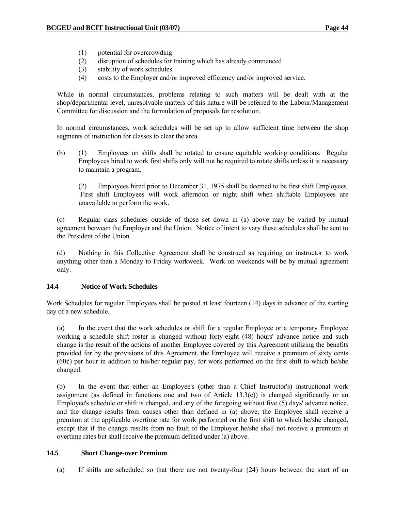- (1) potential for overcrowding
- (2) disruption of schedules for training which has already commenced
- (3) stability of work schedules
- (4) costs to the Employer and/or improved efficiency and/or improved service.

 While in normal circumstances, problems relating to such matters will be dealt with at the shop/departmental level, unresolvable matters of this nature will be referred to the Labour/Management Committee for discussion and the formulation of proposals for resolution.

 In normal circumstances, work schedules will be set up to allow sufficient time between the shop segments of instruction for classes to clear the area.

 (b) (1) Employees on shifts shall be rotated to ensure equitable working conditions. Regular Employees hired to work first shifts only will not be required to rotate shifts unless it is necessary to maintain a program.

 (2) Employees hired prior to December 31, 1975 shall be deemed to be first shift Employees. First shift Employees will work afternoon or night shift when shiftable Employees are unavailable to perform the work.

 (c) Regular class schedules outside of those set down in (a) above may be varied by mutual agreement between the Employer and the Union. Notice of intent to vary these schedules shall be sent to the President of the Union.

 (d) Nothing in this Collective Agreement shall be construed as requiring an instructor to work anything other than a Monday to Friday workweek. Work on weekends will be by mutual agreement only.

# **14.4 Notice of Work Schedules**

Work Schedules for regular Employees shall be posted at least fourteen (14) days in advance of the starting day of a new schedule.

 (a) In the event that the work schedules or shift for a regular Employee or a temporary Employee working a schedule shift roster is changed without forty-eight (48) hours' advance notice and such change is the result of the actions of another Employee covered by this Agreement utilizing the benefits provided for by the provisions of this Agreement, the Employee will receive a premium of sixty cents  $(60¢)$  per hour in addition to his/her regular pay, for work performed on the first shift to which he/she changed.

 (b) In the event that either an Employee's (other than a Chief Instructor's) instructional work assignment (as defined in functions one and two of Article 13.3(c)) is changed significantly or an Employee's schedule or shift is changed, and any of the foregoing without five (5) days' advance notice, and the change results from causes other than defined in (a) above, the Employee shall receive a premium at the applicable overtime rate for work performed on the first shift to which he/she changed, except that if the change results from no fault of the Employer he/she shall not receive a premium at overtime rates but shall receive the premium defined under (a) above.

#### **14.5 Short Change-over Premium**

(a) If shifts are scheduled so that there are not twenty-four (24) hours between the start of an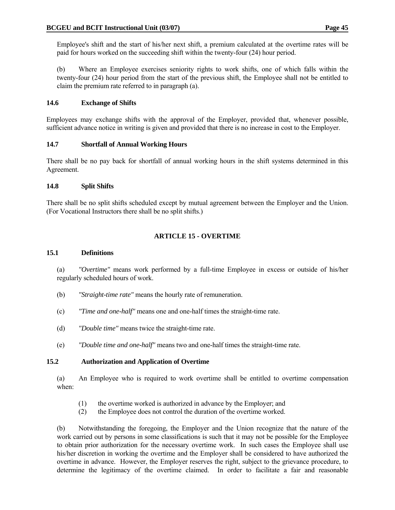(b) Where an Employee exercises seniority rights to work shifts, one of which falls within the twenty-four (24) hour period from the start of the previous shift, the Employee shall not be entitled to claim the premium rate referred to in paragraph (a).

# **14.6 Exchange of Shifts**

Employees may exchange shifts with the approval of the Employer, provided that, whenever possible, sufficient advance notice in writing is given and provided that there is no increase in cost to the Employer.

# **14.7 Shortfall of Annual Working Hours**

There shall be no pay back for shortfall of annual working hours in the shift systems determined in this Agreement.

# **14.8 Split Shifts**

There shall be no split shifts scheduled except by mutual agreement between the Employer and the Union. (For Vocational Instructors there shall be no split shifts.)

# **ARTICLE 15 - OVERTIME**

# **15.1 Definitions**

 (a) *"Overtime"* means work performed by a full-time Employee in excess or outside of his/her regularly scheduled hours of work.

- (b) *"Straight-time rate"* means the hourly rate of remuneration.
- (c) *"Time and one-half"* means one and one-half times the straight-time rate.
- (d) *"Double time"* means twice the straight-time rate.
- (e) *"Double time and one-half"* means two and one-half times the straight-time rate.

# **15.2 Authorization and Application of Overtime**

 (a) An Employee who is required to work overtime shall be entitled to overtime compensation when:

- (1) the overtime worked is authorized in advance by the Employer; and
- (2) the Employee does not control the duration of the overtime worked.

 (b) Notwithstanding the foregoing, the Employer and the Union recognize that the nature of the work carried out by persons in some classifications is such that it may not be possible for the Employee to obtain prior authorization for the necessary overtime work. In such cases the Employee shall use his/her discretion in working the overtime and the Employer shall be considered to have authorized the overtime in advance. However, the Employer reserves the right, subject to the grievance procedure, to determine the legitimacy of the overtime claimed. In order to facilitate a fair and reasonable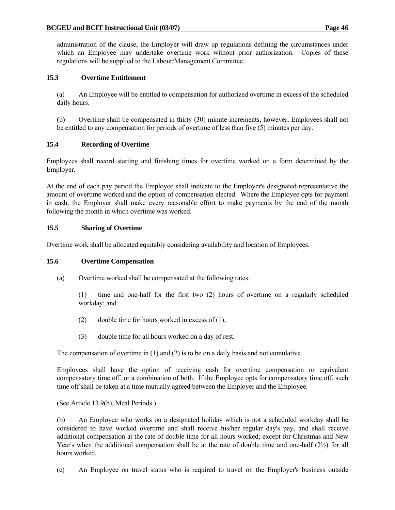administration of the clause, the Employer will draw up regulations defining the circumstances under which an Employee may undertake overtime work without prior authorization. Copies of these regulations will be supplied to the Labour/Management Committee.

# **15.3 Overtime Entitlement**

 (a) An Employee will be entitled to compensation for authorized overtime in excess of the scheduled daily hours.

 (b) Overtime shall be compensated in thirty (30) minute increments, however, Employees shall not be entitled to any compensation for periods of overtime of less than five (5) minutes per day.

# **15.4 Recording of Overtime**

Employees shall record starting and finishing times for overtime worked on a form determined by the Employer.

At the end of each pay period the Employee shall indicate to the Employer's designated representative the amount of overtime worked and the option of compensation elected. Where the Employee opts for payment in cash, the Employer shall make every reasonable effort to make payments by the end of the month following the month in which overtime was worked.

# **15.5 Sharing of Overtime**

Overtime work shall be allocated equitably considering availability and location of Employees.

# **15.6 Overtime Compensation**

(a) Overtime worked shall be compensated at the following rates:

 (1) time and one-half for the first two (2) hours of overtime on a regularly scheduled workday; and

- (2) double time for hours worked in excess of  $(1)$ ;
- (3) double time for all hours worked on a day of rest.

The compensation of overtime in (1) and (2) is to be on a daily basis and not cumulative.

 Employees shall have the option of receiving cash for overtime compensation or equivalent compensatory time off, or a combination of both. If the Employee opts for compensatory time off, such time off shall be taken at a time mutually agreed between the Employer and the Employee.

(See Article 13.9(b), Meal Periods.)

 (b) An Employee who works on a designated holiday which is not a scheduled workday shall be considered to have worked overtime and shall receive his/her regular day's pay, and shall receive additional compensation at the rate of double time for all hours worked; except for Christmas and New Year's when the additional compensation shall be at the rate of double time and one-half  $(2\frac{1}{2})$  for all hours worked.

(c) An Employee on travel status who is required to travel on the Employer's business outside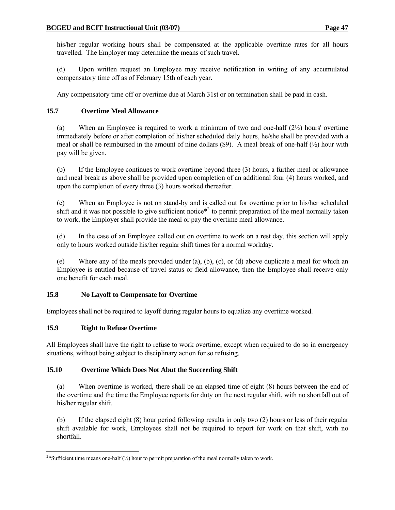his/her regular working hours shall be compensated at the applicable overtime rates for all hours travelled. The Employer may determine the means of such travel.

 (d) Upon written request an Employee may receive notification in writing of any accumulated compensatory time off as of February 15th of each year.

Any compensatory time off or overtime due at March 31st or on termination shall be paid in cash.

# **15.7 Overtime Meal Allowance**

(a) When an Employee is required to work a minimum of two and one-half  $(2\frac{1}{2})$  hours' overtime immediately before or after completion of his/her scheduled daily hours, he/she shall be provided with a meal or shall be reimbursed in the amount of nine dollars (\$9). A meal break of one-half  $(\frac{1}{2})$  hour with pay will be given.

 (b) If the Employee continues to work overtime beyond three (3) hours, a further meal or allowance and meal break as above shall be provided upon completion of an additional four (4) hours worked, and upon the completion of every three (3) hours worked thereafter.

 (c) When an Employee is not on stand-by and is called out for overtime prior to his/her scheduled shift and it was not possible to give sufficient notice<sup>\*2</sup> to permit preparation of the meal normally taken to work, the Employer shall provide the meal or pay the overtime meal allowance.

 (d) In the case of an Employee called out on overtime to work on a rest day, this section will apply only to hours worked outside his/her regular shift times for a normal workday.

 (e) Where any of the meals provided under (a), (b), (c), or (d) above duplicate a meal for which an Employee is entitled because of travel status or field allowance, then the Employee shall receive only one benefit for each meal.

# **15.8 No Layoff to Compensate for Overtime**

Employees shall not be required to layoff during regular hours to equalize any overtime worked.

# **15.9 Right to Refuse Overtime**

 $\overline{a}$ 

All Employees shall have the right to refuse to work overtime, except when required to do so in emergency situations, without being subject to disciplinary action for so refusing.

# **15.10 Overtime Which Does Not Abut the Succeeding Shift**

 (a) When overtime is worked, there shall be an elapsed time of eight (8) hours between the end of the overtime and the time the Employee reports for duty on the next regular shift, with no shortfall out of his/her regular shift.

 (b) If the elapsed eight (8) hour period following results in only two (2) hours or less of their regular shift available for work, Employees shall not be required to report for work on that shift, with no shortfall.

<sup>&</sup>lt;sup>2\*</sup>Sufficient time means one-half  $(\frac{1}{2})$  hour to permit preparation of the meal normally taken to work.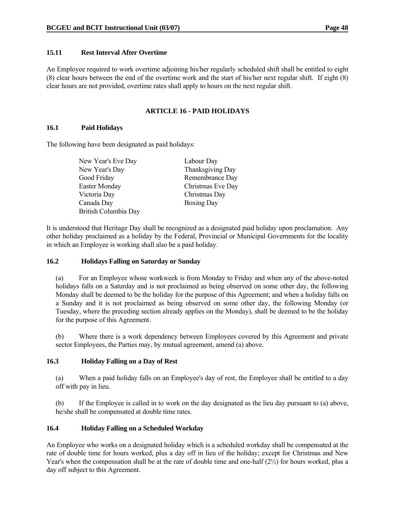### **15.11 Rest Interval After Overtime**

An Employee required to work overtime adjoining his/her regularly scheduled shift shall be entitled to eight (8) clear hours between the end of the overtime work and the start of his/her next regular shift. If eight (8) clear hours are not provided, overtime rates shall apply to hours on the next regular shift.

# **ARTICLE 16 - PAID HOLIDAYS**

### **16.1 Paid Holidays**

The following have been designated as paid holidays:

| Labour Day        |
|-------------------|
| Thanksgiving Day  |
| Remembrance Day   |
| Christmas Eve Day |
| Christmas Day     |
| <b>Boxing Day</b> |
|                   |
|                   |

It is understood that Heritage Day shall be recognized as a designated paid holiday upon proclamation. Any other holiday proclaimed as a holiday by the Federal, Provincial or Municipal Governments for the locality in which an Employee is working shall also be a paid holiday.

#### **16.2 Holidays Falling on Saturday or Sunday**

 (a) For an Employee whose workweek is from Monday to Friday and when any of the above-noted holidays falls on a Saturday and is not proclaimed as being observed on some other day, the following Monday shall be deemed to be the holiday for the purpose of this Agreement; and when a holiday falls on a Sunday and it is not proclaimed as being observed on some other day, the following Monday (or Tuesday, where the preceding section already applies on the Monday), shall be deemed to be the holiday for the purpose of this Agreement.

 (b) Where there is a work dependency between Employees covered by this Agreement and private sector Employees, the Parties may, by mutual agreement, amend (a) above.

# **16.3 Holiday Falling on a Day of Rest**

 (a) When a paid holiday falls on an Employee's day of rest, the Employee shall be entitled to a day off with pay in lieu.

 (b) If the Employee is called in to work on the day designated as the lieu day pursuant to (a) above, he/she shall be compensated at double time rates.

# **16.4 Holiday Falling on a Scheduled Workday**

An Employee who works on a designated holiday which is a scheduled workday shall be compensated at the rate of double time for hours worked, plus a day off in lieu of the holiday; except for Christmas and New Year's when the compensation shall be at the rate of double time and one-half (2½) for hours worked, plus a day off subject to this Agreement.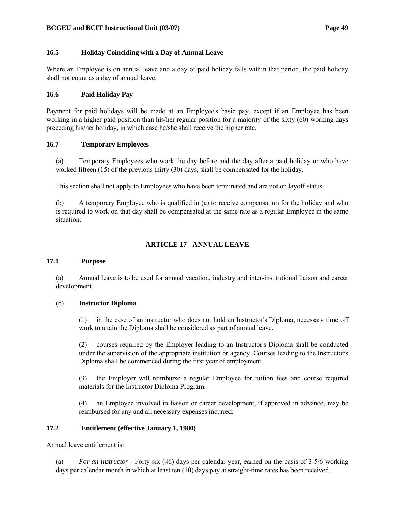### **16.5 Holiday Coinciding with a Day of Annual Leave**

Where an Employee is on annual leave and a day of paid holiday falls within that period, the paid holiday shall not count as a day of annual leave.

#### **16.6 Paid Holiday Pay**

Payment for paid holidays will be made at an Employee's basic pay, except if an Employee has been working in a higher paid position than his/her regular position for a majority of the sixty (60) working days preceding his/her holiday, in which case he/she shall receive the higher rate.

#### **16.7 Temporary Employees**

 (a) Temporary Employees who work the day before and the day after a paid holiday or who have worked fifteen (15) of the previous thirty (30) days, shall be compensated for the holiday.

This section shall not apply to Employees who have been terminated and are not on layoff status.

 (b) A temporary Employee who is qualified in (a) to receive compensation for the holiday and who is required to work on that day shall be compensated at the same rate as a regular Employee in the same situation.

# **ARTICLE 17 - ANNUAL LEAVE**

#### **17.1 Purpose**

 (a) Annual leave is to be used for annual vacation, industry and inter-institutional liaison and career development.

#### (b) **Instructor Diploma**

 (1) in the case of an instructor who does not hold an Instructor's Diploma, necessary time off work to attain the Diploma shall be considered as part of annual leave.

 (2) courses required by the Employer leading to an Instructor's Diploma shall be conducted under the supervision of the appropriate institution or agency. Courses leading to the Instructor's Diploma shall be commenced during the first year of employment.

 (3) the Employer will reimburse a regular Employee for tuition fees and course required materials for the Instructor Diploma Program.

 (4) an Employee involved in liaison or career development, if approved in advance, may be reimbursed for any and all necessary expenses incurred.

# **17.2 Entitlement (effective January 1, 1980)**

Annual leave entitlement is:

 (a) *For an instructor* - Forty-six (46) days per calendar year, earned on the basis of 3-5/6 working days per calendar month in which at least ten (10) days pay at straight-time rates has been received.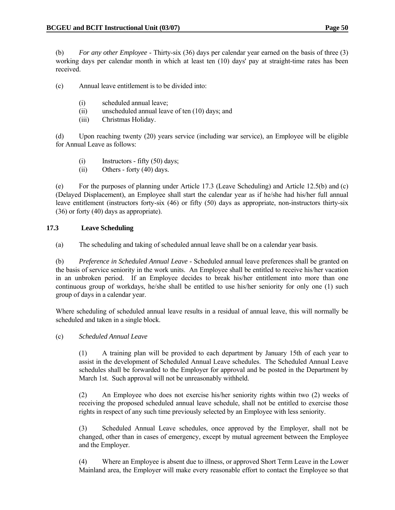(b) *For any other Employee* - Thirty-six (36) days per calendar year earned on the basis of three (3) working days per calendar month in which at least ten (10) days' pay at straight-time rates has been received.

(c) Annual leave entitlement is to be divided into:

- (i) scheduled annual leave;
- (ii) unscheduled annual leave of ten (10) days; and
- (iii) Christmas Holiday.

 (d) Upon reaching twenty (20) years service (including war service), an Employee will be eligible for Annual Leave as follows:

- $(i)$  Instructors fifty  $(50)$  days;
- (ii) Others forty (40) days.

 (e) For the purposes of planning under Article 17.3 (Leave Scheduling) and Article 12.5(b) and (c) (Delayed Displacement), an Employee shall start the calendar year as if he/she had his/her full annual leave entitlement (instructors forty-six (46) or fifty (50) days as appropriate, non-instructors thirty-six (36) or forty (40) days as appropriate).

# **17.3 Leave Scheduling**

(a) The scheduling and taking of scheduled annual leave shall be on a calendar year basis.

 (b) *Preference in Scheduled Annual Leave* - Scheduled annual leave preferences shall be granted on the basis of service seniority in the work units. An Employee shall be entitled to receive his/her vacation in an unbroken period. If an Employee decides to break his/her entitlement into more than one continuous group of workdays, he/she shall be entitled to use his/her seniority for only one (1) such group of days in a calendar year.

 Where scheduling of scheduled annual leave results in a residual of annual leave, this will normally be scheduled and taken in a single block.

(c) *Scheduled Annual Leave*

 (1) A training plan will be provided to each department by January 15th of each year to assist in the development of Scheduled Annual Leave schedules. The Scheduled Annual Leave schedules shall be forwarded to the Employer for approval and be posted in the Department by March 1st. Such approval will not be unreasonably withheld.

 (2) An Employee who does not exercise his/her seniority rights within two (2) weeks of receiving the proposed scheduled annual leave schedule, shall not be entitled to exercise those rights in respect of any such time previously selected by an Employee with less seniority.

 (3) Scheduled Annual Leave schedules, once approved by the Employer, shall not be changed, other than in cases of emergency, except by mutual agreement between the Employee and the Employer.

 (4) Where an Employee is absent due to illness, or approved Short Term Leave in the Lower Mainland area, the Employer will make every reasonable effort to contact the Employee so that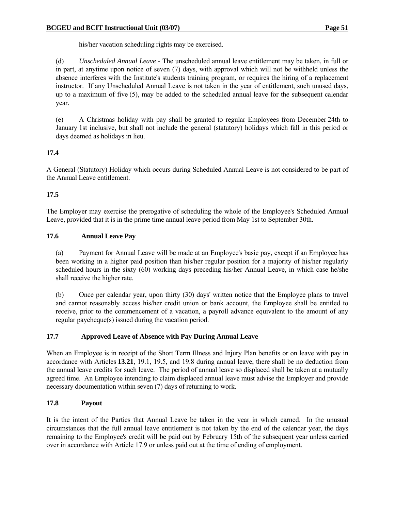his/her vacation scheduling rights may be exercised.

 (d) *Unscheduled Annual Leave* - The unscheduled annual leave entitlement may be taken, in full or in part, at anytime upon notice of seven (7) days, with approval which will not be withheld unless the absence interferes with the Institute's students training program, or requires the hiring of a replacement instructor. If any Unscheduled Annual Leave is not taken in the year of entitlement, such unused days, up to a maximum of five (5), may be added to the scheduled annual leave for the subsequent calendar year.

 (e) A Christmas holiday with pay shall be granted to regular Employees from December 24th to January 1st inclusive, but shall not include the general (statutory) holidays which fall in this period or days deemed as holidays in lieu.

# **17.4**

A General (Statutory) Holiday which occurs during Scheduled Annual Leave is not considered to be part of the Annual Leave entitlement.

### **17.5**

The Employer may exercise the prerogative of scheduling the whole of the Employee's Scheduled Annual Leave, provided that it is in the prime time annual leave period from May 1st to September 30th.

### **17.6 Annual Leave Pay**

 (a) Payment for Annual Leave will be made at an Employee's basic pay, except if an Employee has been working in a higher paid position than his/her regular position for a majority of his/her regularly scheduled hours in the sixty (60) working days preceding his/her Annual Leave, in which case he/she shall receive the higher rate.

 (b) Once per calendar year, upon thirty (30) days' written notice that the Employee plans to travel and cannot reasonably access his/her credit union or bank account, the Employee shall be entitled to receive, prior to the commencement of a vacation, a payroll advance equivalent to the amount of any regular paycheque(s) issued during the vacation period.

#### **17.7 Approved Leave of Absence with Pay During Annual Leave**

When an Employee is in receipt of the Short Term Illness and Injury Plan benefits or on leave with pay in accordance with Articles **13.21**, 19.1, 19.5, and 19.8 during annual leave, there shall be no deduction from the annual leave credits for such leave. The period of annual leave so displaced shall be taken at a mutually agreed time. An Employee intending to claim displaced annual leave must advise the Employer and provide necessary documentation within seven (7) days of returning to work.

# **17.8 Payout**

It is the intent of the Parties that Annual Leave be taken in the year in which earned. In the unusual circumstances that the full annual leave entitlement is not taken by the end of the calendar year, the days remaining to the Employee's credit will be paid out by February 15th of the subsequent year unless carried over in accordance with Article 17.9 or unless paid out at the time of ending of employment.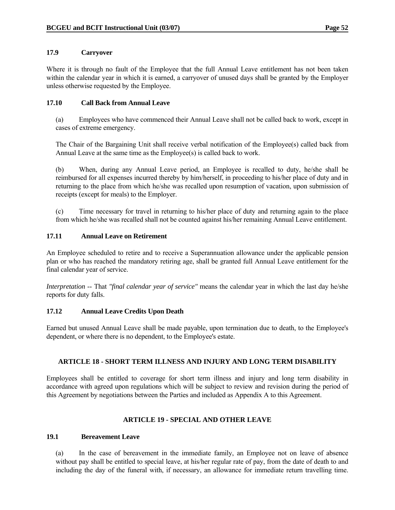### **17.9 Carryover**

Where it is through no fault of the Employee that the full Annual Leave entitlement has not been taken within the calendar year in which it is earned, a carryover of unused days shall be granted by the Employer unless otherwise requested by the Employee.

### **17.10 Call Back from Annual Leave**

 (a) Employees who have commenced their Annual Leave shall not be called back to work, except in cases of extreme emergency.

 The Chair of the Bargaining Unit shall receive verbal notification of the Employee(s) called back from Annual Leave at the same time as the Employee(s) is called back to work.

 (b) When, during any Annual Leave period, an Employee is recalled to duty, he/she shall be reimbursed for all expenses incurred thereby by him/herself, in proceeding to his/her place of duty and in returning to the place from which he/she was recalled upon resumption of vacation, upon submission of receipts (except for meals) to the Employer.

 (c) Time necessary for travel in returning to his/her place of duty and returning again to the place from which he/she was recalled shall not be counted against his/her remaining Annual Leave entitlement.

#### **17.11 Annual Leave on Retirement**

An Employee scheduled to retire and to receive a Superannuation allowance under the applicable pension plan or who has reached the mandatory retiring age, shall be granted full Annual Leave entitlement for the final calendar year of service.

*Interpretation* -- That *"final calendar year of service"* means the calendar year in which the last day he/she reports for duty falls.

# **17.12 Annual Leave Credits Upon Death**

Earned but unused Annual Leave shall be made payable, upon termination due to death, to the Employee's dependent, or where there is no dependent, to the Employee's estate.

# **ARTICLE 18 - SHORT TERM ILLNESS AND INJURY AND LONG TERM DISABILITY**

Employees shall be entitled to coverage for short term illness and injury and long term disability in accordance with agreed upon regulations which will be subject to review and revision during the period of this Agreement by negotiations between the Parties and included as Appendix A to this Agreement.

# **ARTICLE 19 - SPECIAL AND OTHER LEAVE**

#### **19.1 Bereavement Leave**

 (a) In the case of bereavement in the immediate family, an Employee not on leave of absence without pay shall be entitled to special leave, at his/her regular rate of pay, from the date of death to and including the day of the funeral with, if necessary, an allowance for immediate return travelling time.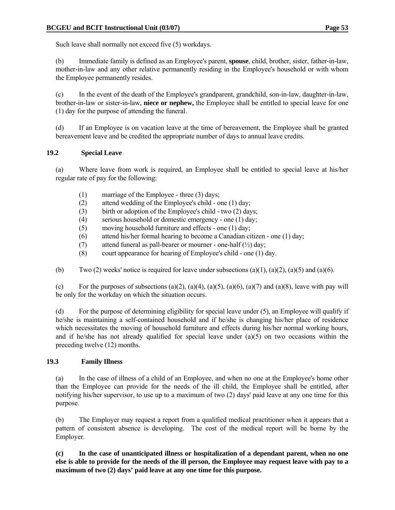Such leave shall normally not exceed five (5) workdays.

 (b) Immediate family is defined as an Employee's parent, **spouse**, child, brother, sister, father-in-law, mother-in-law and any other relative permanently residing in the Employee's household or with whom the Employee permanently resides.

 (c) In the event of the death of the Employee's grandparent, grandchild, son-in-law, daughter-in-law, brother-in-law or sister-in-law, **niece or nephew,** the Employee shall be entitled to special leave for one (1) day for the purpose of attending the funeral.

 (d) If an Employee is on vacation leave at the time of bereavement, the Employee shall be granted bereavement leave and be credited the appropriate number of days to annual leave credits.

### **19.2 Special Leave**

 (a) Where leave from work is required, an Employee shall be entitled to special leave at his/her regular rate of pay for the following:

- (1) marriage of the Employee three (3) days;
- (2) attend wedding of the Employee's child one (1) day;
- (3) birth or adoption of the Employee's child two (2) days;
- (4) serious household or domestic emergency one (1) day;
- (5) moving household furniture and effects one (1) day;
- (6) attend his/her formal hearing to become a Canadian citizen one (1) day;
- (7) attend funeral as pall-bearer or mourner one-half  $(\frac{1}{2})$  day;
- (8) court appearance for hearing of Employee's child one (1) day.

(b) Two (2) weeks' notice is required for leave under subsections (a)(1), (a)(2), (a)(5) and (a)(6).

(c) For the purposes of subsections (a)(2), (a)(4), (a)(5), (a)(6), (a)(7) and (a)(8), leave with pay will be only for the workday on which the situation occurs.

 (d) For the purpose of determining eligibility for special leave under (5), an Employee will qualify if he/she is maintaining a self-contained household and if he/she is changing his/her place of residence which necessitates the moving of household furniture and effects during his/her normal working hours, and if he/she has not already qualified for special leave under (a)(5) on two occasions within the preceding twelve (12) months.

# **19.3 Family Illness**

 (a) In the case of illness of a child of an Employee, and when no one at the Employee's home other than the Employee can provide for the needs of the ill child, the Employee shall be entitled, after notifying his/her supervisor, to use up to a maximum of two (2) days' paid leave at any one time for this purpose.

 (b) The Employer may request a report from a qualified medical practitioner when it appears that a pattern of consistent absence is developing. The cost of the medical report will be borne by the Employer.

**(c) In the case of unanticipated illness or hospitalization of a dependant parent, when no one else is able to provide for the needs of the ill person, the Employee may request leave with pay to a maximum of two (2) days' paid leave at any one time for this purpose.**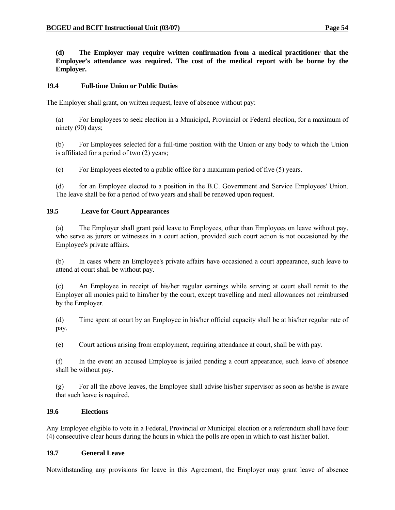**(d) The Employer may require written confirmation from a medical practitioner that the Employee's attendance was required. The cost of the medical report with be borne by the Employer.** 

### **19.4 Full-time Union or Public Duties**

The Employer shall grant, on written request, leave of absence without pay:

 (a) For Employees to seek election in a Municipal, Provincial or Federal election, for a maximum of ninety (90) days;

 (b) For Employees selected for a full-time position with the Union or any body to which the Union is affiliated for a period of two (2) years;

(c) For Employees elected to a public office for a maximum period of five (5) years.

 (d) for an Employee elected to a position in the B.C. Government and Service Employees' Union. The leave shall be for a period of two years and shall be renewed upon request.

### **19.5 Leave for Court Appearances**

 (a) The Employer shall grant paid leave to Employees, other than Employees on leave without pay, who serve as jurors or witnesses in a court action, provided such court action is not occasioned by the Employee's private affairs.

 (b) In cases where an Employee's private affairs have occasioned a court appearance, such leave to attend at court shall be without pay.

 (c) An Employee in receipt of his/her regular earnings while serving at court shall remit to the Employer all monies paid to him/her by the court, except travelling and meal allowances not reimbursed by the Employer.

 (d) Time spent at court by an Employee in his/her official capacity shall be at his/her regular rate of pay.

(e) Court actions arising from employment, requiring attendance at court, shall be with pay.

 (f) In the event an accused Employee is jailed pending a court appearance, such leave of absence shall be without pay.

 (g) For all the above leaves, the Employee shall advise his/her supervisor as soon as he/she is aware that such leave is required.

#### **19.6 Elections**

Any Employee eligible to vote in a Federal, Provincial or Municipal election or a referendum shall have four (4) consecutive clear hours during the hours in which the polls are open in which to cast his/her ballot.

#### **19.7 General Leave**

Notwithstanding any provisions for leave in this Agreement, the Employer may grant leave of absence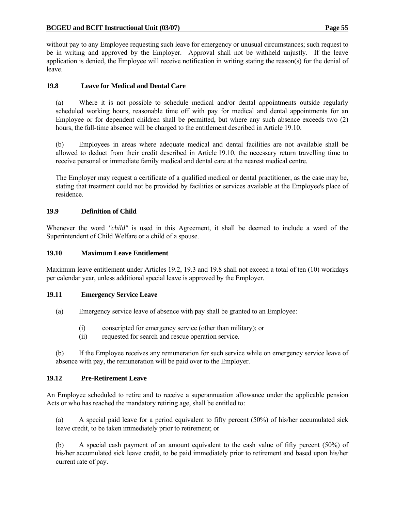without pay to any Employee requesting such leave for emergency or unusual circumstances; such request to be in writing and approved by the Employer. Approval shall not be withheld unjustly. If the leave application is denied, the Employee will receive notification in writing stating the reason(s) for the denial of leave.

#### **19.8 Leave for Medical and Dental Care**

 (a) Where it is not possible to schedule medical and/or dental appointments outside regularly scheduled working hours, reasonable time off with pay for medical and dental appointments for an Employee or for dependent children shall be permitted, but where any such absence exceeds two (2) hours, the full-time absence will be charged to the entitlement described in Article 19.10.

 (b) Employees in areas where adequate medical and dental facilities are not available shall be allowed to deduct from their credit described in Article 19.10, the necessary return travelling time to receive personal or immediate family medical and dental care at the nearest medical centre.

 The Employer may request a certificate of a qualified medical or dental practitioner, as the case may be, stating that treatment could not be provided by facilities or services available at the Employee's place of residence.

### **19.9 Definition of Child**

Whenever the word *"child"* is used in this Agreement, it shall be deemed to include a ward of the Superintendent of Child Welfare or a child of a spouse.

#### **19.10 Maximum Leave Entitlement**

Maximum leave entitlement under Articles 19.2, 19.3 and 19.8 shall not exceed a total of ten (10) workdays per calendar year, unless additional special leave is approved by the Employer.

#### **19.11 Emergency Service Leave**

- (a) Emergency service leave of absence with pay shall be granted to an Employee:
	- (i) conscripted for emergency service (other than military); or
	- (ii) requested for search and rescue operation service.

 (b) If the Employee receives any remuneration for such service while on emergency service leave of absence with pay, the remuneration will be paid over to the Employer.

#### **19.12 Pre-Retirement Leave**

An Employee scheduled to retire and to receive a superannuation allowance under the applicable pension Acts or who has reached the mandatory retiring age, shall be entitled to:

 (a) A special paid leave for a period equivalent to fifty percent (50%) of his/her accumulated sick leave credit, to be taken immediately prior to retirement; or

 (b) A special cash payment of an amount equivalent to the cash value of fifty percent (50%) of his/her accumulated sick leave credit, to be paid immediately prior to retirement and based upon his/her current rate of pay.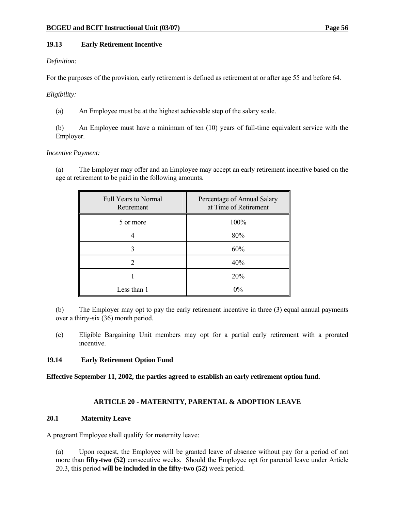# **19.13 Early Retirement Incentive**

# *Definition:*

For the purposes of the provision, early retirement is defined as retirement at or after age 55 and before 64.

# *Eligibility:*

(a) An Employee must be at the highest achievable step of the salary scale.

 (b) An Employee must have a minimum of ten (10) years of full-time equivalent service with the Employer.

# *Incentive Payment:*

 (a) The Employer may offer and an Employee may accept an early retirement incentive based on the age at retirement to be paid in the following amounts.

| <b>Full Years to Normal</b><br>Retirement | Percentage of Annual Salary<br>at Time of Retirement |
|-------------------------------------------|------------------------------------------------------|
| 5 or more                                 | 100%                                                 |
|                                           | 80%                                                  |
|                                           | 60%                                                  |
|                                           | 40%                                                  |
|                                           | 20%                                                  |
| Less than 1                               | $0\%$                                                |

 (b) The Employer may opt to pay the early retirement incentive in three (3) equal annual payments over a thirty-six (36) month period.

 (c) Eligible Bargaining Unit members may opt for a partial early retirement with a prorated incentive.

# **19.14 Early Retirement Option Fund**

**Effective September 11, 2002, the parties agreed to establish an early retirement option fund.** 

# **ARTICLE 20 - MATERNITY, PARENTAL & ADOPTION LEAVE**

#### **20.1 Maternity Leave**

A pregnant Employee shall qualify for maternity leave:

 (a) Upon request, the Employee will be granted leave of absence without pay for a period of not more than **fifty-two (52)** consecutive weeks. Should the Employee opt for parental leave under Article 20.3, this period **will be included in the fifty-two (52)** week period.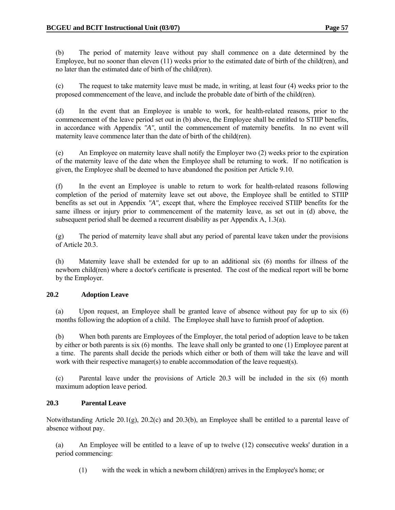(b) The period of maternity leave without pay shall commence on a date determined by the Employee, but no sooner than eleven (11) weeks prior to the estimated date of birth of the child(ren), and no later than the estimated date of birth of the child(ren).

 (c) The request to take maternity leave must be made, in writing, at least four (4) weeks prior to the proposed commencement of the leave, and include the probable date of birth of the child(ren).

 (d) In the event that an Employee is unable to work, for health-related reasons, prior to the commencement of the leave period set out in (b) above, the Employee shall be entitled to STIIP benefits, in accordance with Appendix *"A"*, until the commencement of maternity benefits. In no event will maternity leave commence later than the date of birth of the child(ren).

 (e) An Employee on maternity leave shall notify the Employer two (2) weeks prior to the expiration of the maternity leave of the date when the Employee shall be returning to work. If no notification is given, the Employee shall be deemed to have abandoned the position per Article 9.10.

 (f) In the event an Employee is unable to return to work for health-related reasons following completion of the period of maternity leave set out above, the Employee shall be entitled to STIIP benefits as set out in Appendix *"A"*, except that, where the Employee received STIIP benefits for the same illness or injury prior to commencement of the maternity leave, as set out in (d) above, the subsequent period shall be deemed a recurrent disability as per Appendix A, 1.3(a).

 (g) The period of maternity leave shall abut any period of parental leave taken under the provisions of Article 20.3.

 (h) Maternity leave shall be extended for up to an additional six (6) months for illness of the newborn child(ren) where a doctor's certificate is presented. The cost of the medical report will be borne by the Employer.

#### **20.2 Adoption Leave**

 (a) Upon request, an Employee shall be granted leave of absence without pay for up to six (6) months following the adoption of a child. The Employee shall have to furnish proof of adoption.

 (b) When both parents are Employees of the Employer, the total period of adoption leave to be taken by either or both parents is six (6) months. The leave shall only be granted to one (1) Employee parent at a time. The parents shall decide the periods which either or both of them will take the leave and will work with their respective manager(s) to enable accommodation of the leave request(s).

 (c) Parental leave under the provisions of Article 20.3 will be included in the six (6) month maximum adoption leave period.

# **20.3 Parental Leave**

Notwithstanding Article 20.1(g), 20.2(c) and 20.3(b), an Employee shall be entitled to a parental leave of absence without pay.

 (a) An Employee will be entitled to a leave of up to twelve (12) consecutive weeks' duration in a period commencing:

(1) with the week in which a newborn child(ren) arrives in the Employee's home; or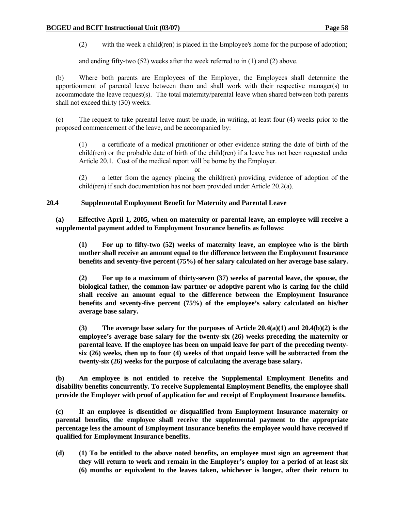(2) with the week a child(ren) is placed in the Employee's home for the purpose of adoption;

and ending fifty-two (52) weeks after the week referred to in (1) and (2) above.

 (b) Where both parents are Employees of the Employer, the Employees shall determine the apportionment of parental leave between them and shall work with their respective manager(s) to accommodate the leave request(s). The total maternity/parental leave when shared between both parents shall not exceed thirty (30) weeks.

 (c) The request to take parental leave must be made, in writing, at least four (4) weeks prior to the proposed commencement of the leave, and be accompanied by:

 (1) a certificate of a medical practitioner or other evidence stating the date of birth of the child(ren) or the probable date of birth of the child(ren) if a leave has not been requested under Article 20.1. Cost of the medical report will be borne by the Employer.

or

 (2) a letter from the agency placing the child(ren) providing evidence of adoption of the child(ren) if such documentation has not been provided under Article 20.2(a).

#### **20.4 Supplemental Employment Benefit for Maternity and Parental Leave**

**(a) Effective April 1, 2005, when on maternity or parental leave, an employee will receive a supplemental payment added to Employment Insurance benefits as follows:** 

 **(1) For up to fifty-two (52) weeks of maternity leave, an employee who is the birth mother shall receive an amount equal to the difference between the Employment Insurance benefits and seventy-five percent (75%) of her salary calculated on her average base salary.** 

 **(2) For up to a maximum of thirty-seven (37) weeks of parental leave, the spouse, the biological father, the common-law partner or adoptive parent who is caring for the child shall receive an amount equal to the difference between the Employment Insurance benefits and seventy-five percent (75%) of the employee's salary calculated on his/her average base salary.** 

 **(3) The average base salary for the purposes of Article 20.4(a)(1) and 20.4(b)(2) is the employee's average base salary for the twenty-six (26) weeks preceding the maternity or parental leave. If the employee has been on unpaid leave for part of the preceding twentysix (26) weeks, then up to four (4) weeks of that unpaid leave will be subtracted from the twenty-six (26) weeks for the purpose of calculating the average base salary.** 

 **(b) An employee is not entitled to receive the Supplemental Employment Benefits and disability benefits concurrently. To receive Supplemental Employment Benefits, the employee shall provide the Employer with proof of application for and receipt of Employment Insurance benefits.** 

 **(c) If an employee is disentitled or disqualified from Employment Insurance maternity or parental benefits, the employee shall receive the supplemental payment to the appropriate percentage less the amount of Employment Insurance benefits the employee would have received if qualified for Employment Insurance benefits.** 

 **(d) (1) To be entitled to the above noted benefits, an employee must sign an agreement that they will return to work and remain in the Employer's employ for a period of at least six (6) months or equivalent to the leaves taken, whichever is longer, after their return to**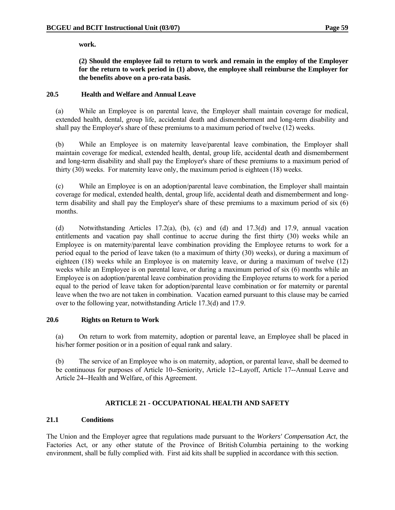**work.** 

 **(2) Should the employee fail to return to work and remain in the employ of the Employer for the return to work period in (1) above, the employee shall reimburse the Employer for the benefits above on a pro-rata basis.** 

# **20.5 Health and Welfare and Annual Leave**

 (a) While an Employee is on parental leave, the Employer shall maintain coverage for medical, extended health, dental, group life, accidental death and dismemberment and long-term disability and shall pay the Employer's share of these premiums to a maximum period of twelve (12) weeks.

 (b) While an Employee is on maternity leave/parental leave combination, the Employer shall maintain coverage for medical, extended health, dental, group life, accidental death and dismemberment and long-term disability and shall pay the Employer's share of these premiums to a maximum period of thirty (30) weeks. For maternity leave only, the maximum period is eighteen (18) weeks.

 (c) While an Employee is on an adoption/parental leave combination, the Employer shall maintain coverage for medical, extended health, dental, group life, accidental death and dismemberment and longterm disability and shall pay the Employer's share of these premiums to a maximum period of six (6) months.

 (d) Notwithstanding Articles 17.2(a), (b), (c) and (d) and 17.3(d) and 17.9, annual vacation entitlements and vacation pay shall continue to accrue during the first thirty (30) weeks while an Employee is on maternity/parental leave combination providing the Employee returns to work for a period equal to the period of leave taken (to a maximum of thirty (30) weeks), or during a maximum of eighteen (18) weeks while an Employee is on maternity leave, or during a maximum of twelve (12) weeks while an Employee is on parental leave, or during a maximum period of six (6) months while an Employee is on adoption/parental leave combination providing the Employee returns to work for a period equal to the period of leave taken for adoption/parental leave combination or for maternity or parental leave when the two are not taken in combination. Vacation earned pursuant to this clause may be carried over to the following year, notwithstanding Article 17.3(d) and 17.9.

#### **20.6 Rights on Return to Work**

 (a) On return to work from maternity, adoption or parental leave, an Employee shall be placed in his/her former position or in a position of equal rank and salary.

 (b) The service of an Employee who is on maternity, adoption, or parental leave, shall be deemed to be continuous for purposes of Article 10--Seniority, Article 12--Layoff, Article 17--Annual Leave and Article 24--Health and Welfare, of this Agreement.

# **ARTICLE 21 - OCCUPATIONAL HEALTH AND SAFETY**

#### **21.1 Conditions**

The Union and the Employer agree that regulations made pursuant to the *Workers' Compensation Act*, the Factories Act, or any other statute of the Province of British Columbia pertaining to the working environment, shall be fully complied with. First aid kits shall be supplied in accordance with this section.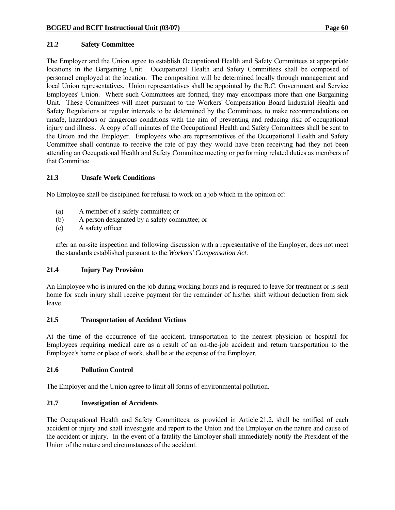### **21.2 Safety Committee**

The Employer and the Union agree to establish Occupational Health and Safety Committees at appropriate locations in the Bargaining Unit. Occupational Health and Safety Committees shall be composed of personnel employed at the location. The composition will be determined locally through management and local Union representatives. Union representatives shall be appointed by the B.C. Government and Service Employees' Union. Where such Committees are formed, they may encompass more than one Bargaining Unit. These Committees will meet pursuant to the Workers' Compensation Board Industrial Health and Safety Regulations at regular intervals to be determined by the Committees, to make recommendations on unsafe, hazardous or dangerous conditions with the aim of preventing and reducing risk of occupational injury and illness. A copy of all minutes of the Occupational Health and Safety Committees shall be sent to the Union and the Employer. Employees who are representatives of the Occupational Health and Safety Committee shall continue to receive the rate of pay they would have been receiving had they not been attending an Occupational Health and Safety Committee meeting or performing related duties as members of that Committee.

### **21.3 Unsafe Work Conditions**

No Employee shall be disciplined for refusal to work on a job which in the opinion of:

- (a) A member of a safety committee; or
- (b) A person designated by a safety committee; or
- (c) A safety officer

 after an on-site inspection and following discussion with a representative of the Employer, does not meet the standards established pursuant to the *Workers' Compensation Act*.

# **21.4 Injury Pay Provision**

An Employee who is injured on the job during working hours and is required to leave for treatment or is sent home for such injury shall receive payment for the remainder of his/her shift without deduction from sick leave.

#### **21.5 Transportation of Accident Victims**

At the time of the occurrence of the accident, transportation to the nearest physician or hospital for Employees requiring medical care as a result of an on-the-job accident and return transportation to the Employee's home or place of work, shall be at the expense of the Employer.

#### **21.6 Pollution Control**

The Employer and the Union agree to limit all forms of environmental pollution.

# **21.7 Investigation of Accidents**

The Occupational Health and Safety Committees, as provided in Article 21.2, shall be notified of each accident or injury and shall investigate and report to the Union and the Employer on the nature and cause of the accident or injury. In the event of a fatality the Employer shall immediately notify the President of the Union of the nature and circumstances of the accident.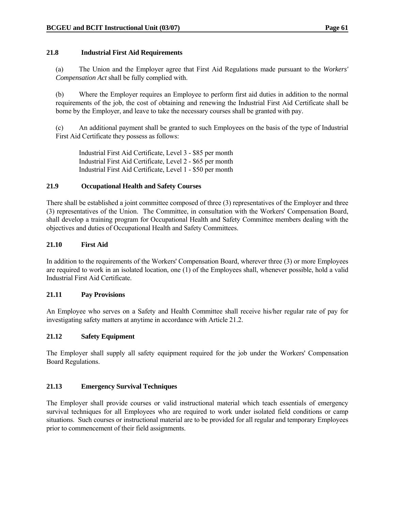#### **21.8 Industrial First Aid Requirements**

 (a) The Union and the Employer agree that First Aid Regulations made pursuant to the *Workers' Compensation Act* shall be fully complied with.

 (b) Where the Employer requires an Employee to perform first aid duties in addition to the normal requirements of the job, the cost of obtaining and renewing the Industrial First Aid Certificate shall be borne by the Employer, and leave to take the necessary courses shall be granted with pay.

 (c) An additional payment shall be granted to such Employees on the basis of the type of Industrial First Aid Certificate they possess as follows:

 Industrial First Aid Certificate, Level 3 - \$85 per month Industrial First Aid Certificate, Level 2 - \$65 per month Industrial First Aid Certificate, Level 1 - \$50 per month

#### **21.9 Occupational Health and Safety Courses**

There shall be established a joint committee composed of three (3) representatives of the Employer and three (3) representatives of the Union. The Committee, in consultation with the Workers' Compensation Board, shall develop a training program for Occupational Health and Safety Committee members dealing with the objectives and duties of Occupational Health and Safety Committees.

### **21.10 First Aid**

In addition to the requirements of the Workers' Compensation Board, wherever three (3) or more Employees are required to work in an isolated location, one (1) of the Employees shall, whenever possible, hold a valid Industrial First Aid Certificate.

#### **21.11 Pay Provisions**

An Employee who serves on a Safety and Health Committee shall receive his/her regular rate of pay for investigating safety matters at anytime in accordance with Article 21.2.

#### **21.12 Safety Equipment**

The Employer shall supply all safety equipment required for the job under the Workers' Compensation Board Regulations.

#### **21.13 Emergency Survival Techniques**

The Employer shall provide courses or valid instructional material which teach essentials of emergency survival techniques for all Employees who are required to work under isolated field conditions or camp situations. Such courses or instructional material are to be provided for all regular and temporary Employees prior to commencement of their field assignments.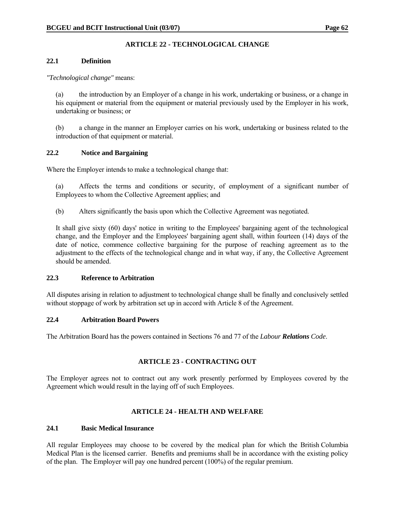# **ARTICLE 22 - TECHNOLOGICAL CHANGE**

### **22.1 Definition**

### *"Technological change"* means:

 (a) the introduction by an Employer of a change in his work, undertaking or business, or a change in his equipment or material from the equipment or material previously used by the Employer in his work, undertaking or business; or

 (b) a change in the manner an Employer carries on his work, undertaking or business related to the introduction of that equipment or material.

# **22.2 Notice and Bargaining**

Where the Employer intends to make a technological change that:

 (a) Affects the terms and conditions or security, of employment of a significant number of Employees to whom the Collective Agreement applies; and

(b) Alters significantly the basis upon which the Collective Agreement was negotiated.

 It shall give sixty (60) days' notice in writing to the Employees' bargaining agent of the technological change, and the Employer and the Employees' bargaining agent shall, within fourteen (14) days of the date of notice, commence collective bargaining for the purpose of reaching agreement as to the adjustment to the effects of the technological change and in what way, if any, the Collective Agreement should be amended.

# **22.3 Reference to Arbitration**

All disputes arising in relation to adjustment to technological change shall be finally and conclusively settled without stoppage of work by arbitration set up in accord with Article 8 of the Agreement.

#### **22.4 Arbitration Board Powers**

The Arbitration Board has the powers contained in Sections 76 and 77 of the *Labour Relations Code*.

# **ARTICLE 23 - CONTRACTING OUT**

The Employer agrees not to contract out any work presently performed by Employees covered by the Agreement which would result in the laying off of such Employees.

# **ARTICLE 24 - HEALTH AND WELFARE**

#### **24.1 Basic Medical Insurance**

All regular Employees may choose to be covered by the medical plan for which the British Columbia Medical Plan is the licensed carrier. Benefits and premiums shall be in accordance with the existing policy of the plan. The Employer will pay one hundred percent (100%) of the regular premium.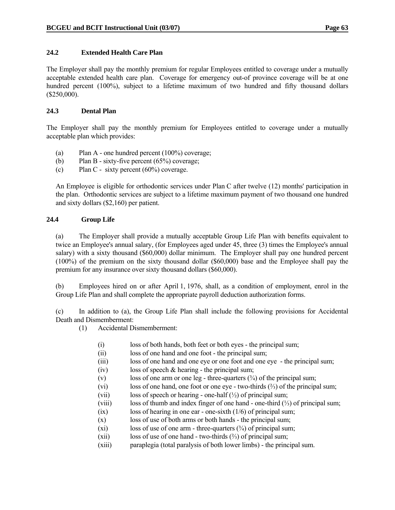### **24.2 Extended Health Care Plan**

The Employer shall pay the monthly premium for regular Employees entitled to coverage under a mutually acceptable extended health care plan. Coverage for emergency out-of province coverage will be at one hundred percent (100%), subject to a lifetime maximum of two hundred and fifty thousand dollars (\$250,000).

### **24.3 Dental Plan**

The Employer shall pay the monthly premium for Employees entitled to coverage under a mutually acceptable plan which provides:

- (a) Plan A one hundred percent (100%) coverage;
- (b) Plan B sixty-five percent (65%) coverage;
- (c) Plan C sixty percent (60%) coverage.

 An Employee is eligible for orthodontic services under Plan C after twelve (12) months' participation in the plan. Orthodontic services are subject to a lifetime maximum payment of two thousand one hundred and sixty dollars (\$2,160) per patient.

### **24.4 Group Life**

 (a) The Employer shall provide a mutually acceptable Group Life Plan with benefits equivalent to twice an Employee's annual salary, (for Employees aged under 45, three (3) times the Employee's annual salary) with a sixty thousand (\$60,000) dollar minimum. The Employer shall pay one hundred percent (100%) of the premium on the sixty thousand dollar (\$60,000) base and the Employee shall pay the premium for any insurance over sixty thousand dollars (\$60,000).

 (b) Employees hired on or after April 1, 1976, shall, as a condition of employment, enrol in the Group Life Plan and shall complete the appropriate payroll deduction authorization forms.

 (c) In addition to (a), the Group Life Plan shall include the following provisions for Accidental Death and Dismemberment:

(1) Accidental Dismemberment:

- (i) loss of both hands, both feet or both eyes the principal sum;
- (ii) loss of one hand and one foot the principal sum;
- (iii) loss of one hand and one eye or one foot and one eye the principal sum;
- (iv) loss of speech  $&$  hearing the principal sum;
- (v) loss of one arm or one leg three-quarters  $(\frac{3}{4})$  of the principal sum;
- (vi) loss of one hand, one foot or one eye two-thirds (⅔) of the principal sum;
- (vii) loss of speech or hearing one-half  $(\frac{1}{2})$  of principal sum;
- (viii) loss of thumb and index finger of one hand one-third (⅓) of principal sum;
- (ix) loss of hearing in one ear one-sixth (1/6) of principal sum;
- (x) loss of use of both arms or both hands the principal sum;
- (xi) loss of use of one arm three-quarters  $(\frac{3}{4})$  of principal sum;
- (xii) loss of use of one hand two-thirds  $(\frac{2}{3})$  of principal sum;
- (xiii) paraplegia (total paralysis of both lower limbs) the principal sum.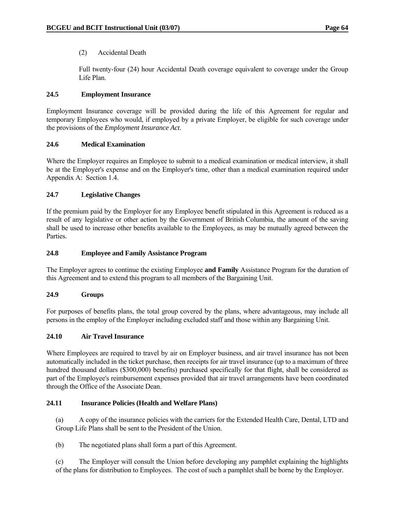## (2) Accidental Death

 Full twenty-four (24) hour Accidental Death coverage equivalent to coverage under the Group Life Plan.

## **24.5 Employment Insurance**

Employment Insurance coverage will be provided during the life of this Agreement for regular and temporary Employees who would, if employed by a private Employer, be eligible for such coverage under the provisions of the *Employment Insurance Act*.

#### **24.6 Medical Examination**

Where the Employer requires an Employee to submit to a medical examination or medical interview, it shall be at the Employer's expense and on the Employer's time, other than a medical examination required under Appendix A: Section 1.4.

#### **24.7 Legislative Changes**

If the premium paid by the Employer for any Employee benefit stipulated in this Agreement is reduced as a result of any legislative or other action by the Government of British Columbia, the amount of the saving shall be used to increase other benefits available to the Employees, as may be mutually agreed between the **Parties** 

#### **24.8 Employee and Family Assistance Program**

The Employer agrees to continue the existing Employee **and Family** Assistance Program for the duration of this Agreement and to extend this program to all members of the Bargaining Unit.

#### **24.9 Groups**

For purposes of benefits plans, the total group covered by the plans, where advantageous, may include all persons in the employ of the Employer including excluded staff and those within any Bargaining Unit.

#### **24.10 Air Travel Insurance**

Where Employees are required to travel by air on Employer business, and air travel insurance has not been automatically included in the ticket purchase, then receipts for air travel insurance (up to a maximum of three hundred thousand dollars (\$300,000) benefits) purchased specifically for that flight, shall be considered as part of the Employee's reimbursement expenses provided that air travel arrangements have been coordinated through the Office of the Associate Dean.

## **24.11 Insurance Policies (Health and Welfare Plans)**

 (a) A copy of the insurance policies with the carriers for the Extended Health Care, Dental, LTD and Group Life Plans shall be sent to the President of the Union.

(b) The negotiated plans shall form a part of this Agreement.

 (c) The Employer will consult the Union before developing any pamphlet explaining the highlights of the plans for distribution to Employees. The cost of such a pamphlet shall be borne by the Employer.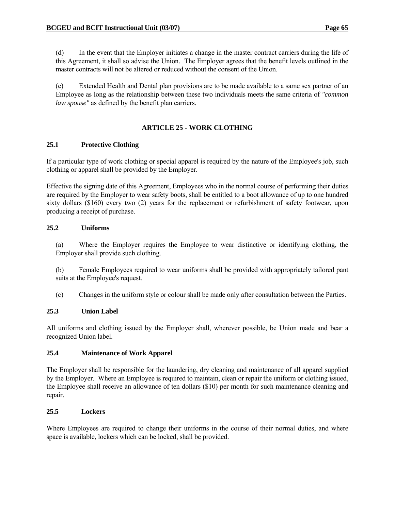(d) In the event that the Employer initiates a change in the master contract carriers during the life of this Agreement, it shall so advise the Union. The Employer agrees that the benefit levels outlined in the master contracts will not be altered or reduced without the consent of the Union.

 (e) Extended Health and Dental plan provisions are to be made available to a same sex partner of an Employee as long as the relationship between these two individuals meets the same criteria of *"common law spouse"* as defined by the benefit plan carriers.

## **ARTICLE 25 - WORK CLOTHING**

#### **25.1 Protective Clothing**

If a particular type of work clothing or special apparel is required by the nature of the Employee's job, such clothing or apparel shall be provided by the Employer.

Effective the signing date of this Agreement, Employees who in the normal course of performing their duties are required by the Employer to wear safety boots, shall be entitled to a boot allowance of up to one hundred sixty dollars (\$160) every two (2) years for the replacement or refurbishment of safety footwear, upon producing a receipt of purchase.

#### **25.2 Uniforms**

 (a) Where the Employer requires the Employee to wear distinctive or identifying clothing, the Employer shall provide such clothing.

 (b) Female Employees required to wear uniforms shall be provided with appropriately tailored pant suits at the Employee's request.

(c) Changes in the uniform style or colour shall be made only after consultation between the Parties.

#### **25.3 Union Label**

All uniforms and clothing issued by the Employer shall, wherever possible, be Union made and bear a recognized Union label.

#### **25.4 Maintenance of Work Apparel**

The Employer shall be responsible for the laundering, dry cleaning and maintenance of all apparel supplied by the Employer. Where an Employee is required to maintain, clean or repair the uniform or clothing issued, the Employee shall receive an allowance of ten dollars (\$10) per month for such maintenance cleaning and repair.

#### **25.5 Lockers**

Where Employees are required to change their uniforms in the course of their normal duties, and where space is available, lockers which can be locked, shall be provided.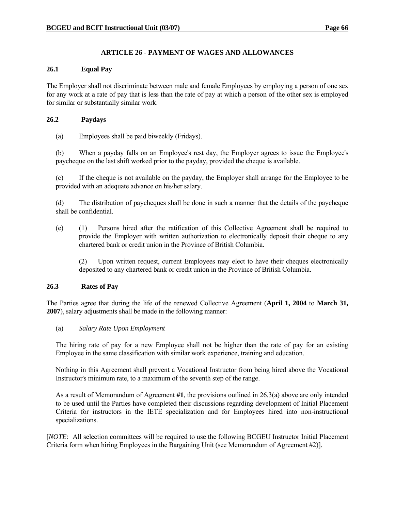## **ARTICLE 26 - PAYMENT OF WAGES AND ALLOWANCES**

#### **26.1 Equal Pay**

The Employer shall not discriminate between male and female Employees by employing a person of one sex for any work at a rate of pay that is less than the rate of pay at which a person of the other sex is employed for similar or substantially similar work.

#### **26.2 Paydays**

(a) Employees shall be paid biweekly (Fridays).

 (b) When a payday falls on an Employee's rest day, the Employer agrees to issue the Employee's paycheque on the last shift worked prior to the payday, provided the cheque is available.

 (c) If the cheque is not available on the payday, the Employer shall arrange for the Employee to be provided with an adequate advance on his/her salary.

 (d) The distribution of paycheques shall be done in such a manner that the details of the paycheque shall be confidential.

 (e) (1) Persons hired after the ratification of this Collective Agreement shall be required to provide the Employer with written authorization to electronically deposit their cheque to any chartered bank or credit union in the Province of British Columbia.

 (2) Upon written request, current Employees may elect to have their cheques electronically deposited to any chartered bank or credit union in the Province of British Columbia.

#### **26.3 Rates of Pay**

The Parties agree that during the life of the renewed Collective Agreement (**April 1, 2004** to **March 31, 2007**), salary adjustments shall be made in the following manner:

#### (a) *Salary Rate Upon Employment*

 The hiring rate of pay for a new Employee shall not be higher than the rate of pay for an existing Employee in the same classification with similar work experience, training and education.

 Nothing in this Agreement shall prevent a Vocational Instructor from being hired above the Vocational Instructor's minimum rate, to a maximum of the seventh step of the range.

 As a result of Memorandum of Agreement **#1**, the provisions outlined in 26.3(a) above are only intended to be used until the Parties have completed their discussions regarding development of Initial Placement Criteria for instructors in the IETE specialization and for Employees hired into non-instructional specializations.

[*NOTE:* All selection committees will be required to use the following BCGEU Instructor Initial Placement Criteria form when hiring Employees in the Bargaining Unit (see Memorandum of Agreement #2)].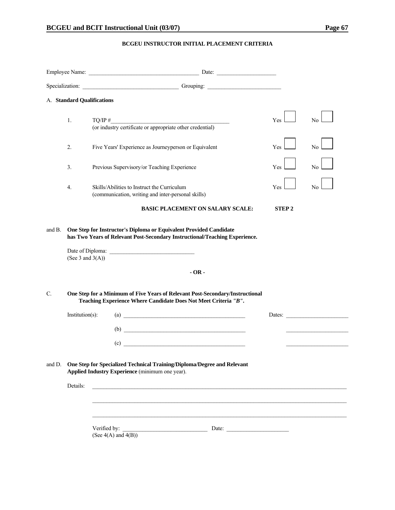#### **BCGEU INSTRUCTOR INITIAL PLACEMENT CRITERIA**

|        |                     | $\Box$ Date: $\Box$                                                                                                                                                                                                            |              |                                                                                                                                                                                                                                |
|--------|---------------------|--------------------------------------------------------------------------------------------------------------------------------------------------------------------------------------------------------------------------------|--------------|--------------------------------------------------------------------------------------------------------------------------------------------------------------------------------------------------------------------------------|
|        |                     | Specialization: Christman Company Company Company Company Company Company Company Company Company Company Company Company Company Company Company Company Company Company Company Company Company Company Company Company Comp |              |                                                                                                                                                                                                                                |
|        |                     | A. Standard Qualifications                                                                                                                                                                                                     |              |                                                                                                                                                                                                                                |
|        | 1.                  | TQ/IP $\#$ (or industry certificate or appropriate other credential)                                                                                                                                                           | <b>Yes</b>   | No.                                                                                                                                                                                                                            |
|        | 2.                  | Five Years' Experience as Journeyperson or Equivalent                                                                                                                                                                          | Yes          | No                                                                                                                                                                                                                             |
|        | 3.                  | Previous Supervisory/or Teaching Experience                                                                                                                                                                                    | Yes          | N <sub>0</sub>                                                                                                                                                                                                                 |
|        | 4.                  | Skills/Abilities to Instruct the Curriculum<br>(communication, writing and inter-personal skills)                                                                                                                              | Yes          | N <sub>0</sub>                                                                                                                                                                                                                 |
|        |                     | <b>BASIC PLACEMENT ON SALARY SCALE:</b>                                                                                                                                                                                        | <b>STEP2</b> |                                                                                                                                                                                                                                |
|        | (See 3 and $3(A)$ ) | $-OR -$                                                                                                                                                                                                                        |              |                                                                                                                                                                                                                                |
|        |                     |                                                                                                                                                                                                                                |              |                                                                                                                                                                                                                                |
| C.     |                     | One Step for a Minimum of Five Years of Relevant Post-Secondary/Instructional<br>Teaching Experience Where Candidate Does Not Meet Criteria "B".                                                                               |              |                                                                                                                                                                                                                                |
|        | $Institution(s)$ :  | $\left( \text{a)}\; \right)$                                                                                                                                                                                                   |              | Dates: The Contract of the Contract of the Contract of the Contract of the Contract of the Contract of the Contract of the Contract of the Contract of the Contract of the Contract of the Contract of the Contract of the Con |
|        |                     | $\begin{array}{c}\n\text{(b)}\end{array}$                                                                                                                                                                                      |              |                                                                                                                                                                                                                                |
|        |                     | $\overline{c}$ (c)                                                                                                                                                                                                             |              |                                                                                                                                                                                                                                |
| and D. |                     | One Step for Specialized Technical Training/Diploma/Degree and Relevant<br>Applied Industry Experience (minimum one year).                                                                                                     |              |                                                                                                                                                                                                                                |
|        | Details:            | <u> 1980 - Johann Barn, mars ann an t-Amhainn an t-Amhainn an t-Amhainn an t-Amhainn an t-Amhainn an t-Amhainn an </u>                                                                                                         |              |                                                                                                                                                                                                                                |
|        |                     |                                                                                                                                                                                                                                |              |                                                                                                                                                                                                                                |
|        |                     | Verified by:<br>Date:<br><u> 1989 - Johann Barbara, martxa alemaniar a</u><br>(See $4(A)$ and $4(B)$ )                                                                                                                         |              |                                                                                                                                                                                                                                |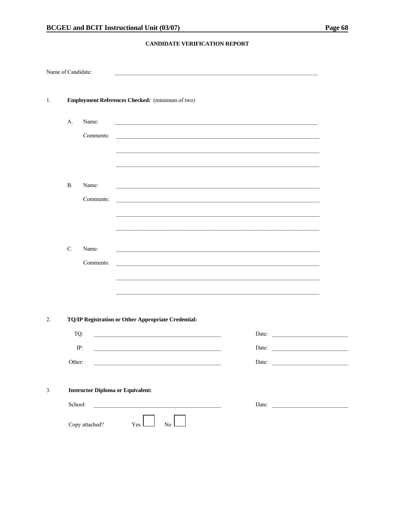#### CANDIDATE VERIFICATION REPORT

| Name of Candidate: |           |                |                                                     |           |  |       |                                                                                                                      |  |
|--------------------|-----------|----------------|-----------------------------------------------------|-----------|--|-------|----------------------------------------------------------------------------------------------------------------------|--|
|                    |           |                |                                                     |           |  |       |                                                                                                                      |  |
| 1.                 |           |                | Employment References Checked: (minimum of two)     |           |  |       |                                                                                                                      |  |
|                    | A.        | Name:          |                                                     |           |  |       |                                                                                                                      |  |
|                    |           | Comments:      |                                                     |           |  |       |                                                                                                                      |  |
|                    |           |                |                                                     |           |  |       |                                                                                                                      |  |
|                    |           |                |                                                     |           |  |       |                                                                                                                      |  |
|                    | <b>B.</b> | Name:          |                                                     |           |  |       |                                                                                                                      |  |
|                    |           | Comments:      |                                                     |           |  |       |                                                                                                                      |  |
|                    |           |                |                                                     |           |  |       |                                                                                                                      |  |
|                    |           |                |                                                     |           |  |       |                                                                                                                      |  |
|                    | C.        | Name:          |                                                     |           |  |       |                                                                                                                      |  |
|                    |           | Comments:      |                                                     |           |  |       |                                                                                                                      |  |
|                    |           |                |                                                     |           |  |       |                                                                                                                      |  |
|                    |           |                |                                                     |           |  |       |                                                                                                                      |  |
|                    |           |                |                                                     |           |  |       |                                                                                                                      |  |
| 2.                 |           |                | TQ/IP Registration or Other Appropriate Credential: |           |  |       |                                                                                                                      |  |
|                    | TQ:       |                |                                                     |           |  |       | Date:                                                                                                                |  |
|                    |           | IP:            |                                                     |           |  | Date: | <u> 1980 - Jan Stein Stein Stein Stein Stein Stein Stein Stein Stein Stein Stein Stein Stein Stein Stein Stein S</u> |  |
|                    | Other:    |                |                                                     |           |  |       | Date:                                                                                                                |  |
|                    |           |                |                                                     |           |  |       |                                                                                                                      |  |
| 3.                 |           |                | <b>Instructor Diploma or Equivalent:</b>            |           |  |       |                                                                                                                      |  |
|                    | School:   |                |                                                     |           |  |       | Date: $\qquad \qquad$                                                                                                |  |
|                    |           | Copy attached? | Yes I                                               | No $\Box$ |  |       |                                                                                                                      |  |
|                    |           |                |                                                     |           |  |       |                                                                                                                      |  |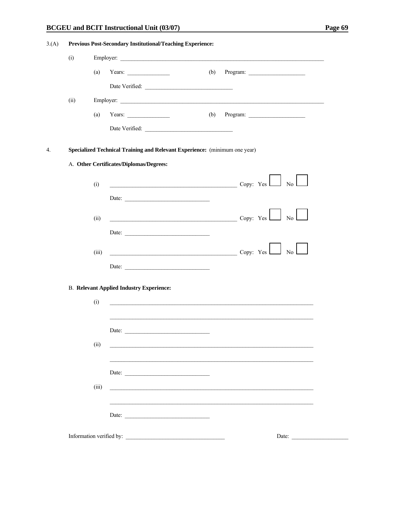#### **BCGEU** and **BCIT** Instructional Unit (03/07)

| 3(A) | Previous Post-Secondary Institutional/Teaching Experience: |       |                                                                            |                                                                                         |  |  |  |  |
|------|------------------------------------------------------------|-------|----------------------------------------------------------------------------|-----------------------------------------------------------------------------------------|--|--|--|--|
|      | (i)                                                        |       |                                                                            |                                                                                         |  |  |  |  |
|      |                                                            | (a)   | Years: $\qquad \qquad$                                                     | (b)                                                                                     |  |  |  |  |
|      |                                                            |       |                                                                            |                                                                                         |  |  |  |  |
|      | (ii)                                                       |       |                                                                            |                                                                                         |  |  |  |  |
|      |                                                            | (a)   | Years: $\qquad \qquad$                                                     | (b)                                                                                     |  |  |  |  |
|      |                                                            |       |                                                                            |                                                                                         |  |  |  |  |
|      |                                                            |       | Specialized Technical Training and Relevant Experience: (minimum one year) |                                                                                         |  |  |  |  |
|      |                                                            |       | A. Other Certificates/Diplomas/Degrees:                                    |                                                                                         |  |  |  |  |
|      |                                                            |       |                                                                            |                                                                                         |  |  |  |  |
|      |                                                            | (i)   |                                                                            | $\overline{\text{Copy: Yes}}$ No $\overline{\hspace{1cm}}$ No $\overline{\hspace{1cm}}$ |  |  |  |  |
|      |                                                            |       | Date:                                                                      |                                                                                         |  |  |  |  |
|      |                                                            | (ii)  | $\overline{\phantom{a}}$ Copy: Yes $\Box$ No                               |                                                                                         |  |  |  |  |
|      |                                                            |       | Date:                                                                      |                                                                                         |  |  |  |  |
|      |                                                            | (iii) |                                                                            | $\begin{array}{c c} \hline \text{Copy: Yes} & \text{No} \end{array}$                    |  |  |  |  |
|      |                                                            |       | Date:                                                                      |                                                                                         |  |  |  |  |
|      |                                                            |       |                                                                            |                                                                                         |  |  |  |  |
|      |                                                            |       | <b>B.</b> Relevant Applied Industry Experience:                            |                                                                                         |  |  |  |  |
|      |                                                            | (i)   |                                                                            |                                                                                         |  |  |  |  |
|      |                                                            |       |                                                                            |                                                                                         |  |  |  |  |
|      |                                                            |       | Date:                                                                      |                                                                                         |  |  |  |  |
|      |                                                            | (ii)  |                                                                            |                                                                                         |  |  |  |  |
|      |                                                            |       |                                                                            |                                                                                         |  |  |  |  |
|      |                                                            |       | Date: $\qquad \qquad$                                                      |                                                                                         |  |  |  |  |
|      |                                                            | (iii) |                                                                            |                                                                                         |  |  |  |  |
|      |                                                            |       |                                                                            |                                                                                         |  |  |  |  |
|      |                                                            |       | Date: $\frac{1}{\sqrt{1-\frac{1}{2}} \cdot \frac{1}{2}}$                   |                                                                                         |  |  |  |  |
|      |                                                            |       | Information verified by:                                                   | Date:                                                                                   |  |  |  |  |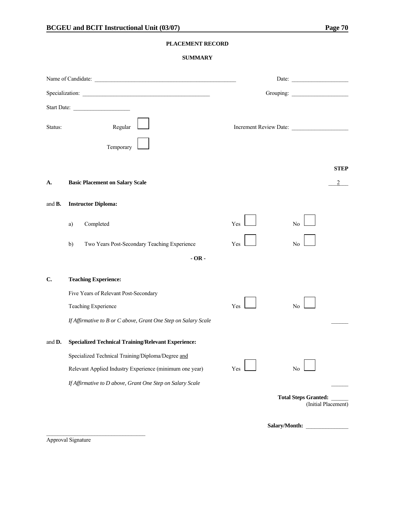#### **PLACEMENT RECORD**

#### **SUMMARY**

|                | Name of Candidate:                                             |                        | Date:                                              |
|----------------|----------------------------------------------------------------|------------------------|----------------------------------------------------|
|                |                                                                |                        | Grouping:                                          |
|                | Start Date:                                                    |                        |                                                    |
| Status:        | Regular                                                        | Increment Review Date: |                                                    |
|                | Temporary                                                      |                        |                                                    |
|                |                                                                |                        |                                                    |
| A.             | <b>Basic Placement on Salary Scale</b>                         |                        | <b>STEP</b>                                        |
| and <b>B</b> . | <b>Instructor Diploma:</b>                                     |                        |                                                    |
|                | Completed<br>a)                                                | Yes                    | No                                                 |
|                | Two Years Post-Secondary Teaching Experience<br>b)             | Yes                    | No                                                 |
|                | $-OR -$                                                        |                        |                                                    |
| C.             | <b>Teaching Experience:</b>                                    |                        |                                                    |
|                | Five Years of Relevant Post-Secondary                          |                        |                                                    |
|                | Teaching Experience                                            | Yes                    | N <sub>0</sub>                                     |
|                | If Affirmative to B or C above, Grant One Step on Salary Scale |                        |                                                    |
| and <b>D</b> . | <b>Specialized Technical Training/Relevant Experience:</b>     |                        |                                                    |
|                | Specialized Technical Training/Diploma/Degree and              |                        |                                                    |
|                | Relevant Applied Industry Experience (minimum one year)        | Yes                    | No                                                 |
|                | If Affirmative to D above, Grant One Step on Salary Scale      |                        |                                                    |
|                |                                                                |                        | <b>Total Steps Granted:</b><br>(Initial Placement) |
|                |                                                                | Salary/Month:          |                                                    |

Approval Signature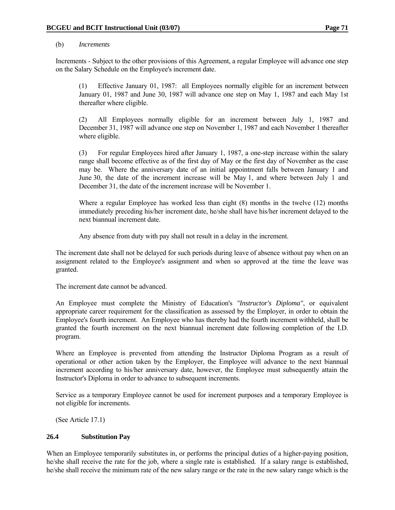#### (b) *Increments*

 Increments - Subject to the other provisions of this Agreement, a regular Employee will advance one step on the Salary Schedule on the Employee's increment date.

 (1) Effective January 01, 1987: all Employees normally eligible for an increment between January 01, 1987 and June 30, 1987 will advance one step on May 1, 1987 and each May 1st thereafter where eligible.

 (2) All Employees normally eligible for an increment between July 1, 1987 and December 31, 1987 will advance one step on November 1, 1987 and each November 1 thereafter where eligible.

 (3) For regular Employees hired after January 1, 1987, a one-step increase within the salary range shall become effective as of the first day of May or the first day of November as the case may be. Where the anniversary date of an initial appointment falls between January 1 and June 30, the date of the increment increase will be May 1, and where between July 1 and December 31, the date of the increment increase will be November 1.

 Where a regular Employee has worked less than eight (8) months in the twelve (12) months immediately preceding his/her increment date, he/she shall have his/her increment delayed to the next biannual increment date.

Any absence from duty with pay shall not result in a delay in the increment.

 The increment date shall not be delayed for such periods during leave of absence without pay when on an assignment related to the Employee's assignment and when so approved at the time the leave was granted.

The increment date cannot be advanced.

 An Employee must complete the Ministry of Education's *"Instructor's Diploma"*, or equivalent appropriate career requirement for the classification as assessed by the Employer, in order to obtain the Employee's fourth increment. An Employee who has thereby had the fourth increment withheld, shall be granted the fourth increment on the next biannual increment date following completion of the I.D. program.

 Where an Employee is prevented from attending the Instructor Diploma Program as a result of operational or other action taken by the Employer, the Employee will advance to the next biannual increment according to his/her anniversary date, however, the Employee must subsequently attain the Instructor's Diploma in order to advance to subsequent increments.

 Service as a temporary Employee cannot be used for increment purposes and a temporary Employee is not eligible for increments.

(See Article 17.1)

#### **26.4 Substitution Pay**

When an Employee temporarily substitutes in, or performs the principal duties of a higher-paying position, he/she shall receive the rate for the job, where a single rate is established. If a salary range is established, he/she shall receive the minimum rate of the new salary range or the rate in the new salary range which is the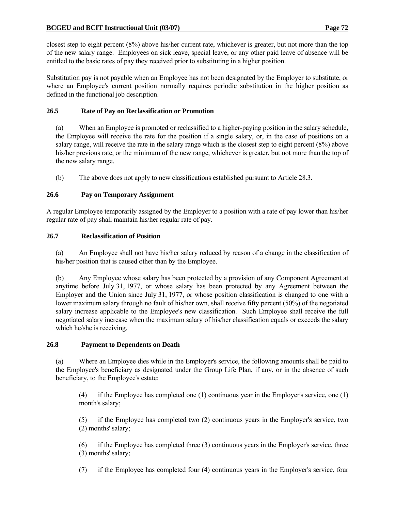closest step to eight percent (8%) above his/her current rate, whichever is greater, but not more than the top of the new salary range. Employees on sick leave, special leave, or any other paid leave of absence will be entitled to the basic rates of pay they received prior to substituting in a higher position.

Substitution pay is not payable when an Employee has not been designated by the Employer to substitute, or where an Employee's current position normally requires periodic substitution in the higher position as defined in the functional job description.

# **26.5 Rate of Pay on Reclassification or Promotion**

 (a) When an Employee is promoted or reclassified to a higher-paying position in the salary schedule, the Employee will receive the rate for the position if a single salary, or, in the case of positions on a salary range, will receive the rate in the salary range which is the closest step to eight percent (8%) above his/her previous rate, or the minimum of the new range, whichever is greater, but not more than the top of the new salary range.

(b) The above does not apply to new classifications established pursuant to Article 28.3.

# **26.6 Pay on Temporary Assignment**

A regular Employee temporarily assigned by the Employer to a position with a rate of pay lower than his/her regular rate of pay shall maintain his/her regular rate of pay.

## **26.7 Reclassification of Position**

 (a) An Employee shall not have his/her salary reduced by reason of a change in the classification of his/her position that is caused other than by the Employee.

 (b) Any Employee whose salary has been protected by a provision of any Component Agreement at anytime before July 31, 1977, or whose salary has been protected by any Agreement between the Employer and the Union since July 31, 1977, or whose position classification is changed to one with a lower maximum salary through no fault of his/her own, shall receive fifty percent (50%) of the negotiated salary increase applicable to the Employee's new classification. Such Employee shall receive the full negotiated salary increase when the maximum salary of his/her classification equals or exceeds the salary which he/she is receiving.

## **26.8 Payment to Dependents on Death**

 (a) Where an Employee dies while in the Employer's service, the following amounts shall be paid to the Employee's beneficiary as designated under the Group Life Plan, if any, or in the absence of such beneficiary, to the Employee's estate:

 (4) if the Employee has completed one (1) continuous year in the Employer's service, one (1) month's salary;

 (5) if the Employee has completed two (2) continuous years in the Employer's service, two (2) months' salary;

 (6) if the Employee has completed three (3) continuous years in the Employer's service, three (3) months' salary;

(7) if the Employee has completed four (4) continuous years in the Employer's service, four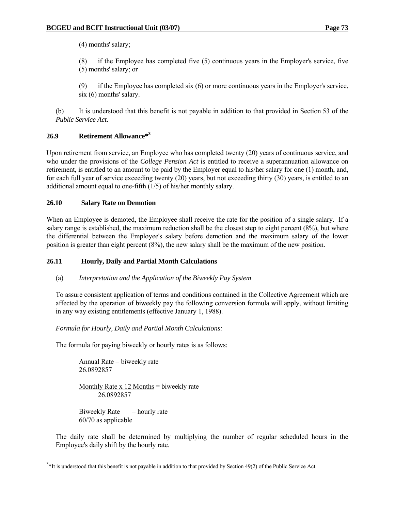(4) months' salary;

 (8) if the Employee has completed five (5) continuous years in the Employer's service, five (5) months' salary; or

 (9) if the Employee has completed six (6) or more continuous years in the Employer's service, six (6) months' salary.

 (b) It is understood that this benefit is not payable in addition to that provided in Section 53 of the *Public Service Act*.

# **26.9 Retirement Allowance\*3**

Upon retirement from service, an Employee who has completed twenty (20) years of continuous service, and who under the provisions of the *College Pension Act* is entitled to receive a superannuation allowance on retirement, is entitled to an amount to be paid by the Employer equal to his/her salary for one (1) month, and, for each full year of service exceeding twenty (20) years, but not exceeding thirty (30) years, is entitled to an additional amount equal to one-fifth (1/5) of his/her monthly salary.

## **26.10 Salary Rate on Demotion**

When an Employee is demoted, the Employee shall receive the rate for the position of a single salary. If a salary range is established, the maximum reduction shall be the closest step to eight percent (8%), but where the differential between the Employee's salary before demotion and the maximum salary of the lower position is greater than eight percent (8%), the new salary shall be the maximum of the new position.

## **26.11 Hourly, Daily and Partial Month Calculations**

## (a) *Interpretation and the Application of the Biweekly Pay System*

 To assure consistent application of terms and conditions contained in the Collective Agreement which are affected by the operation of biweekly pay the following conversion formula will apply, without limiting in any way existing entitlements (effective January 1, 1988).

 *Formula for Hourly, Daily and Partial Month Calculations:*

The formula for paying biweekly or hourly rates is as follows:

 Annual Rate = biweekly rate 26.0892857

Monthly Rate  $x$  12 Months = biweekly rate 26.0892857

Biweekly Rate  $=$  hourly rate 60/70 as applicable

 $\overline{a}$ 

 The daily rate shall be determined by multiplying the number of regular scheduled hours in the Employee's daily shift by the hourly rate.

 $3*$ It is understood that this benefit is not payable in addition to that provided by Section 49(2) of the Public Service Act.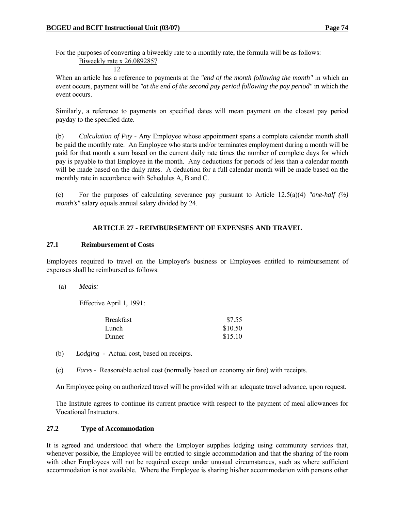For the purposes of converting a biweekly rate to a monthly rate, the formula will be as follows: Biweekly rate x 26.0892857

$$
\begin{array}{c}\n\hline\n12\n\end{array}
$$

 When an article has a reference to payments at the *"end of the month following the month"* in which an event occurs, payment will be *"at the end of the second pay period following the pay period"* in which the event occurs.

 Similarly, a reference to payments on specified dates will mean payment on the closest pay period payday to the specified date.

 (b) *Calculation of Pay* - Any Employee whose appointment spans a complete calendar month shall be paid the monthly rate. An Employee who starts and/or terminates employment during a month will be paid for that month a sum based on the current daily rate times the number of complete days for which pay is payable to that Employee in the month. Any deductions for periods of less than a calendar month will be made based on the daily rates. A deduction for a full calendar month will be made based on the monthly rate in accordance with Schedules A, B and C.

 (c) For the purposes of calculating severance pay pursuant to Article 12.5(a)(4) *"one-half (½) month's"* salary equals annual salary divided by 24.

#### **ARTICLE 27 - REIMBURSEMENT OF EXPENSES AND TRAVEL**

#### **27.1 Reimbursement of Costs**

Employees required to travel on the Employer's business or Employees entitled to reimbursement of expenses shall be reimbursed as follows:

(a) *Meals:*

Effective April 1, 1991:

| <b>Breakfast</b> | \$7.55  |
|------------------|---------|
| Lunch            | \$10.50 |
| <b>Dinner</b>    | \$15.10 |

- (b) *Lodging* Actual cost, based on receipts.
- (c) *Fares* Reasonable actual cost (normally based on economy air fare) with receipts.

An Employee going on authorized travel will be provided with an adequate travel advance, upon request.

 The Institute agrees to continue its current practice with respect to the payment of meal allowances for Vocational Instructors.

#### **27.2 Type of Accommodation**

It is agreed and understood that where the Employer supplies lodging using community services that, whenever possible, the Employee will be entitled to single accommodation and that the sharing of the room with other Employees will not be required except under unusual circumstances, such as where sufficient accommodation is not available. Where the Employee is sharing his/her accommodation with persons other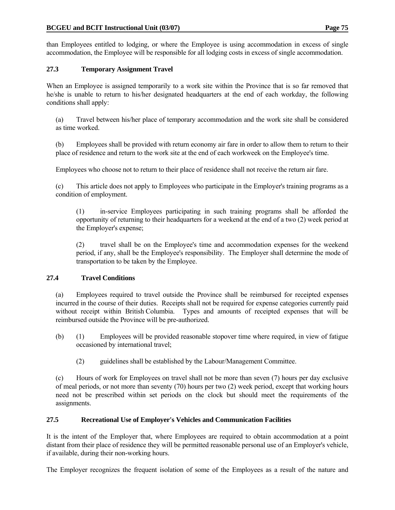than Employees entitled to lodging, or where the Employee is using accommodation in excess of single accommodation, the Employee will be responsible for all lodging costs in excess of single accommodation.

# **27.3 Temporary Assignment Travel**

When an Employee is assigned temporarily to a work site within the Province that is so far removed that he/she is unable to return to his/her designated headquarters at the end of each workday, the following conditions shall apply:

 (a) Travel between his/her place of temporary accommodation and the work site shall be considered as time worked.

 (b) Employees shall be provided with return economy air fare in order to allow them to return to their place of residence and return to the work site at the end of each workweek on the Employee's time.

Employees who choose not to return to their place of residence shall not receive the return air fare.

 (c) This article does not apply to Employees who participate in the Employer's training programs as a condition of employment.

 (1) in-service Employees participating in such training programs shall be afforded the opportunity of returning to their headquarters for a weekend at the end of a two (2) week period at the Employer's expense;

 (2) travel shall be on the Employee's time and accommodation expenses for the weekend period, if any, shall be the Employee's responsibility. The Employer shall determine the mode of transportation to be taken by the Employee.

## **27.4 Travel Conditions**

 (a) Employees required to travel outside the Province shall be reimbursed for receipted expenses incurred in the course of their duties. Receipts shall not be required for expense categories currently paid without receipt within British Columbia. Types and amounts of receipted expenses that will be reimbursed outside the Province will be pre-authorized.

- (b) (1) Employees will be provided reasonable stopover time where required, in view of fatigue occasioned by international travel;
	- (2) guidelines shall be established by the Labour/Management Committee.

 (c) Hours of work for Employees on travel shall not be more than seven (7) hours per day exclusive of meal periods, or not more than seventy (70) hours per two (2) week period, except that working hours need not be prescribed within set periods on the clock but should meet the requirements of the assignments.

## **27.5 Recreational Use of Employer's Vehicles and Communication Facilities**

It is the intent of the Employer that, where Employees are required to obtain accommodation at a point distant from their place of residence they will be permitted reasonable personal use of an Employer's vehicle, if available, during their non-working hours.

The Employer recognizes the frequent isolation of some of the Employees as a result of the nature and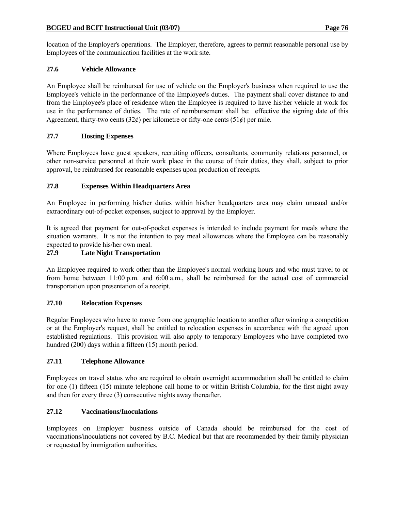location of the Employer's operations. The Employer, therefore, agrees to permit reasonable personal use by Employees of the communication facilities at the work site.

## **27.6 Vehicle Allowance**

An Employee shall be reimbursed for use of vehicle on the Employer's business when required to use the Employee's vehicle in the performance of the Employee's duties. The payment shall cover distance to and from the Employee's place of residence when the Employee is required to have his/her vehicle at work for use in the performance of duties. The rate of reimbursement shall be: effective the signing date of this Agreement, thirty-two cents  $(32\ell)$  per kilometre or fifty-one cents  $(51\ell)$  per mile.

# **27.7 Hosting Expenses**

Where Employees have guest speakers, recruiting officers, consultants, community relations personnel, or other non-service personnel at their work place in the course of their duties, they shall, subject to prior approval, be reimbursed for reasonable expenses upon production of receipts.

## **27.8 Expenses Within Headquarters Area**

An Employee in performing his/her duties within his/her headquarters area may claim unusual and/or extraordinary out-of-pocket expenses, subject to approval by the Employer.

It is agreed that payment for out-of-pocket expenses is intended to include payment for meals where the situation warrants. It is not the intention to pay meal allowances where the Employee can be reasonably expected to provide his/her own meal.

# **27.9 Late Night Transportation**

An Employee required to work other than the Employee's normal working hours and who must travel to or from home between 11:00 p.m. and 6:00 a.m., shall be reimbursed for the actual cost of commercial transportation upon presentation of a receipt.

## **27.10 Relocation Expenses**

Regular Employees who have to move from one geographic location to another after winning a competition or at the Employer's request, shall be entitled to relocation expenses in accordance with the agreed upon established regulations. This provision will also apply to temporary Employees who have completed two hundred (200) days within a fifteen (15) month period.

## **27.11 Telephone Allowance**

Employees on travel status who are required to obtain overnight accommodation shall be entitled to claim for one (1) fifteen (15) minute telephone call home to or within British Columbia, for the first night away and then for every three (3) consecutive nights away thereafter.

## **27.12 Vaccinations/Inoculations**

Employees on Employer business outside of Canada should be reimbursed for the cost of vaccinations/inoculations not covered by B.C. Medical but that are recommended by their family physician or requested by immigration authorities.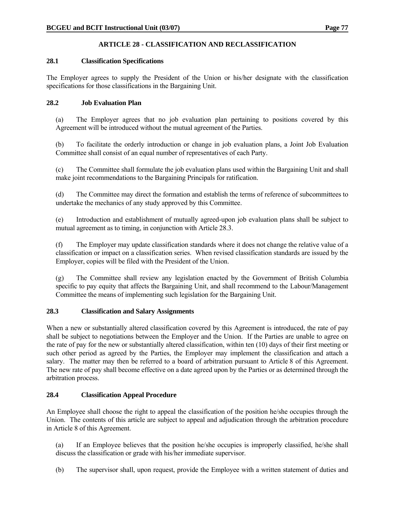# **ARTICLE 28 - CLASSIFICATION AND RECLASSIFICATION**

#### **28.1 Classification Specifications**

The Employer agrees to supply the President of the Union or his/her designate with the classification specifications for those classifications in the Bargaining Unit.

## **28.2 Job Evaluation Plan**

 (a) The Employer agrees that no job evaluation plan pertaining to positions covered by this Agreement will be introduced without the mutual agreement of the Parties.

 (b) To facilitate the orderly introduction or change in job evaluation plans, a Joint Job Evaluation Committee shall consist of an equal number of representatives of each Party.

 (c) The Committee shall formulate the job evaluation plans used within the Bargaining Unit and shall make joint recommendations to the Bargaining Principals for ratification.

 (d) The Committee may direct the formation and establish the terms of reference of subcommittees to undertake the mechanics of any study approved by this Committee.

 (e) Introduction and establishment of mutually agreed-upon job evaluation plans shall be subject to mutual agreement as to timing, in conjunction with Article 28.3.

 (f) The Employer may update classification standards where it does not change the relative value of a classification or impact on a classification series. When revised classification standards are issued by the Employer, copies will be filed with the President of the Union.

 (g) The Committee shall review any legislation enacted by the Government of British Columbia specific to pay equity that affects the Bargaining Unit, and shall recommend to the Labour/Management Committee the means of implementing such legislation for the Bargaining Unit.

## **28.3 Classification and Salary Assignments**

When a new or substantially altered classification covered by this Agreement is introduced, the rate of pay shall be subject to negotiations between the Employer and the Union. If the Parties are unable to agree on the rate of pay for the new or substantially altered classification, within ten (10) days of their first meeting or such other period as agreed by the Parties, the Employer may implement the classification and attach a salary. The matter may then be referred to a board of arbitration pursuant to Article 8 of this Agreement. The new rate of pay shall become effective on a date agreed upon by the Parties or as determined through the arbitration process.

#### **28.4 Classification Appeal Procedure**

An Employee shall choose the right to appeal the classification of the position he/she occupies through the Union. The contents of this article are subject to appeal and adjudication through the arbitration procedure in Article 8 of this Agreement.

 (a) If an Employee believes that the position he/she occupies is improperly classified, he/she shall discuss the classification or grade with his/her immediate supervisor.

(b) The supervisor shall, upon request, provide the Employee with a written statement of duties and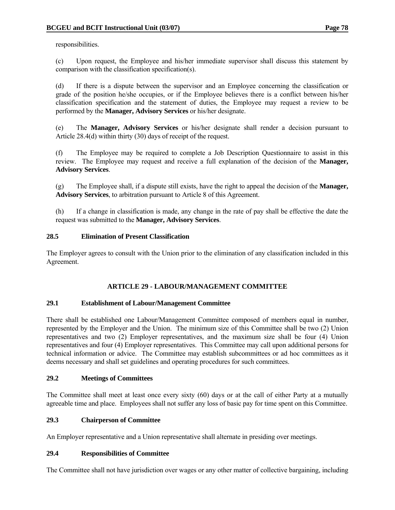responsibilities.

 (c) Upon request, the Employee and his/her immediate supervisor shall discuss this statement by comparison with the classification specification(s).

 (d) If there is a dispute between the supervisor and an Employee concerning the classification or grade of the position he/she occupies, or if the Employee believes there is a conflict between his/her classification specification and the statement of duties, the Employee may request a review to be performed by the **Manager, Advisory Services** or his/her designate.

 (e) The **Manager, Advisory Services** or his/her designate shall render a decision pursuant to Article 28.4(d) within thirty (30) days of receipt of the request.

 (f) The Employee may be required to complete a Job Description Questionnaire to assist in this review. The Employee may request and receive a full explanation of the decision of the **Manager, Advisory Services**.

 (g) The Employee shall, if a dispute still exists, have the right to appeal the decision of the **Manager, Advisory Services**, to arbitration pursuant to Article 8 of this Agreement.

 (h) If a change in classification is made, any change in the rate of pay shall be effective the date the request was submitted to the **Manager, Advisory Services**.

#### **28.5 Elimination of Present Classification**

The Employer agrees to consult with the Union prior to the elimination of any classification included in this Agreement.

## **ARTICLE 29 - LABOUR/MANAGEMENT COMMITTEE**

#### **29.1 Establishment of Labour/Management Committee**

There shall be established one Labour/Management Committee composed of members equal in number, represented by the Employer and the Union. The minimum size of this Committee shall be two (2) Union representatives and two (2) Employer representatives, and the maximum size shall be four (4) Union representatives and four (4) Employer representatives. This Committee may call upon additional persons for technical information or advice. The Committee may establish subcommittees or ad hoc committees as it deems necessary and shall set guidelines and operating procedures for such committees.

#### **29.2 Meetings of Committees**

The Committee shall meet at least once every sixty (60) days or at the call of either Party at a mutually agreeable time and place. Employees shall not suffer any loss of basic pay for time spent on this Committee.

## **29.3 Chairperson of Committee**

An Employer representative and a Union representative shall alternate in presiding over meetings.

## **29.4 Responsibilities of Committee**

The Committee shall not have jurisdiction over wages or any other matter of collective bargaining, including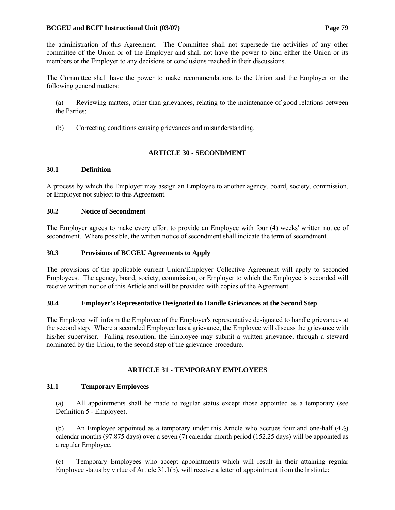the administration of this Agreement. The Committee shall not supersede the activities of any other committee of the Union or of the Employer and shall not have the power to bind either the Union or its members or the Employer to any decisions or conclusions reached in their discussions.

The Committee shall have the power to make recommendations to the Union and the Employer on the following general matters:

 (a) Reviewing matters, other than grievances, relating to the maintenance of good relations between the Parties;

(b) Correcting conditions causing grievances and misunderstanding.

#### **ARTICLE 30 - SECONDMENT**

#### **30.1 Definition**

A process by which the Employer may assign an Employee to another agency, board, society, commission, or Employer not subject to this Agreement.

#### **30.2 Notice of Secondment**

The Employer agrees to make every effort to provide an Employee with four (4) weeks' written notice of secondment. Where possible, the written notice of secondment shall indicate the term of secondment.

#### **30.3 Provisions of BCGEU Agreements to Apply**

The provisions of the applicable current Union/Employer Collective Agreement will apply to seconded Employees. The agency, board, society, commission, or Employer to which the Employee is seconded will receive written notice of this Article and will be provided with copies of the Agreement.

#### **30.4 Employer's Representative Designated to Handle Grievances at the Second Step**

The Employer will inform the Employee of the Employer's representative designated to handle grievances at the second step. Where a seconded Employee has a grievance, the Employee will discuss the grievance with his/her supervisor. Failing resolution, the Employee may submit a written grievance, through a steward nominated by the Union, to the second step of the grievance procedure.

#### **ARTICLE 31 - TEMPORARY EMPLOYEES**

#### **31.1 Temporary Employees**

 (a) All appointments shall be made to regular status except those appointed as a temporary (see Definition 5 - Employee).

 (b) An Employee appointed as a temporary under this Article who accrues four and one-half (4½) calendar months (97.875 days) over a seven (7) calendar month period (152.25 days) will be appointed as a regular Employee.

 (c) Temporary Employees who accept appointments which will result in their attaining regular Employee status by virtue of Article 31.1(b), will receive a letter of appointment from the Institute: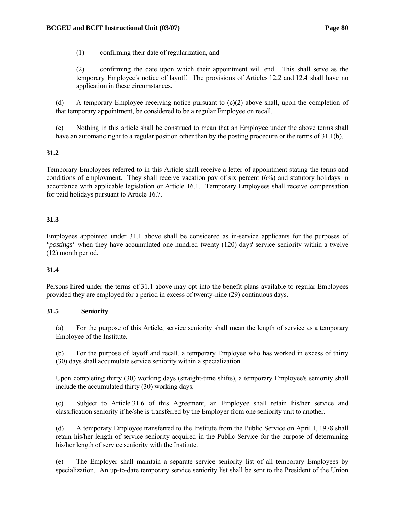(1) confirming their date of regularization, and

 (2) confirming the date upon which their appointment will end. This shall serve as the temporary Employee's notice of layoff. The provisions of Articles 12.2 and 12.4 shall have no application in these circumstances.

 (d) A temporary Employee receiving notice pursuant to (c)(2) above shall, upon the completion of that temporary appointment, be considered to be a regular Employee on recall.

 (e) Nothing in this article shall be construed to mean that an Employee under the above terms shall have an automatic right to a regular position other than by the posting procedure or the terms of 31.1(b).

## **31.2**

Temporary Employees referred to in this Article shall receive a letter of appointment stating the terms and conditions of employment. They shall receive vacation pay of six percent (6%) and statutory holidays in accordance with applicable legislation or Article 16.1. Temporary Employees shall receive compensation for paid holidays pursuant to Article 16.7.

## **31.3**

Employees appointed under 31.1 above shall be considered as in-service applicants for the purposes of *"postings"* when they have accumulated one hundred twenty (120) days' service seniority within a twelve (12) month period.

## **31.4**

Persons hired under the terms of 31.1 above may opt into the benefit plans available to regular Employees provided they are employed for a period in excess of twenty-nine (29) continuous days.

#### **31.5 Seniority**

 (a) For the purpose of this Article, service seniority shall mean the length of service as a temporary Employee of the Institute.

 (b) For the purpose of layoff and recall, a temporary Employee who has worked in excess of thirty (30) days shall accumulate service seniority within a specialization.

 Upon completing thirty (30) working days (straight-time shifts), a temporary Employee's seniority shall include the accumulated thirty (30) working days.

 (c) Subject to Article 31.6 of this Agreement, an Employee shall retain his/her service and classification seniority if he/she is transferred by the Employer from one seniority unit to another.

 (d) A temporary Employee transferred to the Institute from the Public Service on April 1, 1978 shall retain his/her length of service seniority acquired in the Public Service for the purpose of determining his/her length of service seniority with the Institute.

 (e) The Employer shall maintain a separate service seniority list of all temporary Employees by specialization. An up-to-date temporary service seniority list shall be sent to the President of the Union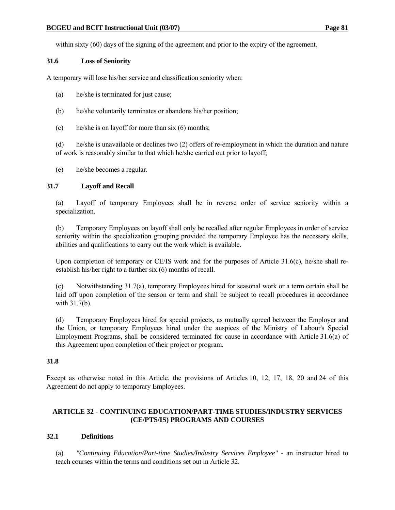within sixty (60) days of the signing of the agreement and prior to the expiry of the agreement.

## **31.6 Loss of Seniority**

A temporary will lose his/her service and classification seniority when:

- (a) he/she is terminated for just cause;
- (b) he/she voluntarily terminates or abandons his/her position;
- (c) he/she is on layoff for more than six (6) months;

 (d) he/she is unavailable or declines two (2) offers of re-employment in which the duration and nature of work is reasonably similar to that which he/she carried out prior to layoff;

(e) he/she becomes a regular.

## **31.7 Layoff and Recall**

 (a) Layoff of temporary Employees shall be in reverse order of service seniority within a specialization.

 (b) Temporary Employees on layoff shall only be recalled after regular Employees in order of service seniority within the specialization grouping provided the temporary Employee has the necessary skills, abilities and qualifications to carry out the work which is available.

Upon completion of temporary or CE/IS work and for the purposes of Article 31.6(c), he/she shall reestablish his/her right to a further six (6) months of recall.

 (c) Notwithstanding 31.7(a), temporary Employees hired for seasonal work or a term certain shall be laid off upon completion of the season or term and shall be subject to recall procedures in accordance with 31.7(b).

 (d) Temporary Employees hired for special projects, as mutually agreed between the Employer and the Union, or temporary Employees hired under the auspices of the Ministry of Labour's Special Employment Programs, shall be considered terminated for cause in accordance with Article 31.6(a) of this Agreement upon completion of their project or program.

## **31.8**

Except as otherwise noted in this Article, the provisions of Articles 10, 12, 17, 18, 20 and 24 of this Agreement do not apply to temporary Employees.

## **ARTICLE 32 - CONTINUING EDUCATION/PART-TIME STUDIES/INDUSTRY SERVICES (CE/PTS/IS) PROGRAMS AND COURSES**

## **32.1 Definitions**

 (a) *"Continuing Education/Part-time Studies/Industry Services Employee"* - an instructor hired to teach courses within the terms and conditions set out in Article 32.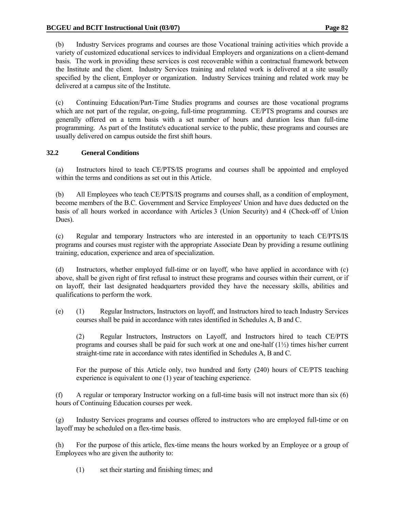(b) Industry Services programs and courses are those Vocational training activities which provide a variety of customized educational services to individual Employers and organizations on a client-demand basis. The work in providing these services is cost recoverable within a contractual framework between the Institute and the client. Industry Services training and related work is delivered at a site usually specified by the client, Employer or organization. Industry Services training and related work may be delivered at a campus site of the Institute.

 (c) Continuing Education/Part-Time Studies programs and courses are those vocational programs which are not part of the regular, on-going, full-time programming. CE/PTS programs and courses are generally offered on a term basis with a set number of hours and duration less than full-time programming. As part of the Institute's educational service to the public, these programs and courses are usually delivered on campus outside the first shift hours.

# **32.2 General Conditions**

 (a) Instructors hired to teach CE/PTS/IS programs and courses shall be appointed and employed within the terms and conditions as set out in this Article.

 (b) All Employees who teach CE/PTS/IS programs and courses shall, as a condition of employment, become members of the B.C. Government and Service Employees' Union and have dues deducted on the basis of all hours worked in accordance with Articles 3 (Union Security) and 4 (Check-off of Union Dues).

 (c) Regular and temporary Instructors who are interested in an opportunity to teach CE/PTS/IS programs and courses must register with the appropriate Associate Dean by providing a resume outlining training, education, experience and area of specialization.

 (d) Instructors, whether employed full-time or on layoff, who have applied in accordance with (c) above, shall be given right of first refusal to instruct these programs and courses within their current, or if on layoff, their last designated headquarters provided they have the necessary skills, abilities and qualifications to perform the work.

 (e) (1) Regular Instructors, Instructors on layoff, and Instructors hired to teach Industry Services courses shall be paid in accordance with rates identified in Schedules A, B and C.

 (2) Regular Instructors, Instructors on Layoff, and Instructors hired to teach CE/PTS programs and courses shall be paid for such work at one and one-half  $(1/2)$  times his/her current straight-time rate in accordance with rates identified in Schedules A, B and C.

 For the purpose of this Article only, two hundred and forty (240) hours of CE/PTS teaching experience is equivalent to one (1) year of teaching experience.

 (f) A regular or temporary Instructor working on a full-time basis will not instruct more than six (6) hours of Continuing Education courses per week.

 (g) Industry Services programs and courses offered to instructors who are employed full-time or on layoff may be scheduled on a flex-time basis.

 (h) For the purpose of this article, flex-time means the hours worked by an Employee or a group of Employees who are given the authority to:

(1) set their starting and finishing times; and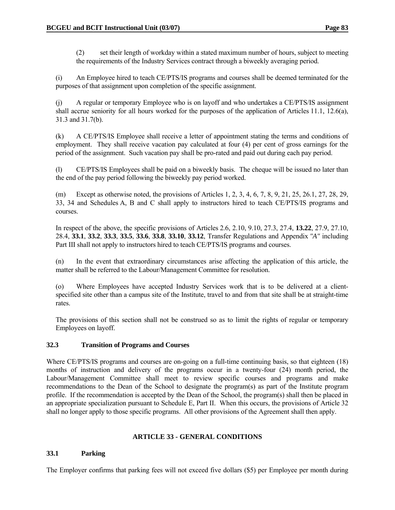(2) set their length of workday within a stated maximum number of hours, subject to meeting the requirements of the Industry Services contract through a biweekly averaging period.

 (i) An Employee hired to teach CE/PTS/IS programs and courses shall be deemed terminated for the purposes of that assignment upon completion of the specific assignment.

 (j) A regular or temporary Employee who is on layoff and who undertakes a CE/PTS/IS assignment shall accrue seniority for all hours worked for the purposes of the application of Articles 11.1, 12.6(a), 31.3 and 31.7(b).

 (k) A CE/PTS/IS Employee shall receive a letter of appointment stating the terms and conditions of employment. They shall receive vacation pay calculated at four (4) per cent of gross earnings for the period of the assignment. Such vacation pay shall be pro-rated and paid out during each pay period.

 (l) CE/PTS/IS Employees shall be paid on a biweekly basis. The cheque will be issued no later than the end of the pay period following the biweekly pay period worked.

 (m) Except as otherwise noted, the provisions of Articles 1, 2, 3, 4, 6, 7, 8, 9, 21, 25, 26.1, 27, 28, 29, 33, 34 and Schedules A, B and C shall apply to instructors hired to teach CE/PTS/IS programs and courses.

 In respect of the above, the specific provisions of Articles 2.6, 2.10, 9.10, 27.3, 27.4, **13.22**, 27.9, 27.10, 28.4, **33.1**, **33.2**, **33.3**, **33.5**, **33.6**, **33.8**, **33.10**, **33.12**, Transfer Regulations and Appendix *"A"* including Part III shall not apply to instructors hired to teach CE/PTS/IS programs and courses.

 (n) In the event that extraordinary circumstances arise affecting the application of this article, the matter shall be referred to the Labour/Management Committee for resolution.

 (o) Where Employees have accepted Industry Services work that is to be delivered at a clientspecified site other than a campus site of the Institute, travel to and from that site shall be at straight-time rates.

 The provisions of this section shall not be construed so as to limit the rights of regular or temporary Employees on layoff.

## **32.3 Transition of Programs and Courses**

Where CE/PTS/IS programs and courses are on-going on a full-time continuing basis, so that eighteen (18) months of instruction and delivery of the programs occur in a twenty-four (24) month period, the Labour/Management Committee shall meet to review specific courses and programs and make recommendations to the Dean of the School to designate the program(s) as part of the Institute program profile. If the recommendation is accepted by the Dean of the School, the program(s) shall then be placed in an appropriate specialization pursuant to Schedule E, Part II. When this occurs, the provisions of Article 32 shall no longer apply to those specific programs. All other provisions of the Agreement shall then apply.

#### **ARTICLE 33 - GENERAL CONDITIONS**

## **33.1 Parking**

The Employer confirms that parking fees will not exceed five dollars (\$5) per Employee per month during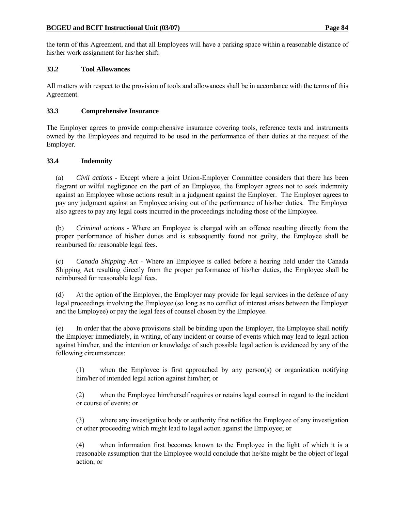the term of this Agreement, and that all Employees will have a parking space within a reasonable distance of his/her work assignment for his/her shift.

## **33.2 Tool Allowances**

All matters with respect to the provision of tools and allowances shall be in accordance with the terms of this Agreement.

## **33.3 Comprehensive Insurance**

The Employer agrees to provide comprehensive insurance covering tools, reference texts and instruments owned by the Employees and required to be used in the performance of their duties at the request of the Employer.

# **33.4 Indemnity**

 (a) *Civil actions* - Except where a joint Union-Employer Committee considers that there has been flagrant or wilful negligence on the part of an Employee, the Employer agrees not to seek indemnity against an Employee whose actions result in a judgment against the Employer. The Employer agrees to pay any judgment against an Employee arising out of the performance of his/her duties. The Employer also agrees to pay any legal costs incurred in the proceedings including those of the Employee.

 (b) *Criminal actions* - Where an Employee is charged with an offence resulting directly from the proper performance of his/her duties and is subsequently found not guilty, the Employee shall be reimbursed for reasonable legal fees.

 (c) *Canada Shipping Act* - Where an Employee is called before a hearing held under the Canada Shipping Act resulting directly from the proper performance of his/her duties, the Employee shall be reimbursed for reasonable legal fees.

 (d) At the option of the Employer, the Employer may provide for legal services in the defence of any legal proceedings involving the Employee (so long as no conflict of interest arises between the Employer and the Employee) or pay the legal fees of counsel chosen by the Employee.

 (e) In order that the above provisions shall be binding upon the Employer, the Employee shall notify the Employer immediately, in writing, of any incident or course of events which may lead to legal action against him/her, and the intention or knowledge of such possible legal action is evidenced by any of the following circumstances:

 (1) when the Employee is first approached by any person(s) or organization notifying him/her of intended legal action against him/her; or

 (2) when the Employee him/herself requires or retains legal counsel in regard to the incident or course of events; or

 (3) where any investigative body or authority first notifies the Employee of any investigation or other proceeding which might lead to legal action against the Employee; or

 (4) when information first becomes known to the Employee in the light of which it is a reasonable assumption that the Employee would conclude that he/she might be the object of legal action; or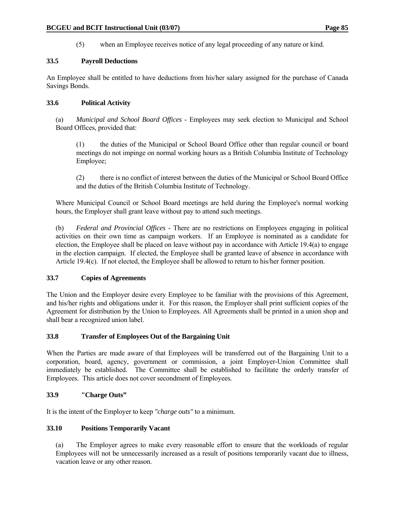(5) when an Employee receives notice of any legal proceeding of any nature or kind.

#### **33.5 Payroll Deductions**

An Employee shall be entitled to have deductions from his/her salary assigned for the purchase of Canada Savings Bonds.

#### **33.6 Political Activity**

- (a) *Municipal and School Board Offices* Employees may seek election to Municipal and School Board Offices, provided that:
	- (1) the duties of the Municipal or School Board Office other than regular council or board meetings do not impinge on normal working hours as a British Columbia Institute of Technology Employee;
	- (2) there is no conflict of interest between the duties of the Municipal or School Board Office and the duties of the British Columbia Institute of Technology.
- Where Municipal Council or School Board meetings are held during the Employee's normal working hours, the Employer shall grant leave without pay to attend such meetings.
- (b) *Federal and Provincial Offices* There are no restrictions on Employees engaging in political activities on their own time as campaign workers. If an Employee is nominated as a candidate for election, the Employee shall be placed on leave without pay in accordance with Article 19.4(a) to engage in the election campaign. If elected, the Employee shall be granted leave of absence in accordance with Article 19.4(c). If not elected, the Employee shall be allowed to return to his/her former position.

## **33.7 Copies of Agreements**

The Union and the Employer desire every Employee to be familiar with the provisions of this Agreement, and his/her rights and obligations under it. For this reason, the Employer shall print sufficient copies of the Agreement for distribution by the Union to Employees. All Agreements shall be printed in a union shop and shall bear a recognized union label.

#### **33.8 Transfer of Employees Out of the Bargaining Unit**

When the Parties are made aware of that Employees will be transferred out of the Bargaining Unit to a corporation, board, agency, government or commission, a joint Employer-Union Committee shall immediately be established. The Committee shall be established to facilitate the orderly transfer of Employees. This article does not cover secondment of Employees.

## **33.9 "Charge Outs"**

It is the intent of the Employer to keep *"charge outs"* to a minimum.

#### **33.10 Positions Temporarily Vacant**

 (a) The Employer agrees to make every reasonable effort to ensure that the workloads of regular Employees will not be unnecessarily increased as a result of positions temporarily vacant due to illness, vacation leave or any other reason.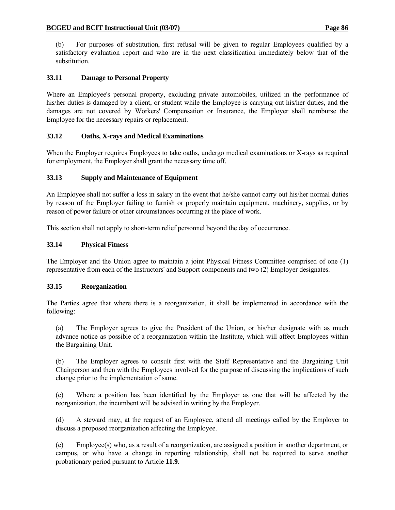(b) For purposes of substitution, first refusal will be given to regular Employees qualified by a satisfactory evaluation report and who are in the next classification immediately below that of the substitution.

# **33.11 Damage to Personal Property**

Where an Employee's personal property, excluding private automobiles, utilized in the performance of his/her duties is damaged by a client, or student while the Employee is carrying out his/her duties, and the damages are not covered by Workers' Compensation or Insurance, the Employer shall reimburse the Employee for the necessary repairs or replacement.

# **33.12 Oaths, X-rays and Medical Examinations**

When the Employer requires Employees to take oaths, undergo medical examinations or X-rays as required for employment, the Employer shall grant the necessary time off.

## **33.13 Supply and Maintenance of Equipment**

An Employee shall not suffer a loss in salary in the event that he/she cannot carry out his/her normal duties by reason of the Employer failing to furnish or properly maintain equipment, machinery, supplies, or by reason of power failure or other circumstances occurring at the place of work.

This section shall not apply to short-term relief personnel beyond the day of occurrence.

## **33.14 Physical Fitness**

The Employer and the Union agree to maintain a joint Physical Fitness Committee comprised of one (1) representative from each of the Instructors' and Support components and two (2) Employer designates.

## **33.15 Reorganization**

The Parties agree that where there is a reorganization, it shall be implemented in accordance with the following:

 (a) The Employer agrees to give the President of the Union, or his/her designate with as much advance notice as possible of a reorganization within the Institute, which will affect Employees within the Bargaining Unit.

 (b) The Employer agrees to consult first with the Staff Representative and the Bargaining Unit Chairperson and then with the Employees involved for the purpose of discussing the implications of such change prior to the implementation of same.

 (c) Where a position has been identified by the Employer as one that will be affected by the reorganization, the incumbent will be advised in writing by the Employer.

 (d) A steward may, at the request of an Employee, attend all meetings called by the Employer to discuss a proposed reorganization affecting the Employee.

(e) Employee(s) who, as a result of a reorganization, are assigned a position in another department, or campus, or who have a change in reporting relationship, shall not be required to serve another probationary period pursuant to Article **11.9**.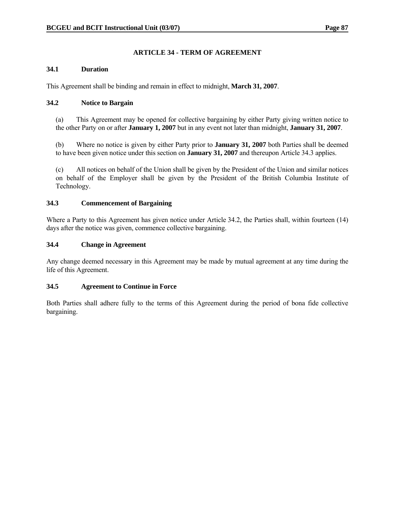# **ARTICLE 34 - TERM OF AGREEMENT**

#### **34.1 Duration**

This Agreement shall be binding and remain in effect to midnight, **March 31, 2007**.

#### **34.2 Notice to Bargain**

 (a) This Agreement may be opened for collective bargaining by either Party giving written notice to the other Party on or after **January 1, 2007** but in any event not later than midnight, **January 31, 2007**.

 (b) Where no notice is given by either Party prior to **January 31, 2007** both Parties shall be deemed to have been given notice under this section on **January 31, 2007** and thereupon Article 34.3 applies.

 (c) All notices on behalf of the Union shall be given by the President of the Union and similar notices on behalf of the Employer shall be given by the President of the British Columbia Institute of Technology.

#### **34.3 Commencement of Bargaining**

Where a Party to this Agreement has given notice under Article 34.2, the Parties shall, within fourteen (14) days after the notice was given, commence collective bargaining.

#### **34.4 Change in Agreement**

Any change deemed necessary in this Agreement may be made by mutual agreement at any time during the life of this Agreement.

## **34.5 Agreement to Continue in Force**

Both Parties shall adhere fully to the terms of this Agreement during the period of bona fide collective bargaining.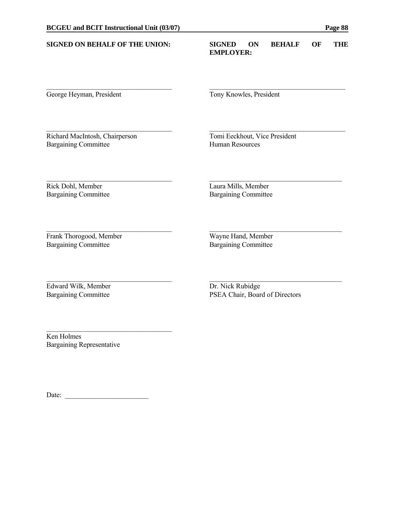#### **SIGNED ON BEHALF OF THE UNION: SIGNED ON BEHALF OF THE EMPLOYER:**

George Heyman, President Tony Knowles, President

 $\mathcal{L}_\mathcal{L} = \{ \mathcal{L}_\mathcal{L} = \{ \mathcal{L}_\mathcal{L} = \{ \mathcal{L}_\mathcal{L} = \{ \mathcal{L}_\mathcal{L} = \{ \mathcal{L}_\mathcal{L} = \{ \mathcal{L}_\mathcal{L} = \{ \mathcal{L}_\mathcal{L} = \{ \mathcal{L}_\mathcal{L} = \{ \mathcal{L}_\mathcal{L} = \{ \mathcal{L}_\mathcal{L} = \{ \mathcal{L}_\mathcal{L} = \{ \mathcal{L}_\mathcal{L} = \{ \mathcal{L}_\mathcal{L} = \{ \mathcal{L}_\mathcal{$ 

 $\mathcal{L}_\mathcal{L} = \{ \mathcal{L}_\mathcal{L} = \{ \mathcal{L}_\mathcal{L} = \{ \mathcal{L}_\mathcal{L} = \{ \mathcal{L}_\mathcal{L} = \{ \mathcal{L}_\mathcal{L} = \{ \mathcal{L}_\mathcal{L} = \{ \mathcal{L}_\mathcal{L} = \{ \mathcal{L}_\mathcal{L} = \{ \mathcal{L}_\mathcal{L} = \{ \mathcal{L}_\mathcal{L} = \{ \mathcal{L}_\mathcal{L} = \{ \mathcal{L}_\mathcal{L} = \{ \mathcal{L}_\mathcal{L} = \{ \mathcal{L}_\mathcal{$ 

 $\mathcal{L}_\mathcal{L} = \{ \mathcal{L}_\mathcal{L} = \{ \mathcal{L}_\mathcal{L} = \{ \mathcal{L}_\mathcal{L} = \{ \mathcal{L}_\mathcal{L} = \{ \mathcal{L}_\mathcal{L} = \{ \mathcal{L}_\mathcal{L} = \{ \mathcal{L}_\mathcal{L} = \{ \mathcal{L}_\mathcal{L} = \{ \mathcal{L}_\mathcal{L} = \{ \mathcal{L}_\mathcal{L} = \{ \mathcal{L}_\mathcal{L} = \{ \mathcal{L}_\mathcal{L} = \{ \mathcal{L}_\mathcal{L} = \{ \mathcal{L}_\mathcal{$ 

\_\_\_\_\_\_\_\_\_\_\_\_\_\_\_\_\_\_\_\_\_\_\_\_\_\_\_\_\_\_\_\_\_\_\_\_ \_\_\_\_\_\_\_\_\_\_\_\_\_\_\_\_\_\_\_\_\_\_\_\_\_\_\_\_\_\_\_\_\_\_\_\_\_\_

 $\mathcal{L}_\mathcal{L} = \{ \mathcal{L}_\mathcal{L} = \{ \mathcal{L}_\mathcal{L} = \{ \mathcal{L}_\mathcal{L} = \{ \mathcal{L}_\mathcal{L} = \{ \mathcal{L}_\mathcal{L} = \{ \mathcal{L}_\mathcal{L} = \{ \mathcal{L}_\mathcal{L} = \{ \mathcal{L}_\mathcal{L} = \{ \mathcal{L}_\mathcal{L} = \{ \mathcal{L}_\mathcal{L} = \{ \mathcal{L}_\mathcal{L} = \{ \mathcal{L}_\mathcal{L} = \{ \mathcal{L}_\mathcal{L} = \{ \mathcal{L}_\mathcal{$ 

Richard MacIntosh, Chairperson Tomi Eeckhout, Vice President Bargaining Committee **Human Resources** 

Rick Dohl, Member Laura Mills, Member Bargaining Committee Bargaining Committee

Frank Thorogood, Member Wayne Hand, Member Bargaining Committee Bargaining Committee

Bargaining Committee

Edward Wilk, Member Dr. Nick Rubidge

Bargaining Committee PSEA Chair, Board of Directors

Ken Holmes Bargaining Representative

Date:

 $\mathcal{L}_\text{max}$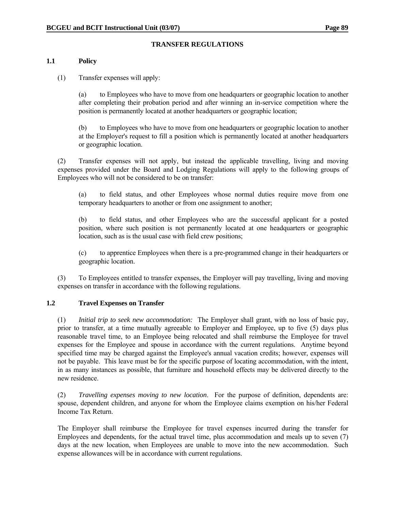# **TRANSFER REGULATIONS**

## **1.1 Policy**

(1) Transfer expenses will apply:

 (a) to Employees who have to move from one headquarters or geographic location to another after completing their probation period and after winning an in-service competition where the position is permanently located at another headquarters or geographic location;

 (b) to Employees who have to move from one headquarters or geographic location to another at the Employer's request to fill a position which is permanently located at another headquarters or geographic location.

 (2) Transfer expenses will not apply, but instead the applicable travelling, living and moving expenses provided under the Board and Lodging Regulations will apply to the following groups of Employees who will not be considered to be on transfer:

 (a) to field status, and other Employees whose normal duties require move from one temporary headquarters to another or from one assignment to another;

 (b) to field status, and other Employees who are the successful applicant for a posted position, where such position is not permanently located at one headquarters or geographic location, such as is the usual case with field crew positions;

 (c) to apprentice Employees when there is a pre-programmed change in their headquarters or geographic location.

 (3) To Employees entitled to transfer expenses, the Employer will pay travelling, living and moving expenses on transfer in accordance with the following regulations.

## **1.2 Travel Expenses on Transfer**

 (1) *Initial trip to seek new accommodation:* The Employer shall grant, with no loss of basic pay, prior to transfer, at a time mutually agreeable to Employer and Employee, up to five (5) days plus reasonable travel time, to an Employee being relocated and shall reimburse the Employee for travel expenses for the Employee and spouse in accordance with the current regulations. Anytime beyond specified time may be charged against the Employee's annual vacation credits; however, expenses will not be payable. This leave must be for the specific purpose of locating accommodation, with the intent, in as many instances as possible, that furniture and household effects may be delivered directly to the new residence.

 (2) *Travelling expenses moving to new location*. For the purpose of definition, dependents are: spouse, dependent children, and anyone for whom the Employee claims exemption on his/her Federal Income Tax Return.

 The Employer shall reimburse the Employee for travel expenses incurred during the transfer for Employees and dependents, for the actual travel time, plus accommodation and meals up to seven (7) days at the new location, when Employees are unable to move into the new accommodation. Such expense allowances will be in accordance with current regulations.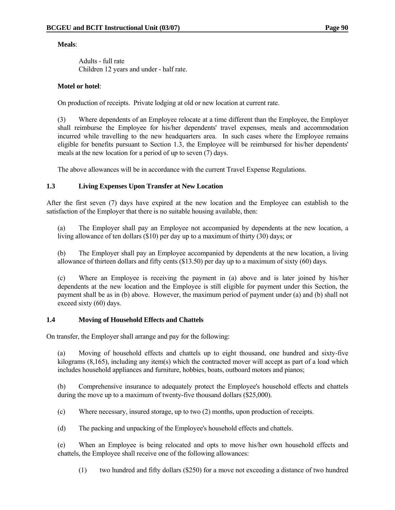#### **Meals**:

 Adults - full rate Children 12 years and under - half rate.

#### **Motel or hotel**:

On production of receipts. Private lodging at old or new location at current rate.

 (3) Where dependents of an Employee relocate at a time different than the Employee, the Employer shall reimburse the Employee for his/her dependents' travel expenses, meals and accommodation incurred while travelling to the new headquarters area. In such cases where the Employee remains eligible for benefits pursuant to Section 1.3, the Employee will be reimbursed for his/her dependents' meals at the new location for a period of up to seven (7) days.

The above allowances will be in accordance with the current Travel Expense Regulations.

## **1.3 Living Expenses Upon Transfer at New Location**

After the first seven (7) days have expired at the new location and the Employee can establish to the satisfaction of the Employer that there is no suitable housing available, then:

 (a) The Employer shall pay an Employee not accompanied by dependents at the new location, a living allowance of ten dollars (\$10) per day up to a maximum of thirty (30) days; or

 (b) The Employer shall pay an Employee accompanied by dependents at the new location, a living allowance of thirteen dollars and fifty cents (\$13.50) per day up to a maximum of sixty (60) days.

 (c) Where an Employee is receiving the payment in (a) above and is later joined by his/her dependents at the new location and the Employee is still eligible for payment under this Section, the payment shall be as in (b) above. However, the maximum period of payment under (a) and (b) shall not exceed sixty (60) days.

#### **1.4 Moving of Household Effects and Chattels**

On transfer, the Employer shall arrange and pay for the following:

 (a) Moving of household effects and chattels up to eight thousand, one hundred and sixty-five kilograms (8,165), including any item(s) which the contracted mover will accept as part of a load which includes household appliances and furniture, hobbies, boats, outboard motors and pianos;

 (b) Comprehensive insurance to adequately protect the Employee's household effects and chattels during the move up to a maximum of twenty-five thousand dollars (\$25,000).

(c) Where necessary, insured storage, up to two (2) months, upon production of receipts.

(d) The packing and unpacking of the Employee's household effects and chattels.

 (e) When an Employee is being relocated and opts to move his/her own household effects and chattels, the Employee shall receive one of the following allowances:

(1) two hundred and fifty dollars (\$250) for a move not exceeding a distance of two hundred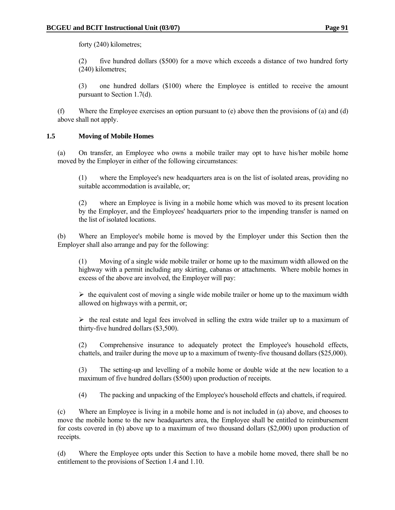forty (240) kilometres;

 (2) five hundred dollars (\$500) for a move which exceeds a distance of two hundred forty (240) kilometres;

 (3) one hundred dollars (\$100) where the Employee is entitled to receive the amount pursuant to Section 1.7(d).

 (f) Where the Employee exercises an option pursuant to (e) above then the provisions of (a) and (d) above shall not apply.

## **1.5 Moving of Mobile Homes**

 (a) On transfer, an Employee who owns a mobile trailer may opt to have his/her mobile home moved by the Employer in either of the following circumstances:

 (1) where the Employee's new headquarters area is on the list of isolated areas, providing no suitable accommodation is available, or;

 (2) where an Employee is living in a mobile home which was moved to its present location by the Employer, and the Employees' headquarters prior to the impending transfer is named on the list of isolated locations.

 (b) Where an Employee's mobile home is moved by the Employer under this Section then the Employer shall also arrange and pay for the following:

 (1) Moving of a single wide mobile trailer or home up to the maximum width allowed on the highway with a permit including any skirting, cabanas or attachments. Where mobile homes in excess of the above are involved, the Employer will pay:

 $\triangleright$  the equivalent cost of moving a single wide mobile trailer or home up to the maximum width allowed on highways with a permit, or;

 $\triangleright$  the real estate and legal fees involved in selling the extra wide trailer up to a maximum of thirty-five hundred dollars (\$3,500).

 (2) Comprehensive insurance to adequately protect the Employee's household effects, chattels, and trailer during the move up to a maximum of twenty-five thousand dollars (\$25,000).

 (3) The setting-up and levelling of a mobile home or double wide at the new location to a maximum of five hundred dollars (\$500) upon production of receipts.

(4) The packing and unpacking of the Employee's household effects and chattels, if required.

 (c) Where an Employee is living in a mobile home and is not included in (a) above, and chooses to move the mobile home to the new headquarters area, the Employee shall be entitled to reimbursement for costs covered in (b) above up to a maximum of two thousand dollars (\$2,000) upon production of receipts.

 (d) Where the Employee opts under this Section to have a mobile home moved, there shall be no entitlement to the provisions of Section 1.4 and 1.10.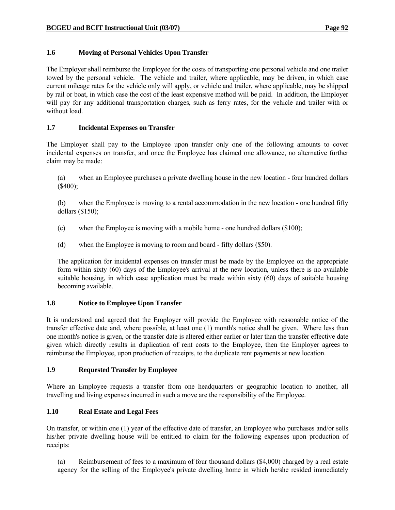## **1.6 Moving of Personal Vehicles Upon Transfer**

The Employer shall reimburse the Employee for the costs of transporting one personal vehicle and one trailer towed by the personal vehicle. The vehicle and trailer, where applicable, may be driven, in which case current mileage rates for the vehicle only will apply, or vehicle and trailer, where applicable, may be shipped by rail or boat, in which case the cost of the least expensive method will be paid. In addition, the Employer will pay for any additional transportation charges, such as ferry rates, for the vehicle and trailer with or without load.

#### **1.7 Incidental Expenses on Transfer**

The Employer shall pay to the Employee upon transfer only one of the following amounts to cover incidental expenses on transfer, and once the Employee has claimed one allowance, no alternative further claim may be made:

 (a) when an Employee purchases a private dwelling house in the new location - four hundred dollars (\$400);

 (b) when the Employee is moving to a rental accommodation in the new location - one hundred fifty dollars (\$150);

- (c) when the Employee is moving with a mobile home one hundred dollars (\$100);
- (d) when the Employee is moving to room and board fifty dollars (\$50).

 The application for incidental expenses on transfer must be made by the Employee on the appropriate form within sixty (60) days of the Employee's arrival at the new location, unless there is no available suitable housing, in which case application must be made within sixty (60) days of suitable housing becoming available.

## **1.8 Notice to Employee Upon Transfer**

It is understood and agreed that the Employer will provide the Employee with reasonable notice of the transfer effective date and, where possible, at least one (1) month's notice shall be given. Where less than one month's notice is given, or the transfer date is altered either earlier or later than the transfer effective date given which directly results in duplication of rent costs to the Employee, then the Employer agrees to reimburse the Employee, upon production of receipts, to the duplicate rent payments at new location.

## **1.9 Requested Transfer by Employee**

Where an Employee requests a transfer from one headquarters or geographic location to another, all travelling and living expenses incurred in such a move are the responsibility of the Employee.

## **1.10 Real Estate and Legal Fees**

On transfer, or within one (1) year of the effective date of transfer, an Employee who purchases and/or sells his/her private dwelling house will be entitled to claim for the following expenses upon production of receipts:

 (a) Reimbursement of fees to a maximum of four thousand dollars (\$4,000) charged by a real estate agency for the selling of the Employee's private dwelling home in which he/she resided immediately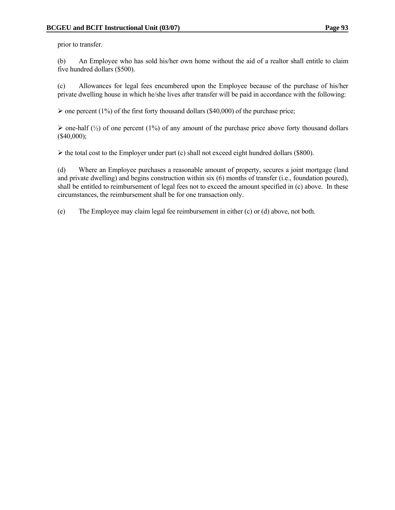prior to transfer.

 (b) An Employee who has sold his/her own home without the aid of a realtor shall entitle to claim five hundred dollars (\$500).

 (c) Allowances for legal fees encumbered upon the Employee because of the purchase of his/her private dwelling house in which he/she lives after transfer will be paid in accordance with the following:

 $\triangleright$  one percent (1%) of the first forty thousand dollars (\$40,000) of the purchase price;

 $\triangleright$  one-half ( $\frac{1}{2}$ ) of one percent (1%) of any amount of the purchase price above forty thousand dollars  $($40,000);$ 

 $\triangleright$  the total cost to the Employer under part (c) shall not exceed eight hundred dollars (\$800).

 (d) Where an Employee purchases a reasonable amount of property, secures a joint mortgage (land and private dwelling) and begins construction within six (6) months of transfer (i.e., foundation poured), shall be entitled to reimbursement of legal fees not to exceed the amount specified in (c) above. In these circumstances, the reimbursement shall be for one transaction only.

(e) The Employee may claim legal fee reimbursement in either (c) or (d) above, not both.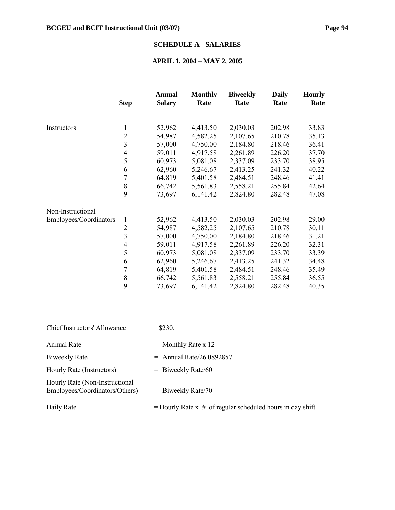# **SCHEDULE A - SALARIES**

# **APRIL 1, 2004 – MAY 2, 2005**

|                        | <b>Step</b>             | <b>Annual</b><br><b>Salary</b> | <b>Monthly</b><br>Rate | <b>Biweekly</b><br>Rate | <b>Daily</b><br>Rate | <b>Hourly</b><br>Rate |
|------------------------|-------------------------|--------------------------------|------------------------|-------------------------|----------------------|-----------------------|
|                        |                         |                                |                        |                         |                      |                       |
| Instructors            | 1                       | 52,962                         | 4,413.50               | 2,030.03                | 202.98               | 33.83                 |
|                        | $\overline{2}$          | 54,987                         | 4,582.25               | 2,107.65                | 210.78               | 35.13                 |
|                        | $\overline{\mathbf{3}}$ | 57,000                         | 4,750.00               | 2,184.80                | 218.46               | 36.41                 |
|                        | $\overline{4}$          | 59,011                         | 4,917.58               | 2,261.89                | 226.20               | 37.70                 |
|                        | 5                       | 60,973                         | 5,081.08               | 2,337.09                | 233.70               | 38.95                 |
|                        | 6                       | 62,960                         | 5,246.67               | 2,413.25                | 241.32               | 40.22                 |
|                        | 7                       | 64,819                         | 5,401.58               | 2,484.51                | 248.46               | 41.41                 |
|                        | 8                       | 66,742                         | 5,561.83               | 2,558.21                | 255.84               | 42.64                 |
|                        | 9                       | 73,697                         | 6,141.42               | 2,824.80                | 282.48               | 47.08                 |
| Non-Instructional      |                         |                                |                        |                         |                      |                       |
| Employees/Coordinators | 1                       | 52,962                         | 4,413.50               | 2,030.03                | 202.98               | 29.00                 |
|                        | $\overline{c}$          | 54,987                         | 4,582.25               | 2,107.65                | 210.78               | 30.11                 |
|                        | 3                       | 57,000                         | 4,750.00               | 2,184.80                | 218.46               | 31.21                 |
|                        | 4                       | 59,011                         | 4,917.58               | 2,261.89                | 226.20               | 32.31                 |
|                        | 5                       | 60,973                         | 5,081.08               | 2,337.09                | 233.70               | 33.39                 |
|                        | 6                       | 62,960                         | 5,246.67               | 2,413.25                | 241.32               | 34.48                 |
|                        | 7                       | 64,819                         | 5,401.58               | 2,484.51                | 248.46               | 35.49                 |
|                        | 8                       | 66,742                         | 5,561.83               | 2,558.21                | 255.84               | 36.55                 |
|                        | 9                       | 73,697                         | 6,141.42               | 2,824.80                | 282.48               | 40.35                 |

| <b>Chief Instructors' Allowance</b>                              | \$230.                                                         |
|------------------------------------------------------------------|----------------------------------------------------------------|
| Annual Rate                                                      | $=$ Monthly Rate x 12                                          |
| Biweekly Rate                                                    | $=$ Annual Rate/26.0892857                                     |
| Hourly Rate (Instructors)                                        | $=$ Biweekly Rate/60                                           |
| Hourly Rate (Non-Instructional<br>Employees/Coordinators/Others) | $=$ Biweekly Rate/70                                           |
| Daily Rate                                                       | $=$ Hourly Rate x $#$ of regular scheduled hours in day shift. |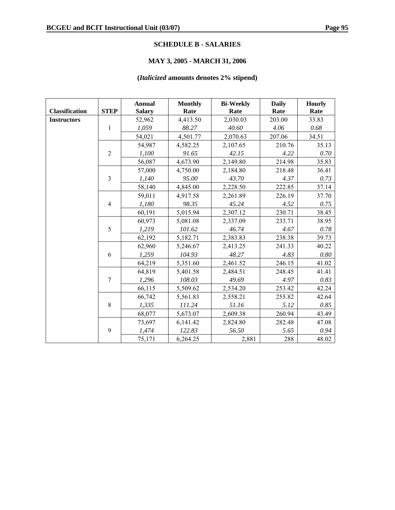#### **SCHEDULE B - SALARIES**

# **MAY 3, 2005 - MARCH 31, 2006**

# **(***Italicized* **amounts denotes 2% stipend)**

|                       |                         | <b>Annual</b> | <b>Monthly</b> | <b>Bi-Weekly</b> | <b>Daily</b> | <b>Hourly</b> |
|-----------------------|-------------------------|---------------|----------------|------------------|--------------|---------------|
| <b>Classification</b> | <b>STEP</b>             | <b>Salary</b> | Rate           | Rate             | Rate         | Rate          |
| <b>Instructors</b>    |                         | 52,962        | 4,413.50       | 2,030.03         | 203.00       | 33.83         |
|                       | $\mathbf{1}$            | 1,059         | 88.27          | 40.60            | 4.06         | 0.68          |
|                       |                         | 54,021        | 4,501.77       | 2,070.63         | 207.06       | 34.51         |
|                       |                         | 54,987        | 4,582.25       | 2,107.65         | 210.76       | 35.13         |
|                       | $\overline{2}$          | 1,100         | 91.65          | 42.15            | 4.22         | $0.70\,$      |
|                       |                         | 56,087        | 4,673.90       | 2,149.80         | 214.98       | 35.83         |
|                       |                         | 57,000        | 4,750.00       | 2,184.80         | 218.48       | 36.41         |
|                       | $\overline{\mathbf{3}}$ | 1,140         | 95.00          | 43.70            | 4.37         | 0.73          |
|                       |                         | 58,140        | 4,845.00       | 2,228.50         | 222.85       | 37.14         |
|                       |                         | 59,011        | 4,917.58       | 2,261.89         | 226.19       | 37.70         |
|                       | $\overline{4}$          | 1,180         | 98.35          | 45.24            | 4.52         | 0.75          |
|                       |                         | 60,191        | 5,015.94       | 2,307.12         | 230.71       | 38.45         |
|                       |                         | 60,973        | 5,081.08       | 2,337.09         | 233.71       | 38.95         |
|                       | 5                       | 1,219         | 101.62         | 46.74            | 4.67         | 0.78          |
|                       |                         | 62,192        | 5,182.71       | 2,383.83         | 238.38       | 39.73         |
|                       |                         | 62,960        | 5,246.67       | 2,413.25         | 241.33       | 40.22         |
|                       | 6                       | 1,259         | 104.93         | 48.27            | 4.83         | 0.80          |
|                       |                         | 64,219        | 5,351.60       | 2,461.52         | 246.15       | 41.02         |
|                       |                         | 64,819        | 5,401.58       | 2,484.51         | 248.45       | 41.41         |
|                       | $\overline{7}$          | 1,296         | 108.03         | 49.69            | 4.97         | 0.83          |
|                       |                         | 66,115        | 5,509.62       | 2,534.20         | 253.42       | 42.24         |
|                       |                         | 66,742        | 5,561.83       | 2,558.21         | 255.82       | 42.64         |
|                       | 8                       | 1,335         | 111.24         | 51.16            | 5.12         | 0.85          |
|                       |                         | 68,077        | 5,673.07       | 2,609.38         | 260.94       | 43.49         |
|                       |                         | 73,697        | 6,141.42       | 2,824.80         | 282.48       | 47.08         |
|                       | 9                       | 1,474         | 122.83         | 56.50            | 5.65         | 0.94          |
|                       |                         | 75,171        | 6,264.25       | 2,881            | 288          | 48.02         |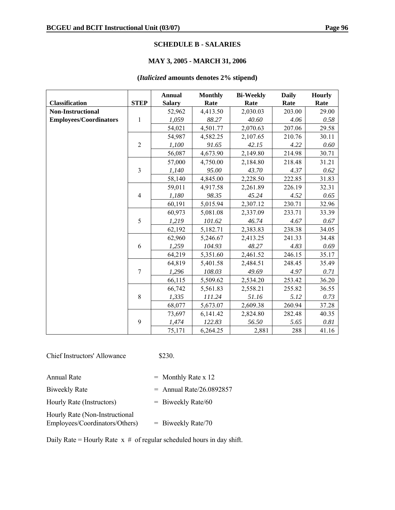#### **SCHEDULE B - SALARIES**

# **MAY 3, 2005 - MARCH 31, 2006**

#### **(***Italicized* **amounts denotes 2% stipend)**

|                               |                | <b>Annual</b> | <b>Monthly</b> | <b>Bi-Weekly</b> | <b>Daily</b> | <b>Hourly</b> |
|-------------------------------|----------------|---------------|----------------|------------------|--------------|---------------|
| <b>Classification</b>         | <b>STEP</b>    | <b>Salary</b> | Rate           | Rate             | Rate         | Rate          |
| <b>Non-Instructional</b>      |                | 52,962        | 4,413.50       | 2,030.03         | 203.00       | 29.00         |
| <b>Employees/Coordinators</b> | $\mathbf{1}$   | 1,059         | 88.27          | 40.60            | 4.06         | 0.58          |
|                               |                | 54,021        | 4,501.77       | 2,070.63         | 207.06       | 29.58         |
|                               |                | 54,987        | 4,582.25       | 2,107.65         | 210.76       | 30.11         |
|                               | $\overline{2}$ | 1,100         | 91.65          | 42.15            | 4.22         | 0.60          |
|                               |                | 56,087        | 4,673.90       | 2,149.80         | 214.98       | 30.71         |
|                               |                | 57,000        | 4,750.00       | 2,184.80         | 218.48       | 31.21         |
|                               | $\overline{3}$ | 1,140         | 95.00          | 43.70            | 4.37         | 0.62          |
|                               |                | 58,140        | 4,845.00       | 2,228.50         | 222.85       | 31.83         |
|                               |                | 59,011        | 4,917.58       | 2,261.89         | 226.19       | 32.31         |
|                               | $\overline{4}$ | 1,180         | 98.35          | 45.24            | 4.52         | 0.65          |
|                               |                | 60,191        | 5,015.94       | 2,307.12         | 230.71       | 32.96         |
|                               |                | 60,973        | 5,081.08       | 2,337.09         | 233.71       | 33.39         |
|                               | 5              | 1,219         | 101.62         | 46.74            | 4.67         | 0.67          |
|                               |                | 62,192        | 5,182.71       | 2,383.83         | 238.38       | 34.05         |
|                               |                | 62,960        | 5,246.67       | 2,413.25         | 241.33       | 34.48         |
|                               | 6              | 1,259         | 104.93         | 48.27            | 4.83         | 0.69          |
|                               |                | 64,219        | 5,351.60       | 2,461.52         | 246.15       | 35.17         |
|                               |                | 64,819        | 5,401.58       | 2,484.51         | 248.45       | 35.49         |
|                               | 7              | 1,296         | 108.03         | 49.69            | 4.97         | 0.71          |
|                               |                | 66,115        | 5,509.62       | 2,534.20         | 253.42       | 36.20         |
|                               |                | 66,742        | 5,561.83       | 2,558.21         | 255.82       | 36.55         |
|                               | 8              | 1,335         | 111.24         | 51.16            | 5.12         | 0.73          |
|                               |                | 68,077        | 5,673.07       | 2,609.38         | 260.94       | 37.28         |
|                               |                | 73,697        | 6,141.42       | 2,824.80         | 282.48       | 40.35         |
|                               | 9              | 1,474         | 122.83         | 56.50            | 5.65         | $0.81\,$      |
|                               |                | 75,171        | 6,264.25       | 2,881            | 288          | 41.16         |

Chief Instructors' Allowance \$230.

| <b>Annual Rate</b>                                               | $=$ Monthly Rate x 12      |
|------------------------------------------------------------------|----------------------------|
| <b>Biweekly Rate</b>                                             | $=$ Annual Rate/26.0892857 |
| Hourly Rate (Instructors)                                        | $=$ Biweekly Rate/60       |
| Hourly Rate (Non-Instructional<br>Employees/Coordinators/Others) | $=$ Biweekly Rate/70       |

Daily Rate = Hourly Rate  $x \#$  of regular scheduled hours in day shift.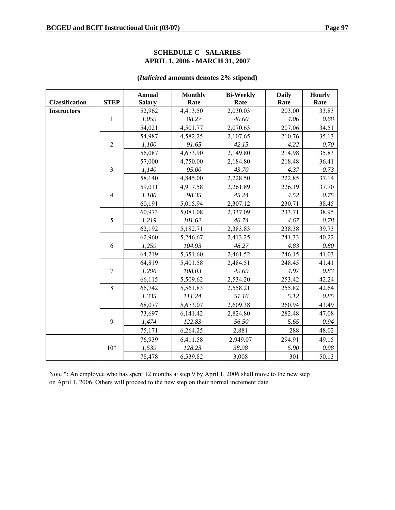#### **SCHEDULE C - SALARIES APRIL 1, 2006 - MARCH 31, 2007**

#### **(***Italicized* **amounts denotes 2% stipend)**

|                       |                | <b>Annual</b> | <b>Monthly</b> | <b>Bi-Weekly</b> | <b>Daily</b> | <b>Hourly</b> |
|-----------------------|----------------|---------------|----------------|------------------|--------------|---------------|
| <b>Classification</b> | <b>STEP</b>    | <b>Salary</b> | Rate           | Rate             | Rate         | Rate          |
| <b>Instructors</b>    |                | 52,962        | 4,413.50       | 2,030.03         | 203.00       | 33.83         |
|                       | $\mathbf{1}$   | 1,059         | 88.27          | 40.60            | 4.06         | 0.68          |
|                       |                | 54,021        | 4,501.77       | 2,070.63         | 207.06       | 34.51         |
|                       |                | 54,987        | 4,582.25       | 2,107.65         | 210.76       | 35.13         |
|                       | $\overline{2}$ | 1,100         | 91.65          | 42.15            | 4.22         | 0.70          |
|                       |                | 56,087        | 4,673.90       | 2,149.80         | 214.98       | 35.83         |
|                       |                | 57,000        | 4,750.00       | 2,184.80         | 218.48       | 36.41         |
|                       | $\overline{3}$ | 1,140         | 95.00          | 43.70            | 4.37         | 0.73          |
|                       |                | 58,140        | 4,845.00       | 2,228.50         | 222.85       | 37.14         |
|                       |                | 59,011        | 4,917.58       | 2,261.89         | 226.19       | 37.70         |
|                       | $\overline{4}$ | 1,180         | 98.35          | 45.24            | 4.52         | 0.75          |
|                       |                | 60,191        | 5,015.94       | 2,307.12         | 230.71       | 38.45         |
|                       |                | 60,973        | 5,081.08       | 2,337.09         | 233.71       | 38.95         |
|                       | 5              | 1,219         | 101.62         | 46.74            | 4.67         | 0.78          |
|                       |                | 62,192        | 5,182.71       | 2,383.83         | 238.38       | 39.73         |
|                       |                | 62,960        | 5,246.67       | 2,413.25         | 241.33       | 40.22         |
|                       | 6              | 1,259         | 104.93         | 48.27            | 4.83         | $0.80\,$      |
|                       |                | 64,219        | 5,351.60       | 2,461.52         | 246.15       | 41.03         |
|                       |                | 64,819        | 5,401.58       | 2,484.51         | 248.45       | 41.41         |
|                       | $\overline{7}$ | 1,296         | 108.03         | 49.69            | 4.97         | 0.83          |
|                       |                | 66,115        | 5,509.62       | 2,534.20         | 253.42       | 42.24         |
|                       | 8              | 66,742        | 5,561.83       | 2,558.21         | 255.82       | 42.64         |
|                       |                | 1,335         | 111.24         | 51.16            | 5.12         | 0.85          |
|                       |                | 68,077        | 5,673.07       | 2,609.38         | 260.94       | 43.49         |
|                       |                | 73,697        | 6,141.42       | 2,824.80         | 282.48       | 47.08         |
|                       | 9              | 1,474         | 122.83         | 56.50            | 5.65         | 0.94          |
|                       |                | 75,171        | 6,264.25       | 2,881            | 288          | 48.02         |
|                       |                | 76,939        | 6,411.58       | 2,949.07         | 294.91       | 49.15         |
|                       | $10*$          | 1,539         | 128.23         | 58.98            | 5.90         | 0.98          |
|                       |                | 78,478        | 6,539.82       | 3,008            | 301          | 50.13         |

Note \*: An employee who has spent 12 months at step 9 by April 1, 2006 shall move to the new step on April 1, 2006. Others will proceed to the new step on their normal increment date.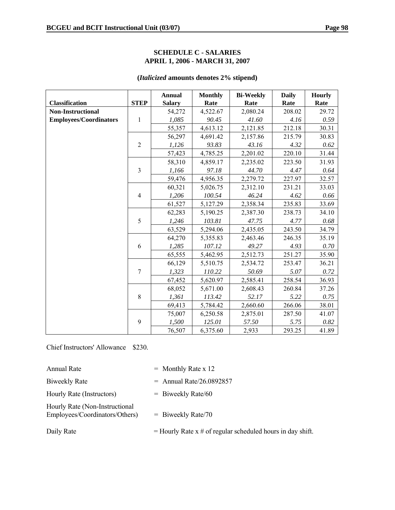#### **SCHEDULE C - SALARIES APRIL 1, 2006 - MARCH 31, 2007**

| <b>Classification</b>         | <b>STEP</b>    | <b>Annual</b><br><b>Salary</b> | <b>Monthly</b><br>Rate | <b>Bi-Weekly</b><br>Rate | <b>Daily</b><br>Rate | <b>Hourly</b><br>Rate |
|-------------------------------|----------------|--------------------------------|------------------------|--------------------------|----------------------|-----------------------|
| <b>Non-Instructional</b>      |                | 54,272                         | 4,522.67               | 2,080.24                 | 208.02               | 29.72                 |
| <b>Employees/Coordinators</b> | 1              | 1,085                          | 90.45                  | 41.60                    | 4.16                 | 0.59                  |
|                               |                | 55,357                         | 4,613.12               | 2,121.85                 | 212.18               | 30.31                 |
|                               |                | 56,297                         | 4,691.42               | 2,157.86                 | 215.79               | 30.83                 |
|                               | $\overline{2}$ | 1,126                          | 93.83                  | 43.16                    | 4.32                 | 0.62                  |
|                               |                | 57,423                         | 4,785.25               | 2,201.02                 | 220.10               | 31.44                 |
|                               |                | 58,310                         | 4,859.17               | 2,235.02                 | 223.50               | 31.93                 |
|                               | $\mathfrak{Z}$ | 1,166                          | 97.18                  | 44.70                    | 4.47                 | 0.64                  |
|                               |                | 59,476                         | 4,956.35               | 2,279.72                 | 227.97               | 32.57                 |
|                               |                | 60,321                         | 5,026.75               | 2,312.10                 | 231.21               | 33.03                 |
|                               | $\overline{4}$ | 1,206                          | 100.54                 | 46.24                    | 4.62                 | 0.66                  |
|                               |                | 61,527                         | 5,127.29               | 2,358.34                 | 235.83               | 33.69                 |
|                               |                | 62,283                         | 5,190.25               | 2,387.30                 | 238.73               | 34.10                 |
|                               | 5              | 1,246                          | 103.81                 | 47.75                    | 4.77                 | 0.68                  |
|                               |                | 63,529                         | 5,294.06               | 2,435.05                 | 243.50               | 34.79                 |
|                               |                | 64,270                         | 5,355.83               | 2,463.46                 | 246.35               | 35.19                 |
|                               | 6              | 1,285                          | 107.12                 | 49.27                    | 4.93                 | 0.70                  |
|                               |                | 65,555                         | 5,462.95               | 2,512.73                 | 251.27               | 35.90                 |
|                               |                | 66,129                         | 5,510.75               | 2,534.72                 | 253.47               | 36.21                 |
|                               | $\overline{7}$ | 1,323                          | 110.22                 | 50.69                    | 5.07                 | 0.72                  |
|                               |                | 67,452                         | 5,620.97               | 2,585.41                 | 258.54               | 36.93                 |
|                               |                | 68,052                         | 5,671.00               | 2,608.43                 | 260.84               | 37.26                 |
|                               | 8              | 1,361                          | 113.42                 | 52.17                    | 5.22                 | 0.75                  |
|                               |                | 69,413                         | 5,784.42               | 2,660.60                 | 266.06               | 38.01                 |
|                               |                | 75,007                         | 6,250.58               | 2,875.01                 | 287.50               | 41.07                 |
|                               | 9              | 1,500                          | 125.01                 | 57.50                    | 5.75                 | 0.82                  |
|                               |                | 76,507                         | 6,375.60               | 2,933                    | 293.25               | 41.89                 |

# **(***Italicized* **amounts denotes 2% stipend)**

Chief Instructors' Allowance \$230.

| <b>Annual Rate</b>                                               | $=$ Monthly Rate x 12                                        |
|------------------------------------------------------------------|--------------------------------------------------------------|
| <b>Biweekly Rate</b>                                             | $=$ Annual Rate/26.0892857                                   |
| Hourly Rate (Instructors)                                        | $=$ Biweekly Rate/60                                         |
| Hourly Rate (Non-Instructional<br>Employees/Coordinators/Others) | $=$ Biweekly Rate/70                                         |
| Daily Rate                                                       | $=$ Hourly Rate x # of regular scheduled hours in day shift. |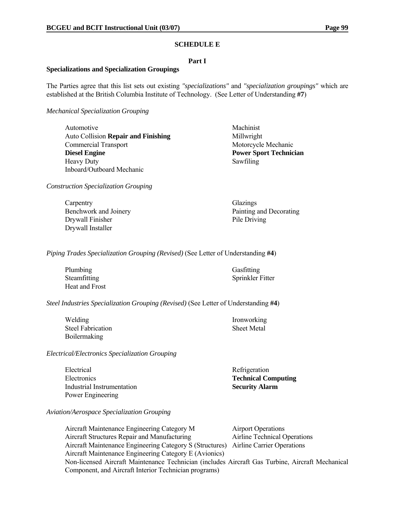#### **SCHEDULE E**

#### **Part I**

#### **Specializations and Specialization Groupings**

The Parties agree that this list sets out existing *"specializations"* and *"specialization groupings"* which are established at the British Columbia Institute of Technology. (See Letter of Understanding **#7**)

*Mechanical Specialization Grouping*

Automotive Machinist Auto Collision **Repair and Finishing** Millwright Commercial Transport Motorcycle Mechanic **Diesel Engine Power Sport Technician**  Power Sport Technician Heavy Duty Sawfiling Inboard/Outboard Mechanic

*Construction Specialization Grouping*

Carpentry Glazings Drywall Finisher Pile Driving Drywall Installer

Benchwork and Joinery Painting and Decorating

*Piping Trades Specialization Grouping (Revised)* (See Letter of Understanding **#4**)

Plumbing Gasfitting Heat and Frost

Steamfitting Sprinkler Fitter

*Steel Industries Specialization Grouping (Revised)* (See Letter of Understanding **#4**)

Welding Ironworking Steel Fabrication Sheet Metal Boilermaking

*Electrical/Electronics Specialization Grouping*

Electrical Refrigeration Electronics **Technical Computing** Industrial Instrumentation **Security Alarm** Power Engineering

*Aviation/Aerospace Specialization Grouping*

Aircraft Maintenance Engineering Category M Airport Operations Aircraft Structures Repair and Manufacturing Airline Technical Operations Aircraft Maintenance Engineering Category S (Structures) Airline Carrier Operations Aircraft Maintenance Engineering Category E (Avionics) Non-licensed Aircraft Maintenance Technician (includes Aircraft Gas Turbine, Aircraft Mechanical Component, and Aircraft Interior Technician programs)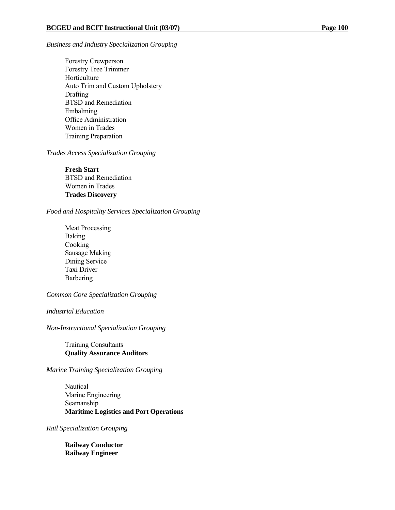#### *Business and Industry Specialization Grouping*

 Forestry Crewperson Forestry Tree Trimmer Horticulture Auto Trim and Custom Upholstery **Drafting**  BTSD and Remediation Embalming Office Administration Women in Trades Training Preparation

*Trades Access Specialization Grouping*

**Fresh Start**  BTSD and Remediation Women in Trades **Trades Discovery** 

*Food and Hospitality Services Specialization Grouping*

 Meat Processing Baking Cooking Sausage Making Dining Service Taxi Driver **Barbering** 

*Common Core Specialization Grouping*

*Industrial Education*

*Non-Instructional Specialization Grouping*

 Training Consultants **Quality Assurance Auditors** 

*Marine Training Specialization Grouping*

 Nautical Marine Engineering Seamanship **Maritime Logistics and Port Operations** 

*Rail Specialization Grouping*

**Railway Conductor Railway Engineer**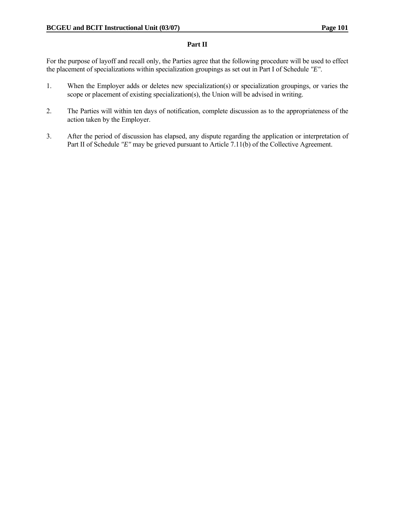#### **Part II**

For the purpose of layoff and recall only, the Parties agree that the following procedure will be used to effect the placement of specializations within specialization groupings as set out in Part I of Schedule *"E"*.

- 1. When the Employer adds or deletes new specialization(s) or specialization groupings, or varies the scope or placement of existing specialization(s), the Union will be advised in writing.
- 2. The Parties will within ten days of notification, complete discussion as to the appropriateness of the action taken by the Employer.
- 3. After the period of discussion has elapsed, any dispute regarding the application or interpretation of Part II of Schedule *"E"* may be grieved pursuant to Article 7.11(b) of the Collective Agreement.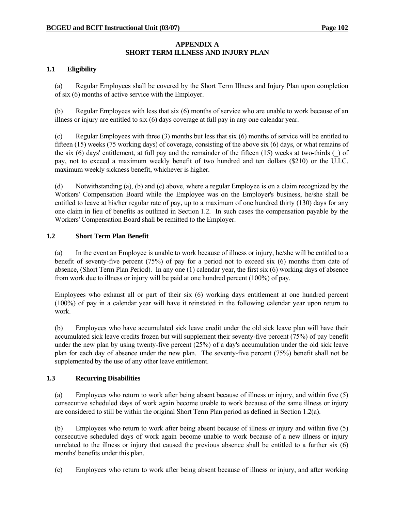#### **APPENDIX A SHORT TERM ILLNESS AND INJURY PLAN**

#### **1.1 Eligibility**

 (a) Regular Employees shall be covered by the Short Term Illness and Injury Plan upon completion of six (6) months of active service with the Employer.

 (b) Regular Employees with less that six (6) months of service who are unable to work because of an illness or injury are entitled to six (6) days coverage at full pay in any one calendar year.

 (c) Regular Employees with three (3) months but less that six (6) months of service will be entitled to fifteen (15) weeks (75 working days) of coverage, consisting of the above six (6) days, or what remains of the six (6) days' entitlement, at full pay and the remainder of the fifteen (15) weeks at two-thirds (\_) of pay, not to exceed a maximum weekly benefit of two hundred and ten dollars (\$210) or the U.I.C. maximum weekly sickness benefit, whichever is higher.

 (d) Notwithstanding (a), (b) and (c) above, where a regular Employee is on a claim recognized by the Workers' Compensation Board while the Employee was on the Employer's business, he/she shall be entitled to leave at his/her regular rate of pay, up to a maximum of one hundred thirty (130) days for any one claim in lieu of benefits as outlined in Section 1.2. In such cases the compensation payable by the Workers' Compensation Board shall be remitted to the Employer.

#### **1.2 Short Term Plan Benefit**

 (a) In the event an Employee is unable to work because of illness or injury, he/she will be entitled to a benefit of seventy-five percent (75%) of pay for a period not to exceed six (6) months from date of absence, (Short Term Plan Period). In any one (1) calendar year, the first six (6) working days of absence from work due to illness or injury will be paid at one hundred percent (100%) of pay.

 Employees who exhaust all or part of their six (6) working days entitlement at one hundred percent (100%) of pay in a calendar year will have it reinstated in the following calendar year upon return to work.

 (b) Employees who have accumulated sick leave credit under the old sick leave plan will have their accumulated sick leave credits frozen but will supplement their seventy-five percent (75%) of pay benefit under the new plan by using twenty-five percent (25%) of a day's accumulation under the old sick leave plan for each day of absence under the new plan. The seventy-five percent (75%) benefit shall not be supplemented by the use of any other leave entitlement.

#### **1.3 Recurring Disabilities**

 (a) Employees who return to work after being absent because of illness or injury, and within five (5) consecutive scheduled days of work again become unable to work because of the same illness or injury are considered to still be within the original Short Term Plan period as defined in Section 1.2(a).

 (b) Employees who return to work after being absent because of illness or injury and within five (5) consecutive scheduled days of work again become unable to work because of a new illness or injury unrelated to the illness or injury that caused the previous absence shall be entitled to a further six (6) months' benefits under this plan.

(c) Employees who return to work after being absent because of illness or injury, and after working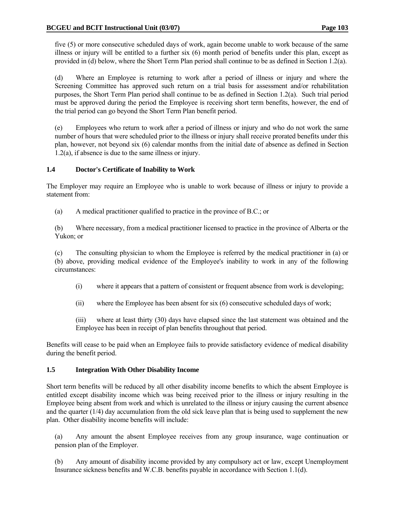five (5) or more consecutive scheduled days of work, again become unable to work because of the same illness or injury will be entitled to a further six (6) month period of benefits under this plan, except as provided in (d) below, where the Short Term Plan period shall continue to be as defined in Section 1.2(a).

 (d) Where an Employee is returning to work after a period of illness or injury and where the Screening Committee has approved such return on a trial basis for assessment and/or rehabilitation purposes, the Short Term Plan period shall continue to be as defined in Section 1.2(a). Such trial period must be approved during the period the Employee is receiving short term benefits, however, the end of the trial period can go beyond the Short Term Plan benefit period.

 (e) Employees who return to work after a period of illness or injury and who do not work the same number of hours that were scheduled prior to the illness or injury shall receive prorated benefits under this plan, however, not beyond six (6) calendar months from the initial date of absence as defined in Section 1.2(a), if absence is due to the same illness or injury.

#### **1.4 Doctor's Certificate of Inability to Work**

The Employer may require an Employee who is unable to work because of illness or injury to provide a statement from:

(a) A medical practitioner qualified to practice in the province of B.C.; or

 (b) Where necessary, from a medical practitioner licensed to practice in the province of Alberta or the Yukon; or

 (c) The consulting physician to whom the Employee is referred by the medical practitioner in (a) or (b) above, providing medical evidence of the Employee's inability to work in any of the following circumstances:

- (i) where it appears that a pattern of consistent or frequent absence from work is developing;
- (ii) where the Employee has been absent for six (6) consecutive scheduled days of work;

 (iii) where at least thirty (30) days have elapsed since the last statement was obtained and the Employee has been in receipt of plan benefits throughout that period.

Benefits will cease to be paid when an Employee fails to provide satisfactory evidence of medical disability during the benefit period.

#### **1.5 Integration With Other Disability Income**

Short term benefits will be reduced by all other disability income benefits to which the absent Employee is entitled except disability income which was being received prior to the illness or injury resulting in the Employee being absent from work and which is unrelated to the illness or injury causing the current absence and the quarter (1/4) day accumulation from the old sick leave plan that is being used to supplement the new plan. Other disability income benefits will include:

 (a) Any amount the absent Employee receives from any group insurance, wage continuation or pension plan of the Employer.

 (b) Any amount of disability income provided by any compulsory act or law, except Unemployment Insurance sickness benefits and W.C.B. benefits payable in accordance with Section 1.1(d).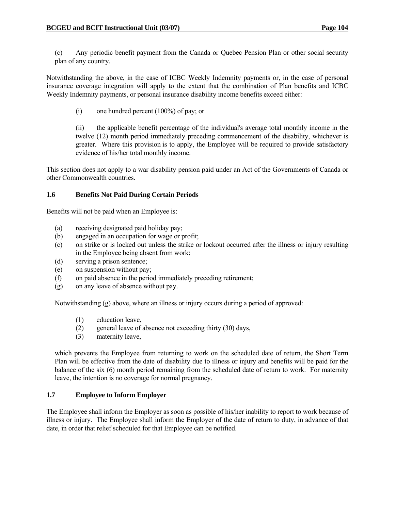(c) Any periodic benefit payment from the Canada or Quebec Pension Plan or other social security plan of any country.

Notwithstanding the above, in the case of ICBC Weekly Indemnity payments or, in the case of personal insurance coverage integration will apply to the extent that the combination of Plan benefits and ICBC Weekly Indemnity payments, or personal insurance disability income benefits exceed either:

(i) one hundred percent (100%) of pay; or

 (ii) the applicable benefit percentage of the individual's average total monthly income in the twelve (12) month period immediately preceding commencement of the disability, whichever is greater. Where this provision is to apply, the Employee will be required to provide satisfactory evidence of his/her total monthly income.

This section does not apply to a war disability pension paid under an Act of the Governments of Canada or other Commonwealth countries.

#### **1.6 Benefits Not Paid During Certain Periods**

Benefits will not be paid when an Employee is:

- (a) receiving designated paid holiday pay;
- (b) engaged in an occupation for wage or profit;
- (c) on strike or is locked out unless the strike or lockout occurred after the illness or injury resulting in the Employee being absent from work;
- (d) serving a prison sentence;
- (e) on suspension without pay;
- (f) on paid absence in the period immediately preceding retirement;
- (g) on any leave of absence without pay.

Notwithstanding (g) above, where an illness or injury occurs during a period of approved:

- (1) education leave,
- (2) general leave of absence not exceeding thirty (30) days,
- (3) maternity leave,

 which prevents the Employee from returning to work on the scheduled date of return, the Short Term Plan will be effective from the date of disability due to illness or injury and benefits will be paid for the balance of the six (6) month period remaining from the scheduled date of return to work. For maternity leave, the intention is no coverage for normal pregnancy.

#### **1.7 Employee to Inform Employer**

The Employee shall inform the Employer as soon as possible of his/her inability to report to work because of illness or injury. The Employee shall inform the Employer of the date of return to duty, in advance of that date, in order that relief scheduled for that Employee can be notified.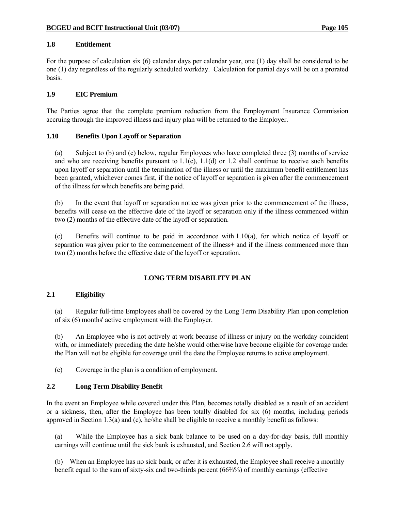#### **1.8 Entitlement**

For the purpose of calculation six (6) calendar days per calendar year, one (1) day shall be considered to be one (1) day regardless of the regularly scheduled workday. Calculation for partial days will be on a prorated basis.

#### **1.9 EIC Premium**

The Parties agree that the complete premium reduction from the Employment Insurance Commission accruing through the improved illness and injury plan will be returned to the Employer.

#### **1.10 Benefits Upon Layoff or Separation**

 (a) Subject to (b) and (c) below, regular Employees who have completed three (3) months of service and who are receiving benefits pursuant to  $1.1(c)$ ,  $1.1(d)$  or  $1.2$  shall continue to receive such benefits upon layoff or separation until the termination of the illness or until the maximum benefit entitlement has been granted, whichever comes first, if the notice of layoff or separation is given after the commencement of the illness for which benefits are being paid.

 (b) In the event that layoff or separation notice was given prior to the commencement of the illness, benefits will cease on the effective date of the layoff or separation only if the illness commenced within two (2) months of the effective date of the layoff or separation.

 (c) Benefits will continue to be paid in accordance with 1.10(a), for which notice of layoff or separation was given prior to the commencement of the illness+ and if the illness commenced more than two (2) months before the effective date of the layoff or separation.

#### **LONG TERM DISABILITY PLAN**

#### **2.1 Eligibility**

 (a) Regular full-time Employees shall be covered by the Long Term Disability Plan upon completion of six (6) months' active employment with the Employer.

 (b) An Employee who is not actively at work because of illness or injury on the workday coincident with, or immediately preceding the date he/she would otherwise have become eligible for coverage under the Plan will not be eligible for coverage until the date the Employee returns to active employment.

(c) Coverage in the plan is a condition of employment.

#### **2.2 Long Term Disability Benefit**

In the event an Employee while covered under this Plan, becomes totally disabled as a result of an accident or a sickness, then, after the Employee has been totally disabled for six (6) months, including periods approved in Section 1.3(a) and (c), he/she shall be eligible to receive a monthly benefit as follows:

 (a) While the Employee has a sick bank balance to be used on a day-for-day basis, full monthly earnings will continue until the sick bank is exhausted, and Section 2.6 will not apply.

(b) When an Employee has no sick bank, or after it is exhausted, the Employee shall receive a monthly benefit equal to the sum of sixty-six and two-thirds percent (66⅔%) of monthly earnings (effective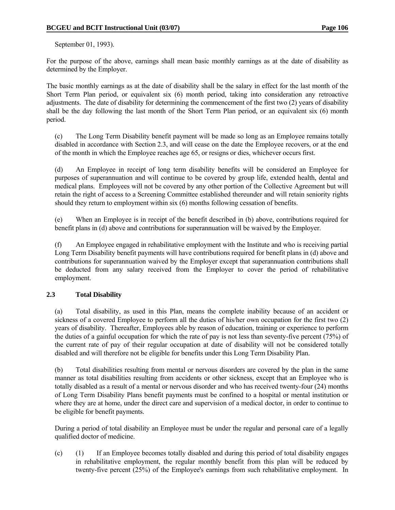September 01, 1993).

For the purpose of the above, earnings shall mean basic monthly earnings as at the date of disability as determined by the Employer.

The basic monthly earnings as at the date of disability shall be the salary in effect for the last month of the Short Term Plan period, or equivalent six (6) month period, taking into consideration any retroactive adjustments. The date of disability for determining the commencement of the first two (2) years of disability shall be the day following the last month of the Short Term Plan period, or an equivalent six (6) month period.

 (c) The Long Term Disability benefit payment will be made so long as an Employee remains totally disabled in accordance with Section 2.3, and will cease on the date the Employee recovers, or at the end of the month in which the Employee reaches age 65, or resigns or dies, whichever occurs first.

 (d) An Employee in receipt of long term disability benefits will be considered an Employee for purposes of superannuation and will continue to be covered by group life, extended health, dental and medical plans. Employees will not be covered by any other portion of the Collective Agreement but will retain the right of access to a Screening Committee established thereunder and will retain seniority rights should they return to employment within six (6) months following cessation of benefits.

 (e) When an Employee is in receipt of the benefit described in (b) above, contributions required for benefit plans in (d) above and contributions for superannuation will be waived by the Employer.

 (f) An Employee engaged in rehabilitative employment with the Institute and who is receiving partial Long Term Disability benefit payments will have contributions required for benefit plans in (d) above and contributions for superannuation waived by the Employer except that superannuation contributions shall be deducted from any salary received from the Employer to cover the period of rehabilitative employment.

#### **2.3 Total Disability**

 (a) Total disability, as used in this Plan, means the complete inability because of an accident or sickness of a covered Employee to perform all the duties of his/her own occupation for the first two (2) years of disability. Thereafter, Employees able by reason of education, training or experience to perform the duties of a gainful occupation for which the rate of pay is not less than seventy-five percent (75%) of the current rate of pay of their regular occupation at date of disability will not be considered totally disabled and will therefore not be eligible for benefits under this Long Term Disability Plan.

 (b) Total disabilities resulting from mental or nervous disorders are covered by the plan in the same manner as total disabilities resulting from accidents or other sickness, except that an Employee who is totally disabled as a result of a mental or nervous disorder and who has received twenty-four (24) months of Long Term Disability Plans benefit payments must be confined to a hospital or mental institution or where they are at home, under the direct care and supervision of a medical doctor, in order to continue to be eligible for benefit payments.

 During a period of total disability an Employee must be under the regular and personal care of a legally qualified doctor of medicine.

 (c) (1) If an Employee becomes totally disabled and during this period of total disability engages in rehabilitative employment, the regular monthly benefit from this plan will be reduced by twenty-five percent (25%) of the Employee's earnings from such rehabilitative employment. In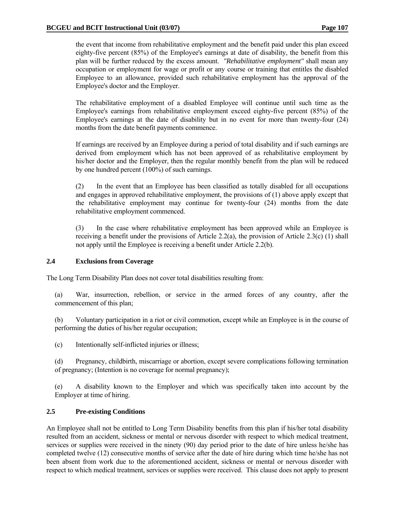the event that income from rehabilitative employment and the benefit paid under this plan exceed eighty-five percent (85%) of the Employee's earnings at date of disability, the benefit from this plan will be further reduced by the excess amount. *"Rehabilitative employment"* shall mean any occupation or employment for wage or profit or any course or training that entitles the disabled Employee to an allowance, provided such rehabilitative employment has the approval of the Employee's doctor and the Employer.

 The rehabilitative employment of a disabled Employee will continue until such time as the Employee's earnings from rehabilitative employment exceed eighty-five percent (85%) of the Employee's earnings at the date of disability but in no event for more than twenty-four (24) months from the date benefit payments commence.

 If earnings are received by an Employee during a period of total disability and if such earnings are derived from employment which has not been approved of as rehabilitative employment by his/her doctor and the Employer, then the regular monthly benefit from the plan will be reduced by one hundred percent (100%) of such earnings.

 (2) In the event that an Employee has been classified as totally disabled for all occupations and engages in approved rehabilitative employment, the provisions of (1) above apply except that the rehabilitative employment may continue for twenty-four (24) months from the date rehabilitative employment commenced.

 (3) In the case where rehabilitative employment has been approved while an Employee is receiving a benefit under the provisions of Article 2.2(a), the provision of Article 2.3(c) (1) shall not apply until the Employee is receiving a benefit under Article 2.2(b).

#### **2.4 Exclusions from Coverage**

The Long Term Disability Plan does not cover total disabilities resulting from:

 (a) War, insurrection, rebellion, or service in the armed forces of any country, after the commencement of this plan;

 (b) Voluntary participation in a riot or civil commotion, except while an Employee is in the course of performing the duties of his/her regular occupation;

(c) Intentionally self-inflicted injuries or illness;

 (d) Pregnancy, childbirth, miscarriage or abortion, except severe complications following termination of pregnancy; (Intention is no coverage for normal pregnancy);

 (e) A disability known to the Employer and which was specifically taken into account by the Employer at time of hiring.

#### **2.5 Pre-existing Conditions**

An Employee shall not be entitled to Long Term Disability benefits from this plan if his/her total disability resulted from an accident, sickness or mental or nervous disorder with respect to which medical treatment, services or supplies were received in the ninety (90) day period prior to the date of hire unless he/she has completed twelve (12) consecutive months of service after the date of hire during which time he/she has not been absent from work due to the aforementioned accident, sickness or mental or nervous disorder with respect to which medical treatment, services or supplies were received. This clause does not apply to present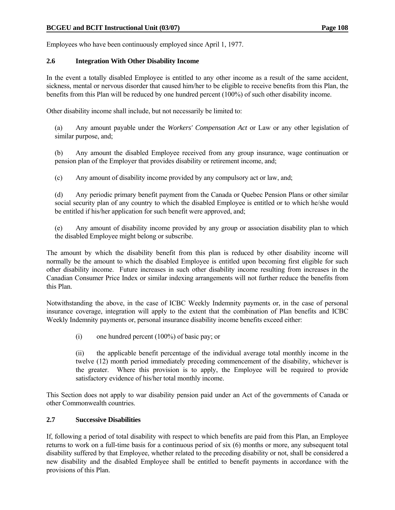Employees who have been continuously employed since April 1, 1977.

#### **2.6 Integration With Other Disability Income**

In the event a totally disabled Employee is entitled to any other income as a result of the same accident, sickness, mental or nervous disorder that caused him/her to be eligible to receive benefits from this Plan, the benefits from this Plan will be reduced by one hundred percent (100%) of such other disability income.

Other disability income shall include, but not necessarily be limited to:

 (a) Any amount payable under the *Workers' Compensation Act* or Law or any other legislation of similar purpose, and;

 (b) Any amount the disabled Employee received from any group insurance, wage continuation or pension plan of the Employer that provides disability or retirement income, and;

(c) Any amount of disability income provided by any compulsory act or law, and;

 (d) Any periodic primary benefit payment from the Canada or Quebec Pension Plans or other similar social security plan of any country to which the disabled Employee is entitled or to which he/she would be entitled if his/her application for such benefit were approved, and;

 (e) Any amount of disability income provided by any group or association disability plan to which the disabled Employee might belong or subscribe.

The amount by which the disability benefit from this plan is reduced by other disability income will normally be the amount to which the disabled Employee is entitled upon becoming first eligible for such other disability income. Future increases in such other disability income resulting from increases in the Canadian Consumer Price Index or similar indexing arrangements will not further reduce the benefits from this Plan.

Notwithstanding the above, in the case of ICBC Weekly Indemnity payments or, in the case of personal insurance coverage, integration will apply to the extent that the combination of Plan benefits and ICBC Weekly Indemnity payments or, personal insurance disability income benefits exceed either:

(i) one hundred percent (100%) of basic pay; or

 (ii) the applicable benefit percentage of the individual average total monthly income in the twelve (12) month period immediately preceding commencement of the disability, whichever is the greater. Where this provision is to apply, the Employee will be required to provide satisfactory evidence of his/her total monthly income.

This Section does not apply to war disability pension paid under an Act of the governments of Canada or other Commonwealth countries.

#### **2.7 Successive Disabilities**

If, following a period of total disability with respect to which benefits are paid from this Plan, an Employee returns to work on a full-time basis for a continuous period of six (6) months or more, any subsequent total disability suffered by that Employee, whether related to the preceding disability or not, shall be considered a new disability and the disabled Employee shall be entitled to benefit payments in accordance with the provisions of this Plan.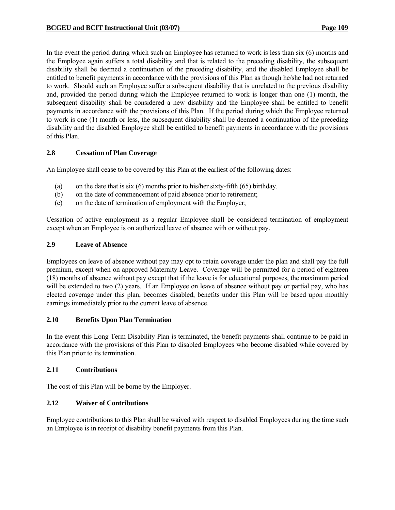In the event the period during which such an Employee has returned to work is less than six (6) months and the Employee again suffers a total disability and that is related to the preceding disability, the subsequent disability shall be deemed a continuation of the preceding disability, and the disabled Employee shall be entitled to benefit payments in accordance with the provisions of this Plan as though he/she had not returned to work. Should such an Employee suffer a subsequent disability that is unrelated to the previous disability and, provided the period during which the Employee returned to work is longer than one (1) month, the subsequent disability shall be considered a new disability and the Employee shall be entitled to benefit payments in accordance with the provisions of this Plan. If the period during which the Employee returned to work is one (1) month or less, the subsequent disability shall be deemed a continuation of the preceding disability and the disabled Employee shall be entitled to benefit payments in accordance with the provisions of this Plan.

#### **2.8 Cessation of Plan Coverage**

An Employee shall cease to be covered by this Plan at the earliest of the following dates:

- (a) on the date that is six (6) months prior to his/her sixty-fifth (65) birthday.
- (b) on the date of commencement of paid absence prior to retirement;
- (c) on the date of termination of employment with the Employer;

Cessation of active employment as a regular Employee shall be considered termination of employment except when an Employee is on authorized leave of absence with or without pay.

#### **2.9 Leave of Absence**

Employees on leave of absence without pay may opt to retain coverage under the plan and shall pay the full premium, except when on approved Maternity Leave. Coverage will be permitted for a period of eighteen (18) months of absence without pay except that if the leave is for educational purposes, the maximum period will be extended to two (2) years. If an Employee on leave of absence without pay or partial pay, who has elected coverage under this plan, becomes disabled, benefits under this Plan will be based upon monthly earnings immediately prior to the current leave of absence.

#### **2.10 Benefits Upon Plan Termination**

In the event this Long Term Disability Plan is terminated, the benefit payments shall continue to be paid in accordance with the provisions of this Plan to disabled Employees who become disabled while covered by this Plan prior to its termination.

#### **2.11 Contributions**

The cost of this Plan will be borne by the Employer.

#### **2.12 Waiver of Contributions**

Employee contributions to this Plan shall be waived with respect to disabled Employees during the time such an Employee is in receipt of disability benefit payments from this Plan.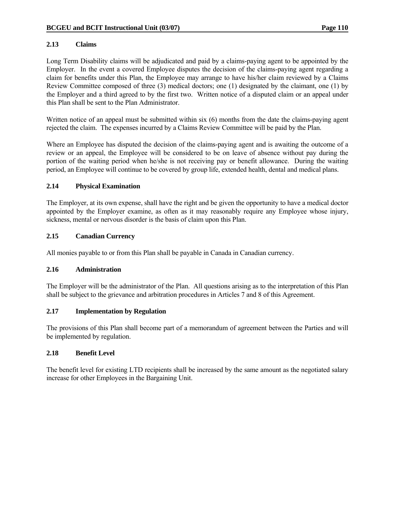#### **2.13 Claims**

Long Term Disability claims will be adjudicated and paid by a claims-paying agent to be appointed by the Employer. In the event a covered Employee disputes the decision of the claims-paying agent regarding a claim for benefits under this Plan, the Employee may arrange to have his/her claim reviewed by a Claims Review Committee composed of three (3) medical doctors; one (1) designated by the claimant, one (1) by the Employer and a third agreed to by the first two. Written notice of a disputed claim or an appeal under this Plan shall be sent to the Plan Administrator.

Written notice of an appeal must be submitted within six (6) months from the date the claims-paying agent rejected the claim. The expenses incurred by a Claims Review Committee will be paid by the Plan.

Where an Employee has disputed the decision of the claims-paying agent and is awaiting the outcome of a review or an appeal, the Employee will be considered to be on leave of absence without pay during the portion of the waiting period when he/she is not receiving pay or benefit allowance. During the waiting period, an Employee will continue to be covered by group life, extended health, dental and medical plans.

#### **2.14 Physical Examination**

The Employer, at its own expense, shall have the right and be given the opportunity to have a medical doctor appointed by the Employer examine, as often as it may reasonably require any Employee whose injury, sickness, mental or nervous disorder is the basis of claim upon this Plan.

#### **2.15 Canadian Currency**

All monies payable to or from this Plan shall be payable in Canada in Canadian currency.

#### **2.16 Administration**

The Employer will be the administrator of the Plan. All questions arising as to the interpretation of this Plan shall be subject to the grievance and arbitration procedures in Articles 7 and 8 of this Agreement.

#### **2.17 Implementation by Regulation**

The provisions of this Plan shall become part of a memorandum of agreement between the Parties and will be implemented by regulation.

#### **2.18 Benefit Level**

The benefit level for existing LTD recipients shall be increased by the same amount as the negotiated salary increase for other Employees in the Bargaining Unit.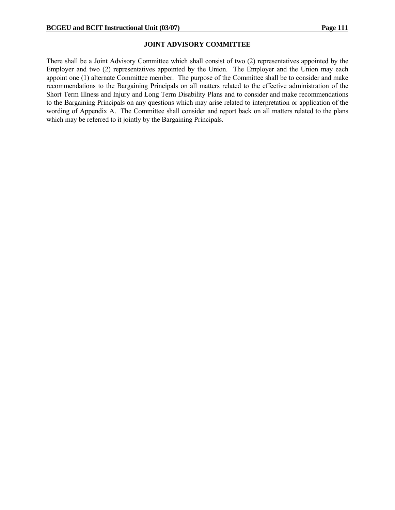#### **JOINT ADVISORY COMMITTEE**

There shall be a Joint Advisory Committee which shall consist of two (2) representatives appointed by the Employer and two (2) representatives appointed by the Union. The Employer and the Union may each appoint one (1) alternate Committee member. The purpose of the Committee shall be to consider and make recommendations to the Bargaining Principals on all matters related to the effective administration of the Short Term Illness and Injury and Long Term Disability Plans and to consider and make recommendations to the Bargaining Principals on any questions which may arise related to interpretation or application of the wording of Appendix A. The Committee shall consider and report back on all matters related to the plans which may be referred to it jointly by the Bargaining Principals.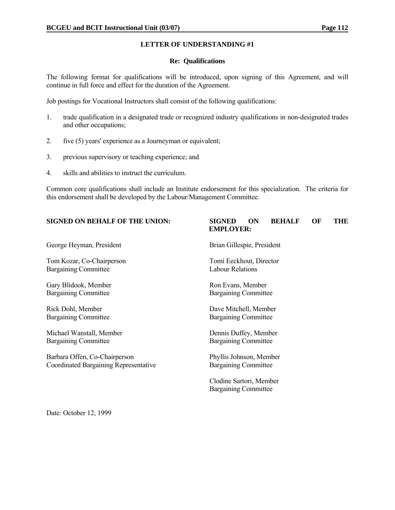#### **Re: Qualifications**

The following format for qualifications will be introduced, upon signing of this Agreement, and will continue in full force and effect for the duration of the Agreement.

Job postings for Vocational Instructors shall consist of the following qualifications:

- 1. trade qualification in a designated trade or recognized industry qualifications in non-designated trades and other occupations;
- 2. five (5) years' experience as a Journeyman or equivalent;
- 3. previous supervisory or teaching experience; and
- 4. skills and abilities to instruct the curriculum.

Common core qualifications shall include an Institute endorsement for this specialization. The criteria for this endorsement shall be developed by the Labour/Management Committee.

## **SIGNED ON BEHALF OF THE UNION: SIGNED ON BEHALF OF THE EMPLOYER:** George Heyman, President and Brian Gillespie, President Brian Gillespie, President Tom Kozar, Co-Chairperson Tomi Eeckhout, Director Bargaining Committee Labour Relations Gary Blidook, Member Ron Evans, Member Bargaining Committee Bargaining Committee Rick Dohl, Member **Dave Mitchell, Member** Dave Mitchell, Member Bargaining Committee Bargaining Committee Michael Wanstall, Member Dennis Duffey, Member Bargaining Committee Bargaining Committee Barbara Offen, Co-Chairperson Phyllis Johnson, Member Coordinated Bargaining Representative Bargaining Committee

 Clodine Sartori, Member Bargaining Committee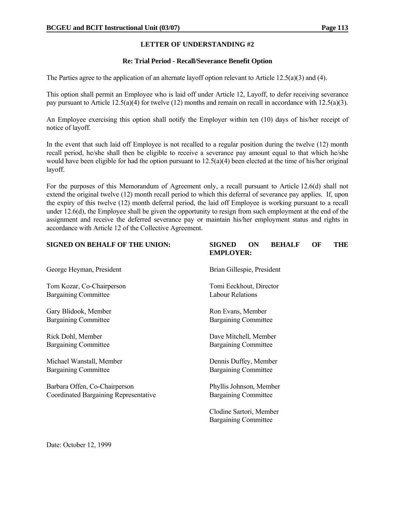#### **Re: Trial Period - Recall/Severance Benefit Option**

The Parties agree to the application of an alternate layoff option relevant to Article 12.5(a)(3) and (4).

This option shall permit an Employee who is laid off under Article 12, Layoff, to defer receiving severance pay pursuant to Article 12.5(a)(4) for twelve (12) months and remain on recall in accordance with 12.5(a)(3).

An Employee exercising this option shall notify the Employer within ten (10) days of his/her receipt of notice of layoff.

In the event that such laid off Employee is not recalled to a regular position during the twelve (12) month recall period, he/she shall then be eligible to receive a severance pay amount equal to that which he/she would have been eligible for had the option pursuant to 12.5(a)(4) been elected at the time of his/her original layoff.

For the purposes of this Memorandum of Agreement only, a recall pursuant to Article 12.6(d) shall not extend the original twelve (12) month recall period to which this deferral of severance pay applies. If, upon the expiry of this twelve (12) month deferral period, the laid off Employee is working pursuant to a recall under 12.6(d), the Employee shall be given the opportunity to resign from such employment at the end of the assignment and receive the deferred severance pay or maintain his/her employment status and rights in accordance with Article 12 of the Collective Agreement.

| <b>SIGNED ON BEHALF OF THE UNION:</b>        | <b>SIGNED</b><br>ON<br><b>BEHALF</b><br>OF<br>THE<br><b>EMPLOYER:</b> |
|----------------------------------------------|-----------------------------------------------------------------------|
| George Heyman, President                     | Brian Gillespie, President                                            |
| Tom Kozar, Co-Chairperson                    | Tomi Eeckhout, Director                                               |
| <b>Bargaining Committee</b>                  | <b>Labour Relations</b>                                               |
| Gary Blidook, Member                         | Ron Evans, Member                                                     |
| <b>Bargaining Committee</b>                  | <b>Bargaining Committee</b>                                           |
| Rick Dohl, Member                            | Dave Mitchell, Member                                                 |
| <b>Bargaining Committee</b>                  | <b>Bargaining Committee</b>                                           |
| Michael Wanstall, Member                     | Dennis Duffey, Member                                                 |
| <b>Bargaining Committee</b>                  | <b>Bargaining Committee</b>                                           |
| Barbara Offen, Co-Chairperson                | Phyllis Johnson, Member                                               |
| <b>Coordinated Bargaining Representative</b> | <b>Bargaining Committee</b>                                           |
|                                              | Clodine Sartori, Member<br><b>Bargaining Committee</b>                |
|                                              |                                                                       |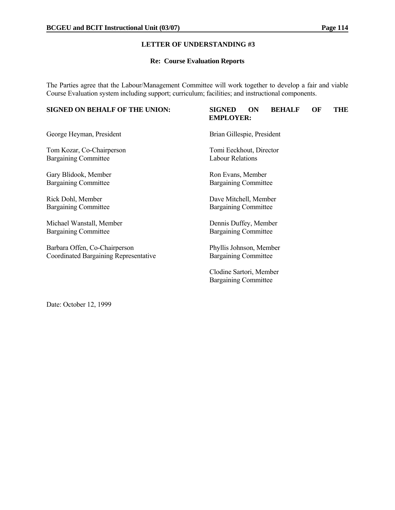#### **Re: Course Evaluation Reports**

The Parties agree that the Labour/Management Committee will work together to develop a fair and viable Course Evaluation system including support; curriculum; facilities; and instructional components.

# **SIGNED ON BEHALF OF THE UNION: SIGNED ON BEHALF OF THE EMPLOYER:** George Heyman, President Brian Gillespie, President Tom Kozar, Co-Chairperson Tomi Eeckhout, Director Bargaining Committee Labour Relations Gary Blidook, Member Ron Evans, Member Bargaining Committee Bargaining Committee Rick Dohl, Member Dave Mitchell, Member Bargaining Committee Bargaining Committee Michael Wanstall, Member Dennis Duffey, Member Bargaining Committee Bargaining Committee Barbara Offen, Co-Chairperson Phyllis Johnson, Member Coordinated Bargaining Representative Bargaining Committee Clodine Sartori, Member Bargaining Committee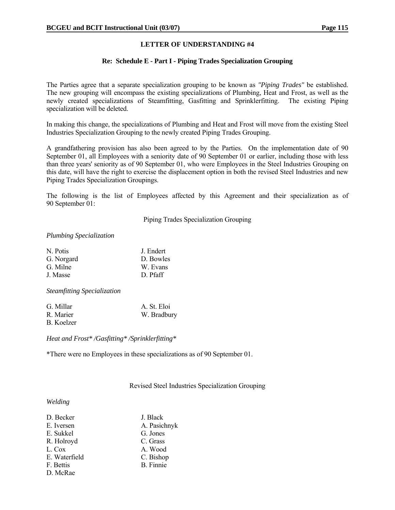#### **Re: Schedule E - Part I - Piping Trades Specialization Grouping**

The Parties agree that a separate specialization grouping to be known as *"Piping Trades"* be established. The new grouping will encompass the existing specializations of Plumbing, Heat and Frost, as well as the newly created specializations of Steamfitting, Gasfitting and Sprinklerfitting. The existing Piping specialization will be deleted.

In making this change, the specializations of Plumbing and Heat and Frost will move from the existing Steel Industries Specialization Grouping to the newly created Piping Trades Grouping.

A grandfathering provision has also been agreed to by the Parties. On the implementation date of 90 September 01, all Employees with a seniority date of 90 September 01 or earlier, including those with less than three years' seniority as of 90 September 01, who were Employees in the Steel Industries Grouping on this date, will have the right to exercise the displacement option in both the revised Steel Industries and new Piping Trades Specialization Groupings.

The following is the list of Employees affected by this Agreement and their specialization as of 90 September 01:

Piping Trades Specialization Grouping

#### *Plumbing Specialization*

| N. Potis   | J. Endert |
|------------|-----------|
| G. Norgard | D. Bowles |
| G. Milne   | W. Evans  |
| J. Masse   | D. Pfaff  |
|            |           |

*Steamfitting Specialization*

| G. Millar  | A. St. Eloi |
|------------|-------------|
| R. Marier  | W. Bradbury |
| B. Koelzer |             |

*Heat and Frost\* /Gasfitting\* /Sprinklerfitting\**

\*There were no Employees in these specializations as of 90 September 01.

Revised Steel Industries Specialization Grouping

#### *Welding*

| D. Becker     | J. Black         |
|---------------|------------------|
| E. Iversen    | A. Pasichnyk     |
| E. Sukkel     | G. Jones         |
| R. Holroyd    | C. Grass         |
| L. Cox        | A. Wood          |
| E. Waterfield | C. Bishop        |
| F. Bettis     | <b>B.</b> Finnie |
| D. McRae      |                  |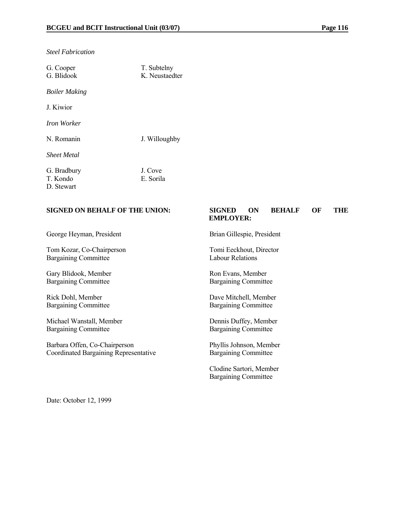| G. Cooper<br>G. Blidook               | T. Subtelny<br>K Neustaedter |
|---------------------------------------|------------------------------|
| <b>Boiler Making</b>                  |                              |
| J. Kiwior                             |                              |
| <i>Iron Worker</i>                    |                              |
| N. Romanin                            | J. Willoughby                |
| <b>Sheet Metal</b>                    |                              |
| G. Bradbury<br>T. Kondo<br>D. Stewart | J. Cove<br>E. Sorila         |

#### *Steel Fabrication*

#### **SIGNED ON BEHALF OF THE UNION: SIGNED ON BEHALF OF THE**

# **EMPLOYER:**

George Heyman, President Brian Gillespie, President

Tom Kozar, Co-Chairperson Tomi Eeckhout, Director Bargaining Committee Labour Relations

Gary Blidook, Member<br>Bargaining Committee Bargaining Committee Bargaining Committee

Michael Wanstall, Member Dennis Duffey, Member Bargaining Committee Bargaining Committee

Barbara Offen, Co-Chairperson Phyllis Johnson, Member Coordinated Bargaining Representative Bargaining Committee

Bargaining Committee

Rick Dohl, Member<br>Bargaining Committee Bargaining Committee Bargaining Committee Bargaining Committee

 Clodine Sartori, Member Bargaining Committee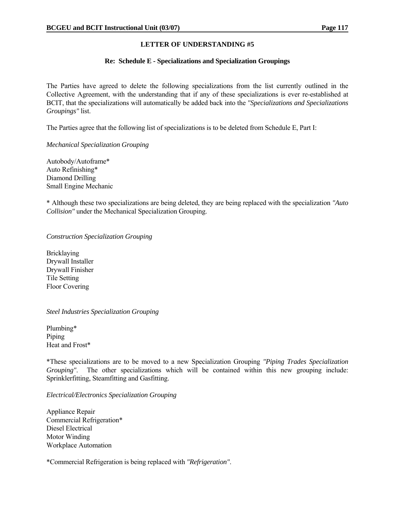#### **Re: Schedule E - Specializations and Specialization Groupings**

The Parties have agreed to delete the following specializations from the list currently outlined in the Collective Agreement, with the understanding that if any of these specializations is ever re-established at BCIT, that the specializations will automatically be added back into the *"Specializations and Specializations Groupings"* list.

The Parties agree that the following list of specializations is to be deleted from Schedule E, Part I:

#### *Mechanical Specialization Grouping*

Autobody/Autoframe\* Auto Refinishing\* Diamond Drilling Small Engine Mechanic

\* Although these two specializations are being deleted, they are being replaced with the specialization *"Auto Collision"* under the Mechanical Specialization Grouping.

#### *Construction Specialization Grouping*

Bricklaying Drywall Installer Drywall Finisher Tile Setting Floor Covering

#### *Steel Industries Specialization Grouping*

Plumbing\* Piping Heat and Frost\*

\*These specializations are to be moved to a new Specialization Grouping *"Piping Trades Specialization Grouping"*. The other specializations which will be contained within this new grouping include: Sprinklerfitting, Steamfitting and Gasfitting.

#### *Electrical/Electronics Specialization Grouping*

Appliance Repair Commercial Refrigeration\* Diesel Electrical Motor Winding Workplace Automation

\*Commercial Refrigeration is being replaced with *"Refrigeration"*.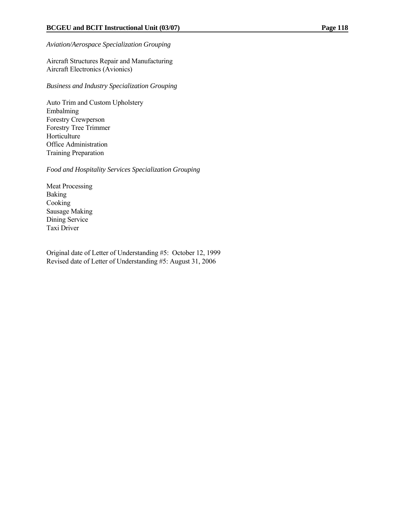#### *Aviation/Aerospace Specialization Grouping*

Aircraft Structures Repair and Manufacturing Aircraft Electronics (Avionics)

*Business and Industry Specialization Grouping*

Auto Trim and Custom Upholstery Embalming Forestry Crewperson Forestry Tree Trimmer Horticulture Office Administration Training Preparation

*Food and Hospitality Services Specialization Grouping*

Meat Processing Baking Cooking Sausage Making Dining Service Taxi Driver

Original date of Letter of Understanding #5: October 12, 1999 Revised date of Letter of Understanding #5: August 31, 2006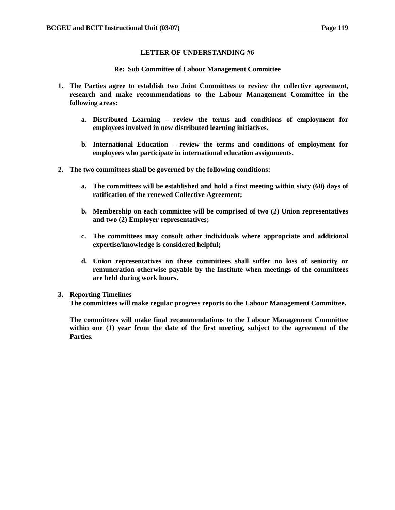**Re: Sub Committee of Labour Management Committee** 

- **1. The Parties agree to establish two Joint Committees to review the collective agreement, research and make recommendations to the Labour Management Committee in the following areas:** 
	- **a. Distributed Learning review the terms and conditions of employment for employees involved in new distributed learning initiatives.**
	- **b. International Education review the terms and conditions of employment for employees who participate in international education assignments.**
- **2. The two committees shall be governed by the following conditions:** 
	- **a. The committees will be established and hold a first meeting within sixty (60) days of ratification of the renewed Collective Agreement;**
	- **b. Membership on each committee will be comprised of two (2) Union representatives and two (2) Employer representatives;**
	- **c. The committees may consult other individuals where appropriate and additional expertise/knowledge is considered helpful;**
	- **d. Union representatives on these committees shall suffer no loss of seniority or remuneration otherwise payable by the Institute when meetings of the committees are held during work hours.**

#### **3. Reporting Timelines**

**The committees will make regular progress reports to the Labour Management Committee.** 

**The committees will make final recommendations to the Labour Management Committee within one (1) year from the date of the first meeting, subject to the agreement of the Parties.**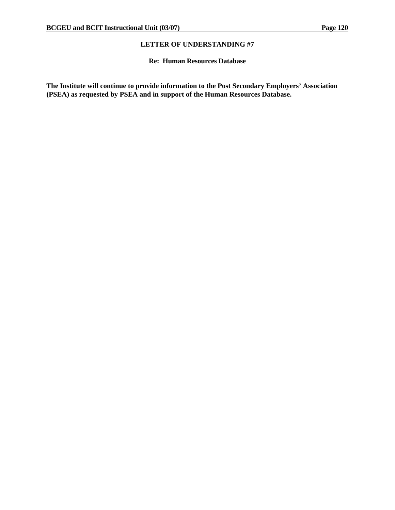#### **Re: Human Resources Database**

**The Institute will continue to provide information to the Post Secondary Employers' Association (PSEA) as requested by PSEA and in support of the Human Resources Database.**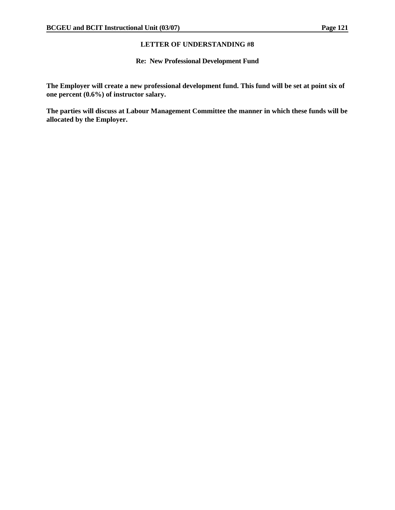#### **Re: New Professional Development Fund**

**The Employer will create a new professional development fund. This fund will be set at point six of one percent (0.6%) of instructor salary.** 

**The parties will discuss at Labour Management Committee the manner in which these funds will be allocated by the Employer.**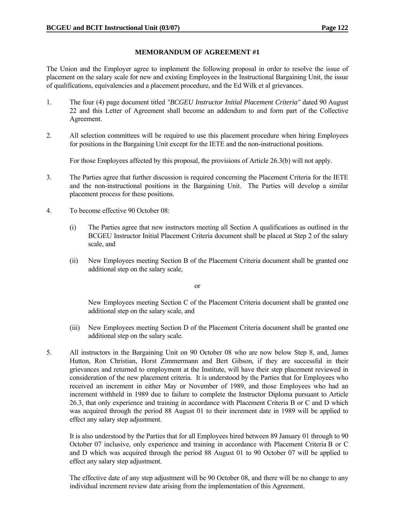#### **MEMORANDUM OF AGREEMENT #1**

The Union and the Employer agree to implement the following proposal in order to resolve the issue of placement on the salary scale for new and existing Employees in the Instructional Bargaining Unit, the issue of qualifications, equivalencies and a placement procedure, and the Ed Wilk et al grievances.

- 1. The four (4) page document titled *"BCGEU Instructor Initial Placement Criteria"* dated 90 August 22 and this Letter of Agreement shall become an addendum to and form part of the Collective Agreement.
- 2. All selection committees will be required to use this placement procedure when hiring Employees for positions in the Bargaining Unit except for the IETE and the non-instructional positions.

For those Employees affected by this proposal, the provisions of Article 26.3(b) will not apply.

- 3. The Parties agree that further discussion is required concerning the Placement Criteria for the IETE and the non-instructional positions in the Bargaining Unit. The Parties will develop a similar placement process for these positions.
- 4. To become effective 90 October 08:
	- (i) The Parties agree that new instructors meeting all Section A qualifications as outlined in the BCGEU Instructor Initial Placement Criteria document shall be placed at Step 2 of the salary scale, and
	- (ii) New Employees meeting Section B of the Placement Criteria document shall be granted one additional step on the salary scale,

or

 New Employees meeting Section C of the Placement Criteria document shall be granted one additional step on the salary scale, and

- (iii) New Employees meeting Section D of the Placement Criteria document shall be granted one additional step on the salary scale.
- 5. All instructors in the Bargaining Unit on 90 October 08 who are now below Step 8, and, James Hutton, Ron Christian, Horst Zimmermann and Bert Gibson, if they are successful in their grievances and returned to employment at the Institute, will have their step placement reviewed in consideration of the new placement criteria. It is understood by the Parties that for Employees who received an increment in either May or November of 1989, and those Employees who had an increment withheld in 1989 due to failure to complete the Instructor Diploma pursuant to Article 26.3, that only experience and training in accordance with Placement Criteria B or C and D which was acquired through the period 88 August 01 to their increment date in 1989 will be applied to effect any salary step adjustment.

 It is also understood by the Parties that for all Employees hired between 89 January 01 through to 90 October 07 inclusive, only experience and training in accordance with Placement Criteria B or C and D which was acquired through the period 88 August 01 to 90 October 07 will be applied to effect any salary step adjustment.

 The effective date of any step adjustment will be 90 October 08, and there will be no change to any individual increment review date arising from the implementation of this Agreement.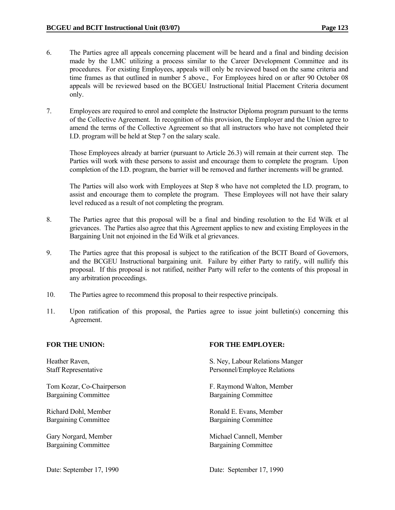- 6. The Parties agree all appeals concerning placement will be heard and a final and binding decision made by the LMC utilizing a process similar to the Career Development Committee and its procedures. For existing Employees, appeals will only be reviewed based on the same criteria and time frames as that outlined in number 5 above., For Employees hired on or after 90 October 08 appeals will be reviewed based on the BCGEU Instructional Initial Placement Criteria document only.
- 7. Employees are required to enrol and complete the Instructor Diploma program pursuant to the terms of the Collective Agreement. In recognition of this provision, the Employer and the Union agree to amend the terms of the Collective Agreement so that all instructors who have not completed their I.D. program will be held at Step 7 on the salary scale.

 Those Employees already at barrier (pursuant to Article 26.3) will remain at their current step. The Parties will work with these persons to assist and encourage them to complete the program. Upon completion of the I.D. program, the barrier will be removed and further increments will be granted.

 The Parties will also work with Employees at Step 8 who have not completed the I.D. program, to assist and encourage them to complete the program. These Employees will not have their salary level reduced as a result of not completing the program.

- 8. The Parties agree that this proposal will be a final and binding resolution to the Ed Wilk et al grievances. The Parties also agree that this Agreement applies to new and existing Employees in the Bargaining Unit not enjoined in the Ed Wilk et al grievances.
- 9. The Parties agree that this proposal is subject to the ratification of the BCIT Board of Governors, and the BCGEU Instructional bargaining unit. Failure by either Party to ratify, will nullify this proposal. If this proposal is not ratified, neither Party will refer to the contents of this proposal in any arbitration proceedings.
- 10. The Parties agree to recommend this proposal to their respective principals.
- 11. Upon ratification of this proposal, the Parties agree to issue joint bulletin(s) concerning this Agreement.

Bargaining Committee Bargaining Committee

Bargaining Committee Bargaining Committee

Bargaining Committee Bargaining Committee

#### FOR THE UNION: **FOR THE EMPLOYER:**

Heather Raven, S. Ney, Labour Relations Manger Staff Representative **Personnel**/Employee Relations

Tom Kozar, Co-Chairperson F. Raymond Walton, Member

Richard Dohl, Member Ronald E. Evans, Member

Gary Norgard, Member Michael Cannell, Member Michael Cannell, Member

Date: September 17, 1990 Date: September 17, 1990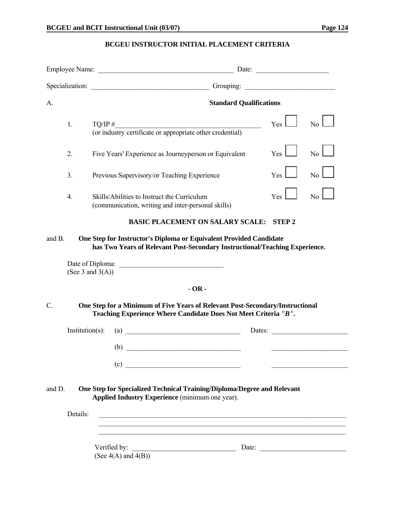#### **BCGEU INSTRUCTOR INITIAL PLACEMENT CRITERIA**

| Specialization: Christmas Company Company Company Company Company Company Company Company Company Company Company Company Company Company Company Company Company Company Company Company Company Company Company Company Comp |                    |                                                                                                                                                                          |  |              |                  |
|--------------------------------------------------------------------------------------------------------------------------------------------------------------------------------------------------------------------------------|--------------------|--------------------------------------------------------------------------------------------------------------------------------------------------------------------------|--|--------------|------------------|
| A.                                                                                                                                                                                                                             |                    | <b>Standard Qualifications</b>                                                                                                                                           |  |              |                  |
|                                                                                                                                                                                                                                | 1.                 | $TQ/IP \#$<br>$1Q/IP$ #<br>(or industry certificate or appropriate other credential)                                                                                     |  | $Yes \perp$  | No               |
|                                                                                                                                                                                                                                | 2.                 | Five Years' Experience as Journeyperson or Equivalent                                                                                                                    |  | Yes          | No               |
|                                                                                                                                                                                                                                | 3.                 | Previous Supervisory/or Teaching Experience                                                                                                                              |  | Yes          | $\overline{N}$ o |
|                                                                                                                                                                                                                                | 4.                 | Skills/Abilities to Instruct the Curriculum<br>(communication, writing and inter-personal skills)                                                                        |  | $Yes$ l      | No               |
|                                                                                                                                                                                                                                |                    | <b>BASIC PLACEMENT ON SALARY SCALE:</b>                                                                                                                                  |  | <b>STEP2</b> |                  |
| and B.                                                                                                                                                                                                                         |                    | One Step for Instructor's Diploma or Equivalent Provided Candidate<br>has Two Years of Relevant Post-Secondary Instructional/Teaching Experience.<br>(See 3 and $3(A)$ ) |  |              |                  |
|                                                                                                                                                                                                                                |                    |                                                                                                                                                                          |  |              |                  |
| $-OR -$<br>$C$ .<br>One Step for a Minimum of Five Years of Relevant Post-Secondary/Instructional<br>Teaching Experience Where Candidate Does Not Meet Criteria "B".                                                           |                    |                                                                                                                                                                          |  |              |                  |
|                                                                                                                                                                                                                                | $Institution(s)$ : | $\left( \text{a)}\right)$<br>$\qquad \qquad \bullet$                                                                                                                     |  |              | Dates:           |
|                                                                                                                                                                                                                                |                    | (c)<br><u> 1980 - Johann Barn, mars ar breithinn ar breithinn ar breithinn ar breithinn ar breithinn ar breithinn ar br</u>                                              |  |              |                  |
| and D.                                                                                                                                                                                                                         |                    | One Step for Specialized Technical Training/Diploma/Degree and Relevant<br>Applied Industry Experience (minimum one year).                                               |  |              |                  |
|                                                                                                                                                                                                                                | Details:           |                                                                                                                                                                          |  |              |                  |
|                                                                                                                                                                                                                                |                    | Verified by:<br><u> 1989 - Johann Barbara, martxa alemani</u> ar a<br>(See $4(A)$ and $4(B)$ )                                                                           |  |              | Date:            |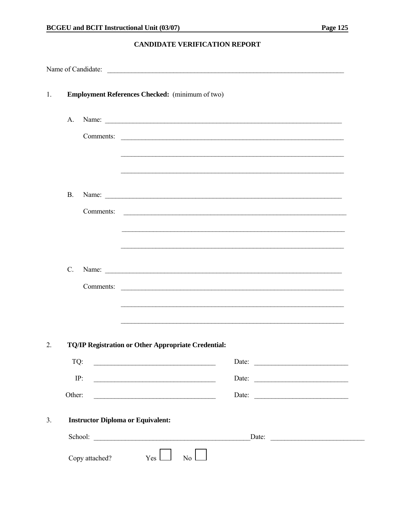### **CANDIDATE VERIFICATION REPORT**

|                  |                 |                                                 | Name of Candidate:                                                                                                   |       |  |  |  |
|------------------|-----------------|-------------------------------------------------|----------------------------------------------------------------------------------------------------------------------|-------|--|--|--|
| 1.               |                 | Employment References Checked: (minimum of two) |                                                                                                                      |       |  |  |  |
|                  | A.              |                                                 |                                                                                                                      |       |  |  |  |
|                  |                 |                                                 | Comments:                                                                                                            |       |  |  |  |
|                  |                 |                                                 |                                                                                                                      |       |  |  |  |
|                  |                 |                                                 |                                                                                                                      |       |  |  |  |
|                  | <b>B.</b>       |                                                 |                                                                                                                      |       |  |  |  |
|                  |                 | Comments:                                       |                                                                                                                      |       |  |  |  |
|                  |                 |                                                 |                                                                                                                      |       |  |  |  |
|                  |                 |                                                 |                                                                                                                      |       |  |  |  |
|                  | $\mathcal{C}$ . |                                                 |                                                                                                                      |       |  |  |  |
|                  |                 |                                                 | Comments:                                                                                                            |       |  |  |  |
|                  |                 |                                                 |                                                                                                                      |       |  |  |  |
|                  |                 |                                                 |                                                                                                                      |       |  |  |  |
| $\overline{2}$ . |                 |                                                 | <b>TQ/IP Registration or Other Appropriate Credential:</b>                                                           |       |  |  |  |
|                  | TQ:             |                                                 |                                                                                                                      | Date: |  |  |  |
|                  |                 | IP:                                             |                                                                                                                      |       |  |  |  |
|                  | Other:          |                                                 | <u> 1980 - Jan James James, martin de filozof, martin de filozof, martin de filozof, martin de filozof, martin d</u> |       |  |  |  |
| 3.               |                 |                                                 | <b>Instructor Diploma or Equivalent:</b>                                                                             |       |  |  |  |
|                  |                 |                                                 | School:<br>Date:                                                                                                     |       |  |  |  |
|                  |                 | Copy attached?                                  | Yes<br>N <sub>o</sub>                                                                                                |       |  |  |  |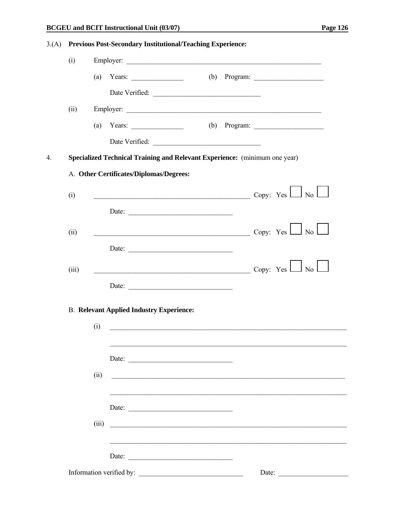<u> 1980 - Johann Barbara, martin a</u>

| 3(A) |                                                 | <b>Previous Post-Secondary Institutional/Teaching Experience:</b>                                                                                                                                                                                                                                                                                                                                                                                 |  |  |  |  |  |  |
|------|-------------------------------------------------|---------------------------------------------------------------------------------------------------------------------------------------------------------------------------------------------------------------------------------------------------------------------------------------------------------------------------------------------------------------------------------------------------------------------------------------------------|--|--|--|--|--|--|
|      | (i)                                             | Employer:                                                                                                                                                                                                                                                                                                                                                                                                                                         |  |  |  |  |  |  |
|      |                                                 | (b) Program: $\frac{1}{\sqrt{1-\frac{1}{2}}\sqrt{1-\frac{1}{2}}\sqrt{1-\frac{1}{2}}\sqrt{1-\frac{1}{2}}}}$<br>(a)<br>Years: $\qquad \qquad$                                                                                                                                                                                                                                                                                                       |  |  |  |  |  |  |
|      |                                                 |                                                                                                                                                                                                                                                                                                                                                                                                                                                   |  |  |  |  |  |  |
|      | (ii)                                            | Employer:                                                                                                                                                                                                                                                                                                                                                                                                                                         |  |  |  |  |  |  |
|      |                                                 | (b) Program: $\qquad \qquad$<br>(a) Years: $\frac{1}{\sqrt{2\pi}}$                                                                                                                                                                                                                                                                                                                                                                                |  |  |  |  |  |  |
|      |                                                 | Date Verified:                                                                                                                                                                                                                                                                                                                                                                                                                                    |  |  |  |  |  |  |
| 4.   |                                                 | Specialized Technical Training and Relevant Experience: (minimum one year)                                                                                                                                                                                                                                                                                                                                                                        |  |  |  |  |  |  |
|      |                                                 | A. Other Certificates/Diplomas/Degrees:                                                                                                                                                                                                                                                                                                                                                                                                           |  |  |  |  |  |  |
|      | (i)                                             | $\overline{\text{Copy: Yes}}$ No $\overline{\phantom{1}}$                                                                                                                                                                                                                                                                                                                                                                                         |  |  |  |  |  |  |
|      |                                                 | Date:                                                                                                                                                                                                                                                                                                                                                                                                                                             |  |  |  |  |  |  |
|      |                                                 |                                                                                                                                                                                                                                                                                                                                                                                                                                                   |  |  |  |  |  |  |
|      | (ii)                                            | $\overline{\phantom{a}}$ Copy: Yes $\overline{\phantom{a}}$ No $\overline{\phantom{a}}$                                                                                                                                                                                                                                                                                                                                                           |  |  |  |  |  |  |
|      |                                                 | Date: $\frac{1}{\sqrt{1-\frac{1}{2}} \cdot \frac{1}{2} \cdot \frac{1}{2} \cdot \frac{1}{2} \cdot \frac{1}{2} \cdot \frac{1}{2} \cdot \frac{1}{2} \cdot \frac{1}{2} \cdot \frac{1}{2} \cdot \frac{1}{2} \cdot \frac{1}{2} \cdot \frac{1}{2} \cdot \frac{1}{2} \cdot \frac{1}{2} \cdot \frac{1}{2} \cdot \frac{1}{2} \cdot \frac{1}{2} \cdot \frac{1}{2} \cdot \frac{1}{2} \cdot \frac{1}{2} \cdot \frac{1}{2} \cdot \frac{1}{2} \cdot \frac{1}{2}$ |  |  |  |  |  |  |
|      | (iii)                                           | $\overline{\phantom{a}}$ Copy: Yes $\Box$ No $\Box$                                                                                                                                                                                                                                                                                                                                                                                               |  |  |  |  |  |  |
|      |                                                 | Date: $\qquad \qquad$                                                                                                                                                                                                                                                                                                                                                                                                                             |  |  |  |  |  |  |
|      | <b>B. Relevant Applied Industry Experience:</b> |                                                                                                                                                                                                                                                                                                                                                                                                                                                   |  |  |  |  |  |  |
|      |                                                 | (i)                                                                                                                                                                                                                                                                                                                                                                                                                                               |  |  |  |  |  |  |
|      |                                                 |                                                                                                                                                                                                                                                                                                                                                                                                                                                   |  |  |  |  |  |  |
|      |                                                 |                                                                                                                                                                                                                                                                                                                                                                                                                                                   |  |  |  |  |  |  |
|      |                                                 | (ii)<br><u> 1989 - Jan James James James James James James James James James James James James James James James James J</u>                                                                                                                                                                                                                                                                                                                      |  |  |  |  |  |  |
|      |                                                 |                                                                                                                                                                                                                                                                                                                                                                                                                                                   |  |  |  |  |  |  |
|      |                                                 | Date:                                                                                                                                                                                                                                                                                                                                                                                                                                             |  |  |  |  |  |  |
|      |                                                 | (iii)                                                                                                                                                                                                                                                                                                                                                                                                                                             |  |  |  |  |  |  |
|      |                                                 |                                                                                                                                                                                                                                                                                                                                                                                                                                                   |  |  |  |  |  |  |
|      |                                                 | Date:                                                                                                                                                                                                                                                                                                                                                                                                                                             |  |  |  |  |  |  |
|      |                                                 | Information verified by:<br>Date: $\qquad \qquad$                                                                                                                                                                                                                                                                                                                                                                                                 |  |  |  |  |  |  |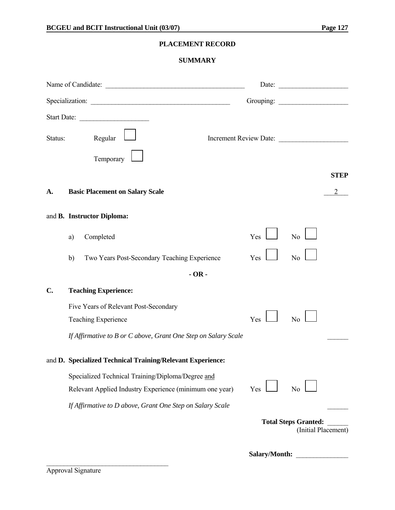### **PLACEMENT RECORD**

#### **SUMMARY**

|         |    |                                                                                                              |               | Date: $\qquad \qquad$                              |             |
|---------|----|--------------------------------------------------------------------------------------------------------------|---------------|----------------------------------------------------|-------------|
|         |    |                                                                                                              |               |                                                    |             |
|         |    | Start Date:                                                                                                  |               |                                                    |             |
| Status: |    | Regular                                                                                                      |               | Increment Review Date:                             |             |
|         |    | Temporary                                                                                                    |               |                                                    |             |
|         |    |                                                                                                              |               |                                                    | <b>STEP</b> |
| A.      |    | <b>Basic Placement on Salary Scale</b>                                                                       |               |                                                    |             |
|         |    | and B. Instructor Diploma:                                                                                   |               |                                                    |             |
|         | a) | Completed                                                                                                    | Yes           | No                                                 |             |
|         | b) | Two Years Post-Secondary Teaching Experience                                                                 | Yes           | No                                                 |             |
|         |    | $-OR -$                                                                                                      |               |                                                    |             |
| C.      |    | <b>Teaching Experience:</b>                                                                                  |               |                                                    |             |
|         |    | Five Years of Relevant Post-Secondary<br><b>Teaching Experience</b>                                          | Yes           | No                                                 |             |
|         |    | If Affirmative to B or C above, Grant One Step on Salary Scale                                               |               |                                                    |             |
|         |    | and D. Specialized Technical Training/Relevant Experience:                                                   |               |                                                    |             |
|         |    | Specialized Technical Training/Diploma/Degree and<br>Relevant Applied Industry Experience (minimum one year) | Yes           | No                                                 |             |
|         |    | If Affirmative to D above, Grant One Step on Salary Scale                                                    |               |                                                    |             |
|         |    |                                                                                                              |               | <b>Total Steps Granted:</b><br>(Initial Placement) |             |
|         |    |                                                                                                              | Salary/Month: |                                                    |             |

Approval Signature

 $\mathcal{L}_\text{max}$  , where  $\mathcal{L}_\text{max}$  and  $\mathcal{L}_\text{max}$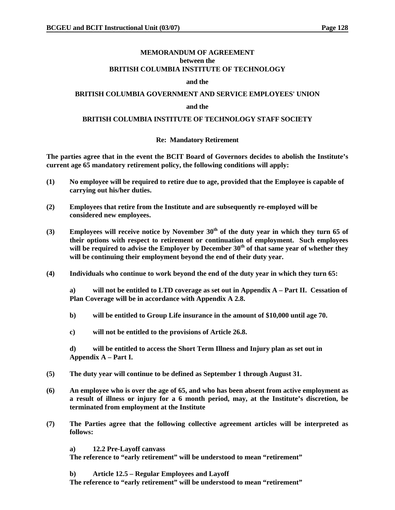#### **MEMORANDUM OF AGREEMENT between the BRITISH COLUMBIA INSTITUTE OF TECHNOLOGY**

#### **and the**

#### **BRITISH COLUMBIA GOVERNMENT AND SERVICE EMPLOYEES' UNION**

#### **and the**

#### **BRITISH COLUMBIA INSTITUTE OF TECHNOLOGY STAFF SOCIETY**

#### **Re: Mandatory Retirement**

**The parties agree that in the event the BCIT Board of Governors decides to abolish the Institute's current age 65 mandatory retirement policy, the following conditions will apply:** 

- **(1) No employee will be required to retire due to age, provided that the Employee is capable of carrying out his/her duties.**
- **(2) Employees that retire from the Institute and are subsequently re-employed will be considered new employees.**
- **(3) Employees will receive notice by November 30th of the duty year in which they turn 65 of their options with respect to retirement or continuation of employment. Such employees**  will be required to advise the Employer by December 30<sup>th</sup> of that same year of whether they **will be continuing their employment beyond the end of their duty year.**
- **(4) Individuals who continue to work beyond the end of the duty year in which they turn 65:**

**a) will not be entitled to LTD coverage as set out in Appendix A – Part II. Cessation of Plan Coverage will be in accordance with Appendix A 2.8.** 

- **b) will be entitled to Group Life insurance in the amount of \$10,000 until age 70.**
- **c) will not be entitled to the provisions of Article 26.8.**

**d) will be entitled to access the Short Term Illness and Injury plan as set out in Appendix A – Part I.** 

- **(5) The duty year will continue to be defined as September 1 through August 31.**
- **(6) An employee who is over the age of 65, and who has been absent from active employment as a result of illness or injury for a 6 month period, may, at the Institute's discretion, be terminated from employment at the Institute**
- **(7) The Parties agree that the following collective agreement articles will be interpreted as follows:** 
	- **a) 12.2 Pre-Layoff canvass**

**The reference to "early retirement" will be understood to mean "retirement"** 

**b) Article 12.5 – Regular Employees and Layoff** 

**The reference to "early retirement" will be understood to mean "retirement"**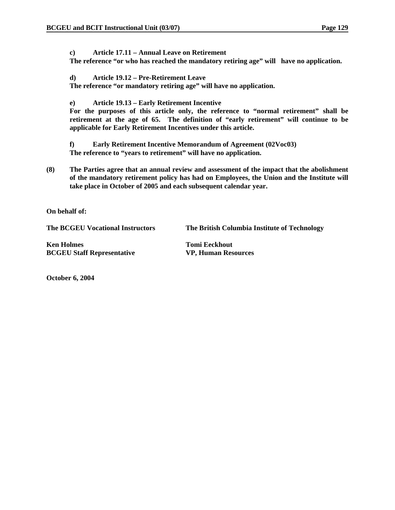**c) Article 17.11 – Annual Leave on Retirement** 

**The reference "or who has reached the mandatory retiring age" will have no application.** 

**d) Article 19.12 – Pre-Retirement Leave** 

**The reference "or mandatory retiring age" will have no application.** 

**e) Article 19.13 – Early Retirement Incentive** 

**For the purposes of this article only, the reference to "normal retirement" shall be retirement at the age of 65. The definition of "early retirement" will continue to be applicable for Early Retirement Incentives under this article.** 

**f) Early Retirement Incentive Memorandum of Agreement (02Voc03) The reference to "years to retirement" will have no application.** 

**(8) The Parties agree that an annual review and assessment of the impact that the abolishment of the mandatory retirement policy has had on Employees, the Union and the Institute will take place in October of 2005 and each subsequent calendar year.** 

**On behalf of:** 

**The BCGEU Vocational Instructors The British Columbia Institute of Technology** 

**Ken Holmes Tomi Eeckhout BCGEU Staff Representative VP, Human Resources** 

**October 6, 2004**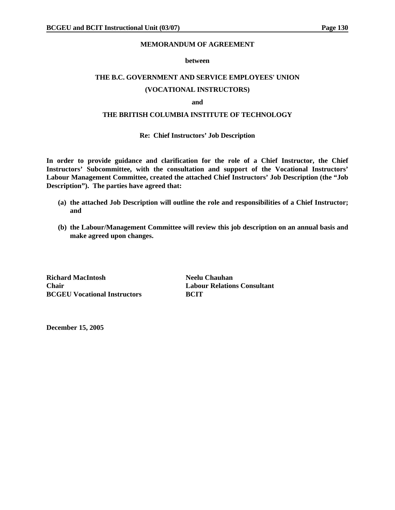#### **MEMORANDUM OF AGREEMENT**

#### **between**

#### **THE B.C. GOVERNMENT AND SERVICE EMPLOYEES' UNION**

#### **(VOCATIONAL INSTRUCTORS)**

#### **and**

#### **THE BRITISH COLUMBIA INSTITUTE OF TECHNOLOGY**

#### **Re: Chief Instructors' Job Description**

**In order to provide guidance and clarification for the role of a Chief Instructor, the Chief Instructors' Subcommittee, with the consultation and support of the Vocational Instructors' Labour Management Committee, created the attached Chief Instructors' Job Description (the "Job Description"). The parties have agreed that:** 

- **(a) the attached Job Description will outline the role and responsibilities of a Chief Instructor; and**
- **(b) the Labour/Management Committee will review this job description on an annual basis and make agreed upon changes.**

**Richard MacIntosh Neelu Chauhan Chair Labour Relations Consultant BCGEU Vocational Instructors BCIT** 

**December 15, 2005**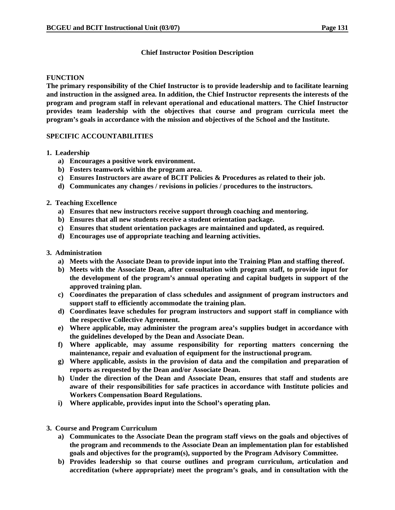#### **Chief Instructor Position Description**

#### **FUNCTION**

**The primary responsibility of the Chief Instructor is to provide leadership and to facilitate learning and instruction in the assigned area. In addition, the Chief Instructor represents the interests of the program and program staff in relevant operational and educational matters. The Chief Instructor provides team leadership with the objectives that course and program curricula meet the program's goals in accordance with the mission and objectives of the School and the Institute.** 

#### **SPECIFIC ACCOUNTABILITIES**

#### **1. Leadership**

- **a) Encourages a positive work environment.**
- **b) Fosters teamwork within the program area.**
- **c) Ensures Instructors are aware of BCIT Policies & Procedures as related to their job.**
- **d) Communicates any changes / revisions in policies / procedures to the instructors.**

#### **2. Teaching Excellence**

- **a) Ensures that new instructors receive support through coaching and mentoring.**
- **b) Ensures that all new students receive a student orientation package.**
- **c) Ensures that student orientation packages are maintained and updated, as required.**
- **d) Encourages use of appropriate teaching and learning activities.**

#### **3. Administration**

- **a) Meets with the Associate Dean to provide input into the Training Plan and staffing thereof.**
- **b) Meets with the Associate Dean, after consultation with program staff, to provide input for the development of the program's annual operating and capital budgets in support of the approved training plan.**
- **c) Coordinates the preparation of class schedules and assignment of program instructors and support staff to efficiently accommodate the training plan.**
- **d) Coordinates leave schedules for program instructors and support staff in compliance with the respective Collective Agreement.**
- **e) Where applicable, may administer the program area's supplies budget in accordance with the guidelines developed by the Dean and Associate Dean.**
- **f) Where applicable, may assume responsibility for reporting matters concerning the maintenance, repair and evaluation of equipment for the instructional program.**
- **g) Where applicable, assists in the provision of data and the compilation and preparation of reports as requested by the Dean and/or Associate Dean.**
- **h) Under the direction of the Dean and Associate Dean, ensures that staff and students are aware of their responsibilities for safe practices in accordance with Institute policies and Workers Compensation Board Regulations.**
- **i) Where applicable, provides input into the School's operating plan.**
- **3. Course and Program Curriculum** 
	- **a) Communicates to the Associate Dean the program staff views on the goals and objectives of the program and recommends to the Associate Dean an implementation plan for established goals and objectives for the program(s), supported by the Program Advisory Committee.**
	- **b) Provides leadership so that course outlines and program curriculum, articulation and accreditation (where appropriate) meet the program's goals, and in consultation with the**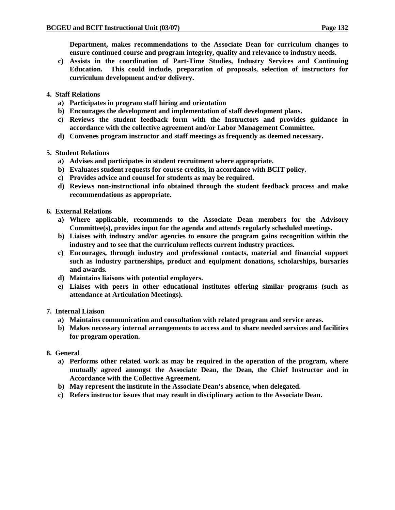**Department, makes recommendations to the Associate Dean for curriculum changes to ensure continued course and program integrity, quality and relevance to industry needs.** 

- **c) Assists in the coordination of Part-Time Studies, Industry Services and Continuing Education. This could include, preparation of proposals, selection of instructors for curriculum development and/or delivery.**
- **4. Staff Relations** 
	- **a) Participates in program staff hiring and orientation**
	- **b) Encourages the development and implementation of staff development plans.**
	- **c) Reviews the student feedback form with the Instructors and provides guidance in accordance with the collective agreement and/or Labor Management Committee.**
	- **d) Convenes program instructor and staff meetings as frequently as deemed necessary.**
- **5. Student Relations** 
	- **a) Advises and participates in student recruitment where appropriate.**
	- **b) Evaluates student requests for course credits, in accordance with BCIT policy.**
	- **c) Provides advice and counsel for students as may be required.**
	- **d) Reviews non-instructional info obtained through the student feedback process and make recommendations as appropriate.**
- **6. External Relations** 
	- **a) Where applicable, recommends to the Associate Dean members for the Advisory Committee(s), provides input for the agenda and attends regularly scheduled meetings.**
	- **b) Liaises with industry and/or agencies to ensure the program gains recognition within the industry and to see that the curriculum reflects current industry practices.**
	- **c) Encourages, through industry and professional contacts, material and financial support such as industry partnerships, product and equipment donations, scholarships, bursaries and awards.**
	- **d) Maintains liaisons with potential employers.**
	- **e) Liaises with peers in other educational institutes offering similar programs (such as attendance at Articulation Meetings).**

#### **7. Internal Liaison**

- **a) Maintains communication and consultation with related program and service areas.**
- **b) Makes necessary internal arrangements to access and to share needed services and facilities for program operation.**
- **8. General** 
	- **a) Performs other related work as may be required in the operation of the program, where mutually agreed amongst the Associate Dean, the Dean, the Chief Instructor and in Accordance with the Collective Agreement.**
	- **b) May represent the institute in the Associate Dean's absence, when delegated.**
	- **c) Refers instructor issues that may result in disciplinary action to the Associate Dean.**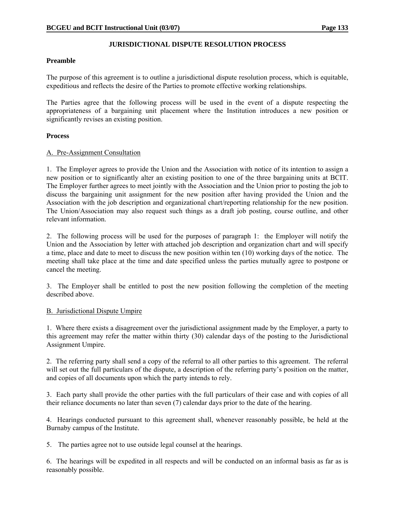#### **JURISDICTIONAL DISPUTE RESOLUTION PROCESS**

#### **Preamble**

The purpose of this agreement is to outline a jurisdictional dispute resolution process, which is equitable, expeditious and reflects the desire of the Parties to promote effective working relationships.

The Parties agree that the following process will be used in the event of a dispute respecting the appropriateness of a bargaining unit placement where the Institution introduces a new position or significantly revises an existing position.

#### **Process**

#### A. Pre-Assignment Consultation

1. The Employer agrees to provide the Union and the Association with notice of its intention to assign a new position or to significantly alter an existing position to one of the three bargaining units at BCIT. The Employer further agrees to meet jointly with the Association and the Union prior to posting the job to discuss the bargaining unit assignment for the new position after having provided the Union and the Association with the job description and organizational chart/reporting relationship for the new position. The Union/Association may also request such things as a draft job posting, course outline, and other relevant information.

2. The following process will be used for the purposes of paragraph 1: the Employer will notify the Union and the Association by letter with attached job description and organization chart and will specify a time, place and date to meet to discuss the new position within ten (10) working days of the notice. The meeting shall take place at the time and date specified unless the parties mutually agree to postpone or cancel the meeting.

3. The Employer shall be entitled to post the new position following the completion of the meeting described above.

#### B. Jurisdictional Dispute Umpire

1. Where there exists a disagreement over the jurisdictional assignment made by the Employer, a party to this agreement may refer the matter within thirty (30) calendar days of the posting to the Jurisdictional Assignment Umpire.

2. The referring party shall send a copy of the referral to all other parties to this agreement. The referral will set out the full particulars of the dispute, a description of the referring party's position on the matter, and copies of all documents upon which the party intends to rely.

3. Each party shall provide the other parties with the full particulars of their case and with copies of all their reliance documents no later than seven (7) calendar days prior to the date of the hearing.

4. Hearings conducted pursuant to this agreement shall, whenever reasonably possible, be held at the Burnaby campus of the Institute.

5. The parties agree not to use outside legal counsel at the hearings.

6. The hearings will be expedited in all respects and will be conducted on an informal basis as far as is reasonably possible.